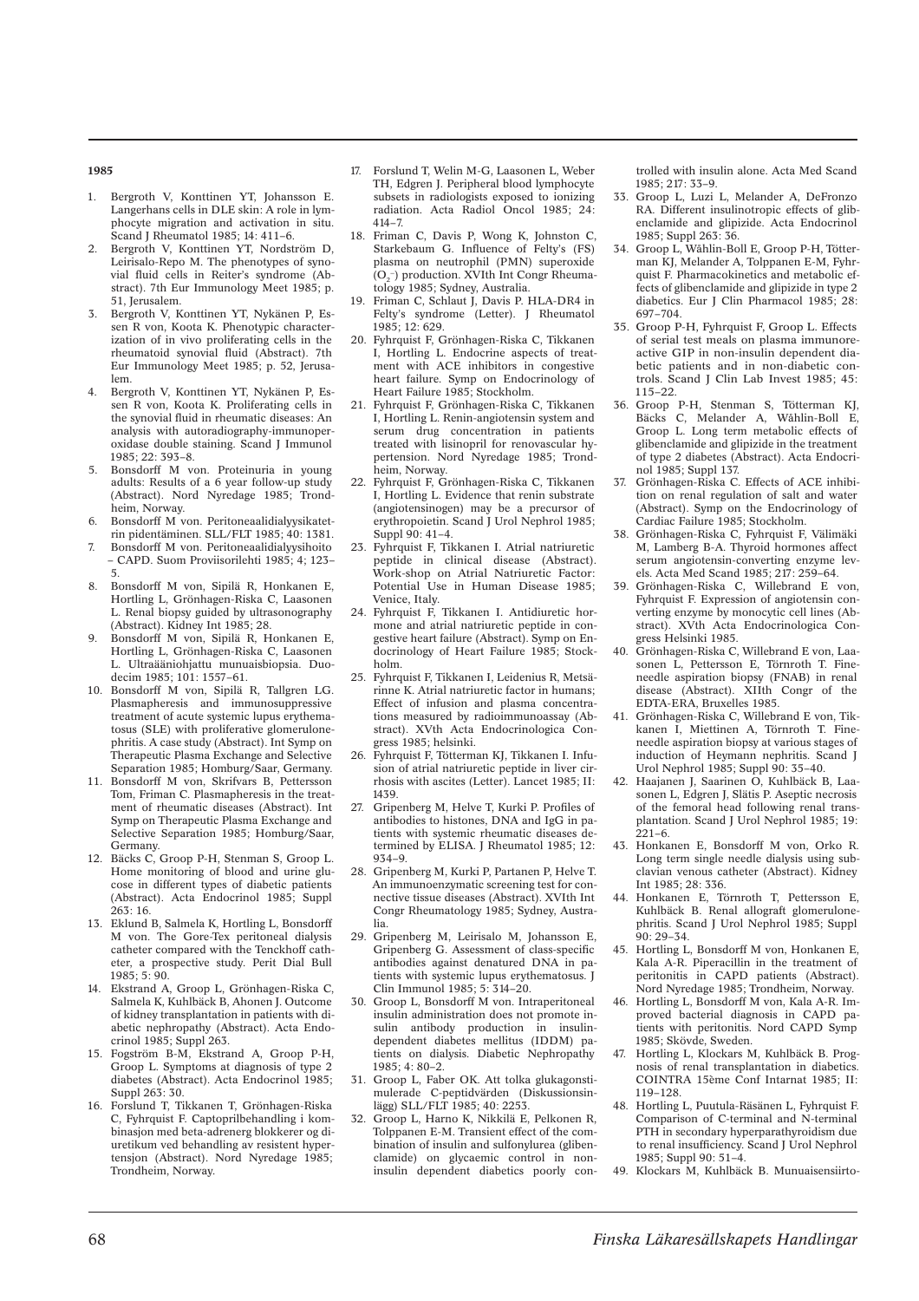### **1985**

- 1. Bergroth V, Konttinen YT, Johansson E. Langerhans cells in DLE skin: A role in lymphocyte migration and activation in situ. Scand J Rheumatol 1985; 14: 411–6.
- 2. Bergroth V, Konttinen YT, Nordström D, Leirisalo-Repo M. The phenotypes of synovial fluid cells in Reiter's syndrome (Abstract). 7th Eur Immunology Meet 1985; p. 51, Jerusalem.
- 3. Bergroth V, Konttinen YT, Nykänen P, Essen R von, Koota K. Phenotypic characterization of in vivo proliferating cells in the rheumatoid synovial fluid (Abstract). 7th Eur Immunology Meet 1985; p. 52, Jerusalem.
- 4. Bergroth V, Konttinen YT, Nykänen P, Essen R von, Koota K. Proliferating cells in the synovial fluid in rheumatic diseases: An analysis with autoradiography-immunoperoxidase double staining. Scand J Immunol  $1985: 22: 393-8$
- 5. Bonsdorff M von. Proteinuria in young adults: Results of a 6 year follow-up study (Abstract). Nord Nyredage 1985; Trondheim, Norway.
- 6. Bonsdorff M von. Peritoneaalidialyysikatetrin pidentäminen. SLL/FLT 1985; 40: 1381.
- 7. Bonsdorff M von. Peritoneaalidialyysihoito – CAPD. Suom Proviisorilehti 1985; 4; 123– 5.
- 8. Bonsdorff M von, Sipilä R, Honkanen E, Hortling L, Grönhagen-Riska C, Laasonen L. Renal biopsy guided by ultrasonography (Abstract). Kidney Int 1985; 28.
- 9. Bonsdorff M von, Sipilä R, Honkanen E, Hortling L, Grönhagen-Riska C, Laasonen L. Ultraääniohjattu munuaisbiopsia. Duodecim 1985; 101: 1557–61.
- 10. Bonsdorff M von, Sipilä R, Tallgren LG. Plasmapheresis and immunosuppressive treatment of acute systemic lupus erythematosus (SLE) with proliferative glomerulonephritis. A case study (Abstract). Int Symp on Therapeutic Plasma Exchange and Selective Separation 1985; Homburg/Saar, Germany.
- 11. Bonsdorff M von, Skrifvars B, Pettersson Tom, Friman C. Plasmapheresis in the treatment of rheumatic diseases (Abstract). Int Symp on Therapeutic Plasma Exchange and Selective Separation 1985; Homburg/Saar, Germany.
- 12. Bäcks C, Groop P-H, Stenman S, Groop L. Home monitoring of blood and urine glucose in different types of diabetic patients (Abstract). Acta Endocrinol 1985; Suppl 263: 16.
- 13. Eklund B, Salmela K, Hortling L, Bonsdorff M von. The Gore-Tex peritoneal dialysis catheter compared with the Tenckhoff catheter, a prospective study. Perit Dial Bull 1985; 5: 90.
- 14. Ekstrand A, Groop L, Grönhagen-Riska C, Salmela K, Kuhlbäck B, Ahonen J. Outcome of kidney transplantation in patients with diabetic nephropathy (Abstract). Acta Endocrinol 1985; Suppl 263.
- 15. Fogström B-M, Ekstrand A, Groop P-H, Groop L. Symptoms at diagnosis of type 2 diabetes (Abstract). Acta Endocrinol 1985; Suppl 263: 30.
- 16. Forslund T, Tikkanen T, Grönhagen-Riska C, Fyhrquist F. Captoprilbehandling i kombinasjon med beta-adrenerg blokkerer og diuretikum ved behandling av resistent hypertensjon (Abstract). Nord Nyredage 1985; Trondheim, Norway.
- 17. Forslund T, Welin M-G, Laasonen L, Weber TH, Edgren J. Peripheral blood lymphocyte subsets in radiologists exposed to ionizing radiation. Acta Radiol Oncol 1985; 24: 414–7.
- 18. Friman C, Davis P, Wong K, Johnston C, Starkebaum G. Influence of Felty's (FS) plasma on neutrophil (PMN) superoxide  $(O_2^-)$  production. XVIth Int Congr Rheumatology 1985; Sydney, Australia.
- 19. Friman C, Schlaut J, Davis P. HLA-DR4 in Felty's syndrome (Letter). J Rheumatol 1985; 12: 629.
- 20. Fyhrquist F, Grönhagen-Riska C, Tikkanen I, Hortling L. Endocrine aspects of treatment with ACE inhibitors in congestive heart failure. Symp on Endocrinology of Heart Failure 1985; Stockholm.
- 21. Fyhrquist F, Grönhagen-Riska C, Tikkanen I, Hortling L. Renin-angiotensin system and serum drug concentration in patients treated with lisinopril for renovascular hypertension. Nord Nyredage 1985; Trondheim, Norway.
- 22. Fyhrquist F, Grönhagen-Riska C, Tikkanen I, Hortling L. Evidence that renin substrate (angiotensinogen) may be a precursor of erythropoietin. Scand J Urol Nephrol 1985; Suppl 90: 41–4.
- 23. Fyhrquist F, Tikkanen I. Atrial natriuretic peptide in clinical disease (Abstract). Work-shop on Atrial Natriuretic Factor: Potential Use in Human Disease 1985; Venice, Italy.
- 24. Fyhrquist F, Tikkanen I. Antidiuretic hormone and atrial natriuretic peptide in congestive heart failure (Abstract). Symp on Endocrinology of Heart Failure 1985; Stockholm.
- 25. Fyhrquist F, Tikkanen I, Leidenius R, Metsärinne K. Atrial natriuretic factor in humans; Effect of infusion and plasma concentrations measured by radioimmunoassay (Abstract). XVth Acta Endocrinologica Congress 1985; helsinki.
- 26. Fyhrquist F, Tötterman KJ, Tikkanen I. Infusion of atrial natriuretic peptide in liver cirrhosis with ascites (Letter). Lancet 1985; II: 1439.
- 27. Gripenberg M, Helve T, Kurki P. Profiles of antibodies to histones, DNA and IgG in patients with systemic rheumatic diseases determined by ELISA. J Rheumatol 1985; 12: 934–9.
- 28. Gripenberg M, Kurki P, Partanen P, Helve T. An immunoenzymatic screening test for connective tissue diseases (Abstract). XVIth Int Congr Rheumatology 1985; Sydney, Australia.
- 29. Gripenberg M, Leirisalo M, Johansson E, Gripenberg G. Assessment of class-specific antibodies against denatured DNA in patients with systemic lupus erythematosus. J Clin Immunol 1985; 5: 314–20.
- 30. Groop L, Bonsdorff M von. Intraperitoneal insulin administration does not promote insulin antibody production in insulindependent diabetes mellitus (IDDM) patients on dialysis. Diabetic Nephropathy 1985; 4: 80–2.
- 31. Groop L, Faber OK. Att tolka glukagonstimulerade C-peptidvärden (Diskussionsinlägg) SLL/FLT 1985; 40: 2253.
- 32. Groop L, Harno K, Nikkilä E, Pelkonen R, Tolppanen E-M. Transient effect of the combination of insulin and sulfonylurea (glibenclamide) on glycaemic control in noninsulin dependent diabetics poorly con-

trolled with insulin alone. Acta Med Scand  $1985: 217: 33-9.$ 

- 33. Groop L, Luzi L, Melander A, DeFronzo RA. Different insulinotropic effects of glibenclamide and glipizide. Acta Endocrinol 1985; Suppl 263: 36.
- 34. Groop L, Wåhlin-Boll E, Groop P-H, Tötterman KJ, Melander A, Tolppanen E-M, Fyhrquist F. Pharmacokinetics and metabolic effects of glibenclamide and glipizide in type 2 diabetics. Eur J Clin Pharmacol 1985; 28: 697–704.
- 35. Groop P-H, Fyhrquist F, Groop L. Effects of serial test meals on plasma immunoreactive GIP in non-insulin dependent diabetic patients and in non-diabetic controls. Scand J Clin Lab Invest 1985; 45: 115–22.
- 36. Groop P-H, Stenman S, Tötterman KJ, Bäcks C, Melander A, Wåhlin-Boll E, Groop L. Long term metabolic effects of glibenclamide and glipizide in the treatment of type 2 diabetes (Abstract). Acta Endocrinol 1985; Suppl 137.
- Grönhagen-Riska C. Effects of ACE inhibition on renal regulation of salt and water (Abstract). Symp on the Endocrinology of Cardiac Failure 1985; Stockholm.
- 38. Grönhagen-Riska C, Fyhrquist F, Välimäki M, Lamberg B-A. Thyroid hormones affect serum angiotensin-converting enzyme levels. Acta Med Scand 1985; 217: 259–64.
- 39. Grönhagen-Riska C, Willebrand E von, Fyhrquist F. Expression of angiotensin converting enzyme by monocytic cell lines (Abstract). XVth Acta Endocrinologica Congress Helsinki 1985.
- 40. Grönhagen-Riska C, Willebrand E von, Laasonen L, Pettersson E, Törnroth T. Fineneedle aspiration biopsy (FNAB) in renal disease (Abstract). XIIth Congr of the EDTA-ERA, Bruxelles 1985.
- 41. Grönhagen-Riska C, Willebrand E von, Tikkanen I, Miettinen A, Törnroth T. Fineneedle aspiration biopsy at various stages of induction of Heymann nephritis. Scand J Urol Nephrol 1985; Suppl 90: 35–40.
- 42. Haajanen J, Saarinen O, Kuhlbäck B, Laasonen L, Edgren J, Slätis P. Aseptic necrosis of the femoral head following renal transplantation. Scand J Urol Nephrol 1985; 19:  $221-6$ .
- 43. Honkanen E, Bonsdorff M von, Orko R. Long term single needle dialysis using subclavian venous catheter (Abstract). Kidney Int 1985; 28: 336.
- 44. Honkanen E, Törnroth T, Pettersson E, Kuhlbäck B. Renal allograft glomerulonephritis. Scand J Urol Nephrol 1985; Suppl  $90: 29 - 34.$
- 45. Hortling L, Bonsdorff M von, Honkanen E, Kala A-R. Piperacillin in the treatment of peritonitis in CAPD patients (Abstract). Nord Nyredage 1985; Trondheim, Norway.
- 46. Hortling L, Bonsdorff M von, Kala A-R. Improved bacterial diagnosis in CAPD patients with peritonitis. Nord CAPD Symp 1985; Skövde, Sweden.
- 47. Hortling L, Klockars M, Kuhlbäck B. Prognosis of renal transplantation in diabetics. COINTRA 15ème Conf Intarnat 1985; II: 119–128.
- 48. Hortling L, Puutula-Räsänen L, Fyhrquist F. Comparison of C-terminal and N-terminal PTH in secondary hyperparathyroidism due to renal insufficiency. Scand J Urol Nephrol 1985; Suppl 90: 51–4.
- 49. Klockars M, Kuhlbäck B. Munuaisensiirto-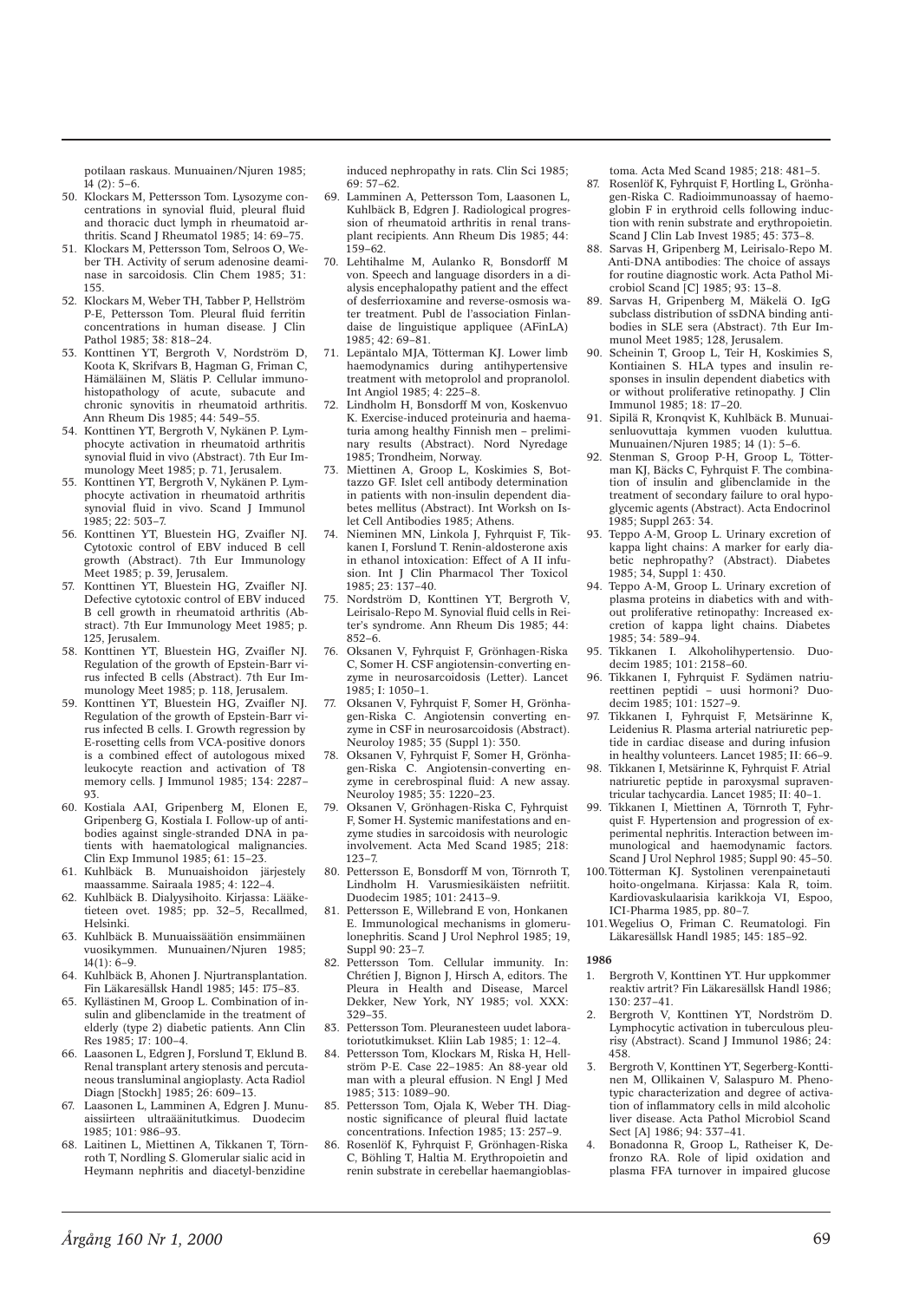potilaan raskaus. Munuainen/Njuren 1985;  $14(2) \cdot 5-6$ 

- 50. Klockars M, Pettersson Tom. Lysozyme concentrations in synovial fluid, pleural fluid and thoracic duct lymph in rheumatoid arthritis. Scand J Rheumatol 1985; 14: 69–75.
- 51. Klockars M, Pettersson Tom, Selroos O, Weber TH. Activity of serum adenosine deaminase in sarcoidosis. Clin Chem 1985; 31: 155.
- 52. Klockars M, Weber TH, Tabber P, Hellström P-E, Pettersson Tom. Pleural fluid ferritin concentrations in human disease. J Clin Pathol 1985; 38: 818–24.
- 53. Konttinen YT, Bergroth V, Nordström D, Koota K, Skrifvars B, Hagman G, Friman C, Hämäläinen M, Slätis P. Cellular immunohistopathology of acute, subacute and chronic synovitis in rheumatoid arthritis. Ann Rheum Dis 1985; 44: 549–55.
- 54. Konttinen YT, Bergroth V, Nykänen P. Lymphocyte activation in rheumatoid arthritis synovial fluid in vivo (Abstract). 7th Eur Immunology Meet 1985; p. 71, Jerusalem.
- 55. Konttinen YT, Bergroth V, Nykänen P. Lymphocyte activation in rheumatoid arthritis synovial fluid in vivo. Scand I Immunol  $1985: 22: 503 - 7$
- 56. Konttinen YT, Bluestein HG, Zvaifler NJ. Cytotoxic control of EBV induced B cell growth (Abstract). 7th Eur Immunology Meet 1985; p. 39. Jerusalem.
- 57. Konttinen YT, Bluestein HG, Zvaifler NJ. Defective cytotoxic control of EBV induced B cell growth in rheumatoid arthritis (Abstract). 7th Eur Immunology Meet 1985; p. 125, Jerusalem.
- 58. Konttinen YT, Bluestein HG, Zvaifler NJ. Regulation of the growth of Epstein-Barr virus infected B cells (Abstract). 7th Eur Immunology Meet 1985; p. 118, Jerusalem.
- 59. Konttinen YT, Bluestein HG, Zvaifler NJ. Regulation of the growth of Epstein-Barr virus infected B cells. I. Growth regression by E-rosetting cells from VCA-positive donors is a combined effect of autologous mixed leukocyte reaction and activation of T8 memory cells. J Immunol 1985; 134: 2287– 93.
- 60. Kostiala AAI, Gripenberg M, Elonen E, Gripenberg G, Kostiala I. Follow-up of antibodies against single-stranded DNA in patients with haematological malignancies. Clin Exp Immunol 1985; 61: 15–23.
- 61. Kuhlbäck B. Munuaishoidon järjestely maassamme. Sairaala 1985; 4: 122–4.
- 62. Kuhlbäck B. Dialyysihoito. Kirjassa: Lääketieteen ovet. 1985; pp. 32–5, Recallmed, Helsinki.
- 63. Kuhlbäck B. Munuaissäätiön ensimmäinen vuosikymmen. Munuainen/Njuren 1985;  $14(1): 6-9.$
- 64. Kuhlbäck B, Ahonen J. Njurtransplantation. Fin Läkaresällsk Handl 1985; 145: 175–83.
- 65. Kyllästinen M, Groop L. Combination of insulin and glibenclamide in the treatment of elderly (type 2) diabetic patients. Ann Clin Res 1985; 17: 100–4.
- 66. Laasonen L, Edgren J, Forslund T, Eklund B. Renal transplant artery stenosis and percutaneous transluminal angioplasty. Acta Radiol Diagn [Stockh] 1985; 26: 609–13.
- 67. Laasonen L, Lamminen A, Edgren J. Munuaissiirteen ultraäänitutkimus. Duodecim 1985; 101: 986–93.
- 68. Laitinen L, Miettinen A, Tikkanen T, Törnroth T, Nordling S. Glomerular sialic acid in Heymann nephritis and diacetyl-benzidine

induced nephropathy in rats. Clin Sci 1985;  $69.57-62$ 

- 69. Lamminen A, Pettersson Tom, Laasonen L, Kuhlbäck B, Edgren J. Radiological progression of rheumatoid arthritis in renal transplant recipients. Ann Rheum Dis 1985; 44: 159–62.
- 70. Lehtihalme M, Aulanko R, Bonsdorff M von. Speech and language disorders in a dialysis encephalopathy patient and the effect of desferrioxamine and reverse-osmosis water treatment. Publ de l'association Finlandaise de linguistique appliquee (AFinLA)  $1985 \cdot 42 \cdot 69 - 81$
- 71. Lepäntalo MJA, Tötterman KJ. Lower limb haemodynamics during antihypertensive treatment with metoprolol and propranolol. Int Angiol 1985; 4: 225–8.
- 72. Lindholm H, Bonsdorff M von, Koskenvuo K. Exercise-induced proteinuria and haematuria among healthy Finnish men – preliminary results (Abstract). Nord Nyredage 1985; Trondheim, Norway.
- 73. Miettinen A, Groop L, Koskimies S, Bottazzo GF. Islet cell antibody determination in patients with non-insulin dependent diabetes mellitus (Abstract). Int Worksh on Islet Cell Antibodies 1985; Athens.
- 74. Nieminen MN, Linkola J, Fyhrquist F, Tikkanen I, Forslund T. Renin-aldosterone axis in ethanol intoxication: Effect of A II infusion. Int J Clin Pharmacol Ther Toxicol 1985; 23: 137–40.
- 75. Nordström D, Konttinen YT, Bergroth V, Leirisalo-Repo M. Synovial fluid cells in Reiter's syndrome. Ann Rheum Dis 1985; 44:  $852 - 6$
- 76. Oksanen V, Fyhrquist F, Grönhagen-Riska C, Somer H. CSF angiotensin-converting enzyme in neurosarcoidosis (Letter). Lancet 1985; I: 1050–1.
- 77. Oksanen V, Fyhrquist F, Somer H, Grönhagen-Riska C. Angiotensin converting enzyme in CSF in neurosarcoidosis (Abstract). Neuroloy 1985; 35 (Suppl 1): 350.
- 78. Oksanen V, Fyhrquist F, Somer H, Grönhagen-Riska C. Angiotensin-converting enzyme in cerebrospinal fluid: A new assay. Neuroloy 1985; 35: 1220–23.
- 79. Oksanen V, Grönhagen-Riska C, Fyhrquist F, Somer H. Systemic manifestations and enzyme studies in sarcoidosis with neurologic involvement. Acta Med Scand 1985; 218: 123–7.
- 80. Pettersson E, Bonsdorff M von, Törnroth T, Lindholm H. Varusmiesikäisten nefriitit. Duodecim 1985; 101: 2413–9.
- 81. Pettersson E, Willebrand E von, Honkanen E. Immunological mechanisms in glomerulonephritis. Scand J Urol Nephrol 1985; 19, Suppl 90: 23–7.
- 82. Pettersson Tom. Cellular immunity. In: Chrétien J, Bignon J, Hirsch A, editors. The Pleura in Health and Disease, Marcel Dekker, New York, NY 1985; vol. XXX: 329–35.
- 83. Pettersson Tom. Pleuranesteen uudet laboratoriotutkimukset. Kliin Lab 1985; 1: 12–4.
- 84. Pettersson Tom, Klockars M, Riska H, Hellström P-E. Case 22–1985: An 88-year old man with a pleural effusion. N Engl J Med 1985; 313: 1089–90.
- 85. Pettersson Tom, Ojala K, Weber TH. Diagnostic significance of pleural fluid lactate concentrations. Infection 1985; 13: 257–9.
- 86. Rosenlöf K, Fyhrquist F, Grönhagen-Riska C, Böhling T, Haltia M. Erythropoietin and renin substrate in cerebellar haemangioblas-

toma. Acta Med Scand 1985; 218: 481–5.

- 87. Rosenlöf K, Fyhrquist F, Hortling L, Grönhagen-Riska C. Radioimmunoassay of haemoglobin F in erythroid cells following induction with renin substrate and erythropoietin. Scand J Clin Lab Invest 1985; 45: 373–8.
- 88. Sarvas H, Gripenberg M, Leirisalo-Repo M. Anti-DNA antibodies: The choice of assays for routine diagnostic work. Acta Pathol Microbiol Scand [C] 1985; 93: 13–8.
- 89. Sarvas H, Gripenberg M, Mäkelä O. IgG subclass distribution of ssDNA binding antibodies in SLE sera (Abstract). 7th Eur Immunol Meet 1985; 128, Jerusalem.
- 90. Scheinin T, Groop L, Teir H, Koskimies S, Kontiainen S. HLA types and insulin responses in insulin dependent diabetics with or without proliferative retinopathy. J Clin Immunol 1985; 18: 17–20.
- 91. Sipilä R, Kronqvist K, Kuhlbäck B. Munuaisenluovuttaja kymmen vuoden kuluttua. Munuainen/Njuren 1985; 14 (1): 5–6.
- 92. Stenman S, Groop P-H, Groop L, Tötterman KJ, Bäcks C, Fyhrquist F. The combination of insulin and glibenclamide in the treatment of secondary failure to oral hypoglycemic agents (Abstract). Acta Endocrinol 1985; Suppl 263: 34.
- 93. Teppo A-M, Groop L. Urinary excretion of kappa light chains: A marker for early diabetic nephropathy? (Abstract). Diabetes 1985; 34, Suppl 1: 430.
- 94. Teppo A-M, Groop L. Urinary excretion of plasma proteins in diabetics with and without proliferative retinopathy: Increased excretion of kappa light chains. Diabetes 1985; 34: 589–94.
- 95. Tikkanen I. Alkoholihypertensio. Duodecim 1985; 101: 2158–60.
- 96. Tikkanen I, Fyhrquist F. Sydämen natriureettinen peptidi – uusi hormoni? Duodecim 1985; 101: 1527–9.
- 97. Tikkanen I, Fyhrquist F, Metsärinne K, Leidenius R. Plasma arterial natriuretic peptide in cardiac disease and during infusion in healthy volunteers. Lancet 1985; II: 66–9.
- 98. Tikkanen I, Metsärinne K, Fyhrquist F. Atrial natriuretic peptide in paroxysmal supraventricular tachycardia. Lancet 1985; II: 40–1.
- 99. Tikkanen I, Miettinen A, Törnroth T, Fyhrquist F. Hypertension and progression of experimental nephritis. Interaction between immunological and haemodynamic factors. Scand J Urol Nephrol 1985; Suppl 90: 45-50.
- 100. Tötterman KJ. Systolinen verenpainetauti hoito-ongelmana. Kirjassa: Kala R, toim. Kardiovaskulaarisia karikkoja VI, Espoo, ICI-Pharma 1985, pp. 80–7.
- 101. Wegelius O, Friman C. Reumatologi. Fin Läkaresällsk Handl 1985; 145: 185–92.

- 1. Bergroth V, Konttinen YT. Hur uppkommer reaktiv artrit? Fin Läkaresällsk Handl 1986; 130: 237–41.
- 2. Bergroth V, Konttinen YT, Nordström D. Lymphocytic activation in tuberculous pleurisy (Abstract). Scand J Immunol 1986; 24: 458.
- 3. Bergroth V, Konttinen YT, Segerberg-Konttinen M, Ollikainen V, Salaspuro M. Phenotypic characterization and degree of activation of inflammatory cells in mild alcoholic liver disease. Acta Pathol Microbiol Scand Sect [A] 1986; 94: 337–41.
- 4. Bonadonna R, Groop L, Ratheiser K, Defronzo RA. Role of lipid oxidation and plasma FFA turnover in impaired glucose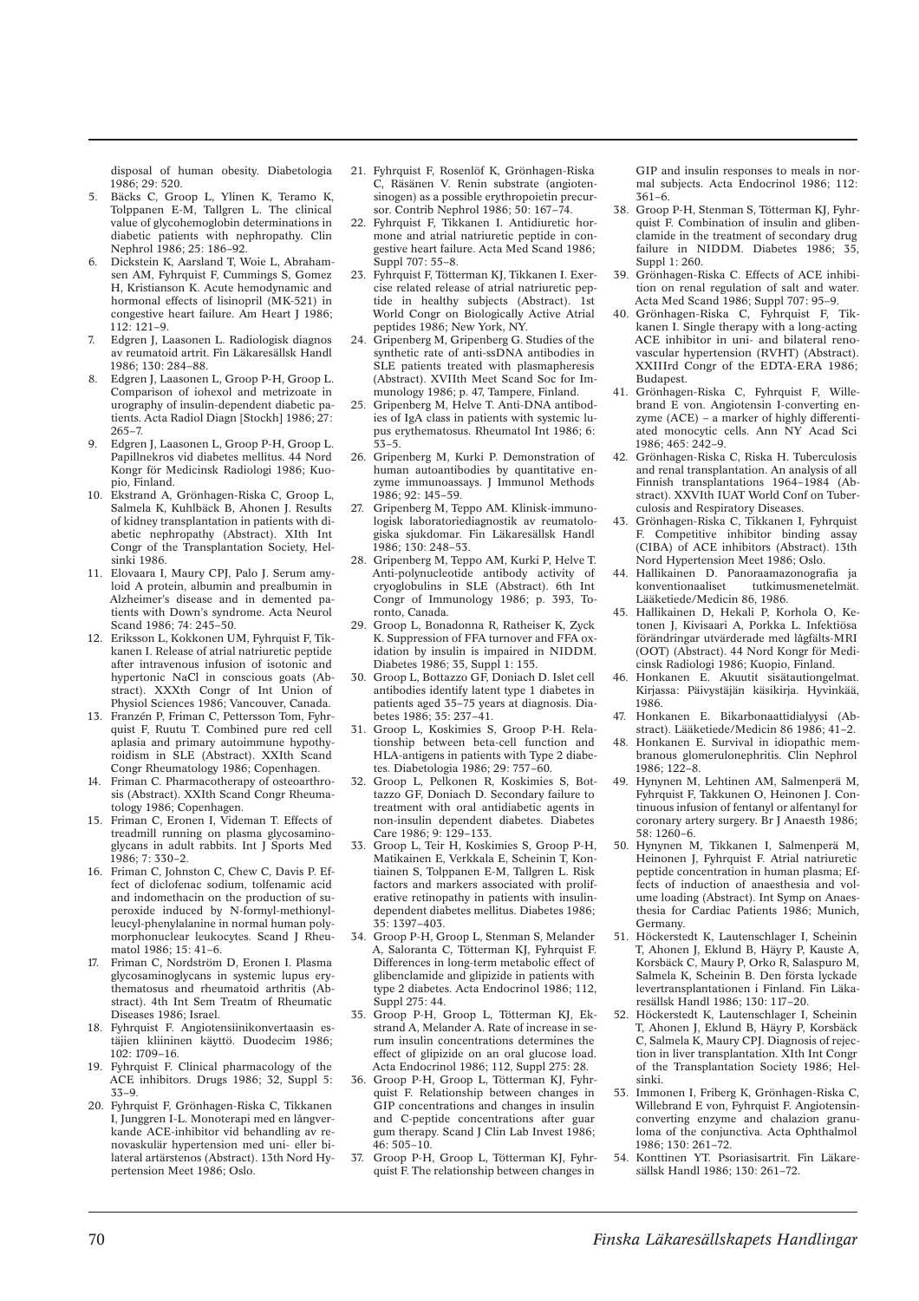disposal of human obesity. Diabetologia 1986; 29: 520.

- 5. Bäcks C, Groop L, Ylinen K, Teramo K, Tolppanen E-M, Tallgren L. The clinical value of glycohemoglobin determinations in diabetic patients with nephropathy. Clin Nephrol 1986; 25: 186–92.
- 6. Dickstein K, Aarsland T, Woie L, Abrahamsen AM, Fyhrquist F, Cummings S, Gomez H, Kristianson K. Acute hemodynamic and hormonal effects of lisinopril (MK-521) in congestive heart failure. Am Heart J 1986; 112: 121–9.
- 7. Edgren J, Laasonen L. Radiologisk diagnos av reumatoid artrit. Fin Läkaresällsk Handl 1986; 130: 284–88.
- 8. Edgren J, Laasonen L, Groop P-H, Groop L. Comparison of iohexol and metrizoate in urography of insulin-dependent diabetic patients. Acta Radiol Diagn [Stockh] 1986; 27: 265–7.
- 9. Edgren J, Laasonen L, Groop P-H, Groop L. Papillnekros vid diabetes mellitus. 44 Nord Kongr för Medicinsk Radiologi 1986; Kuopio, Finland.
- 10. Ekstrand A, Grönhagen-Riska C, Groop L, Salmela K, Kuhlbäck B, Ahonen J, Results of kidney transplantation in patients with diabetic nephropathy (Abstract). XIth Int Congr of the Transplantation Society, Helsinki 1986.
- 11. Elovaara I, Maury CPJ, Palo J. Serum amyloid A protein, albumin and prealbumin in Alzheimer's disease and in demented patients with Down's syndrome. Acta Neurol Scand 1986; 74: 245–50.
- 12. Eriksson L, Kokkonen UM, Fyhrquist F, Tikkanen I. Release of atrial natriuretic peptide after intravenous infusion of isotonic and hypertonic NaCl in conscious goats (Abstract). XXXth Congr of Int Union of Physiol Sciences 1986; Vancouver, Canada.
- 13. Franzén P, Friman C, Pettersson Tom, Fyhrquist F, Ruutu T. Combined pure red cell aplasia and primary autoimmune hypothyroidism in SLE (Abstract). XXIth Scand Congr Rheumatology 1986; Copenhagen.
- 14. Friman C. Pharmacotherapy of osteoarthrosis (Abstract). XXIth Scand Congr Rheumatology 1986; Copenhagen.
- 15. Friman C, Eronen I, Videman T. Effects of treadmill running on plasma glycosaminoglycans in adult rabbits. Int J Sports Med 1986; 7: 330–2.
- 16. Friman C, Johnston C, Chew C, Davis P. Effect of diclofenac sodium, tolfenamic acid and indomethacin on the production of superoxide induced by N-formyl-methionylleucyl-phenylalanine in normal human polymorphonuclear leukocytes. Scand J Rheumatol 1986; 15: 41–6.
- 17. Friman C, Nordström D, Eronen I. Plasma glycosaminoglycans in systemic lupus erythematosus and rheumatoid arthritis (Abstract). 4th Int Sem Treatm of Rheumatic Diseases 1986; Israel.
- 18. Fyhrquist F. Angiotensiinikonvertaasin estäjien kliininen käyttö. Duodecim 1986; 102: 1709–16.
- 19. Fyhrquist F. Clinical pharmacology of the ACE inhibitors. Drugs 1986; 32, Suppl 5: 33–9.
- 20. Fyhrquist F, Grönhagen-Riska C, Tikkanen I, Junggren I-L. Monoterapi med en långverkande ACE-inhibitor vid behandling av renovaskulär hypertension med uni- eller bilateral artärstenos (Abstract). 13th Nord Hypertension Meet 1986; Oslo.
- 21. Fyhrquist F, Rosenlöf K, Grönhagen-Riska C, Räsänen V. Renin substrate (angiotensinogen) as a possible erythropoietin precursor. Contrib Nephrol 1986; 50: 167–74.
- 22. Fyhrquist F, Tikkanen I. Antidiuretic hormone and atrial natriuretic peptide in congestive heart failure. Acta Med Scand 1986; Suppl 707: 55–8.
- 23. Fyhrquist F, Tötterman KJ, Tikkanen I. Exercise related release of atrial natriuretic peptide in healthy subjects (Abstract). 1st World Congr on Biologically Active Atrial peptides 1986; New York, NY.
- 24. Gripenberg M, Gripenberg G. Studies of the synthetic rate of anti-ssDNA antibodies in SLE patients treated with plasmapheresis (Abstract). XVIIth Meet Scand Soc for Immunology 1986; p. 47, Tampere, Finland.
- 25. Gripenberg M, Helve T. Anti-DNA antibodies of IgA class in patients with systemic lupus erythematosus. Rheumatol Int 1986; 6: 53–5.
- 26. Gripenberg M, Kurki P. Demonstration of human autoantibodies by quantitative enzyme immunoassays. J Immunol Methods 1986; 92: 145–59.
- 27. Gripenberg M, Teppo AM. Klinisk-immunologisk laboratoriediagnostik av reumatologiska sjukdomar. Fin Läkaresällsk Handl 1986; 130: 248–53.
- 28. Gripenberg M, Teppo AM, Kurki P, Helve T. Anti-polynucleotide antibody activity of cryoglobulins in SLE (Abstract). 6th Int Congr of Immunology 1986; p. 393, Toronto, Canada.
- 29. Groop L, Bonadonna R, Ratheiser K, Zyck K. Suppression of FFA turnover and FFA oxidation by insulin is impaired in NIDDM. Diabetes 1986; 35, Suppl 1: 155.
- 30. Groop L, Bottazzo GF, Doniach D. Islet cell antibodies identify latent type 1 diabetes in patients aged 35–75 years at diagnosis. Diabetes 1986; 35: 237–41.
- 31. Groop L, Koskimies S, Groop P-H. Relationship between beta-cell function and HLA-antigens in patients with Type 2 diabetes. Diabetologia 1986; 29: 757–60.
- 32. Groop L, Pelkonen R, Koskimies S, Bottazzo GF, Doniach D. Secondary failure to treatment with oral antidiabetic agents in non-insulin dependent diabetes. Diabetes Care 1986; 9: 129–133.
- 33. Groop L, Teir H, Koskimies S, Groop P-H, Matikainen E, Verkkala E, Scheinin T, Kontiainen S, Tolppanen E-M, Tallgren L. Risk factors and markers associated with proliferative retinopathy in patients with insulindependent diabetes mellitus. Diabetes 1986; 35: 1397–403.
- 34. Groop P-H, Groop L, Stenman S, Melander A, Saloranta C, Tötterman KJ, Fyhrquist F. Differences in long-term metabolic effect of glibenclamide and glipizide in patients with type 2 diabetes. Acta Endocrinol 1986; 112, Suppl 275: 44.
- 35. Groop P-H, Groop L, Tötterman KJ, Ekstrand A, Melander A. Rate of increase in serum insulin concentrations determines the effect of glipizide on an oral glucose load. Acta Endocrinol 1986; 112, Suppl 275: 28.
- 36. Groop P-H, Groop L, Tötterman KJ, Fyhrquist F. Relationship between changes in GIP concentrations and changes in insulin and C-peptide concentrations after guar gum therapy. Scand J Clin Lab Invest 1986;  $46:505-10$
- 37. Groop P-H, Groop L, Tötterman KJ, Fyhrquist F. The relationship between changes in

GIP and insulin responses to meals in normal subjects. Acta Endocrinol 1986; 112: 361–6.

- 38. Groop P-H, Stenman S, Tötterman KJ, Fyhrquist F. Combination of insulin and glibenclamide in the treatment of secondary drug failure in NIDDM. Diabetes 1986: 35, Suppl 1: 260.
- 39. Grönhagen-Riska C. Effects of ACE inhibition on renal regulation of salt and water. Acta Med Scand 1986; Suppl 707: 95–9.
- 40. Grönhagen-Riska C, Fyhrquist F, Tikkanen I. Single therapy with a long-acting ACE inhibitor in uni- and bilateral renovascular hypertension (RVHT) (Abstract). XXIIIrd Congr of the EDTA-ERA 1986; Budapest.
- 41. Grönhagen-Riska C, Fyhrquist F, Willebrand E von. Angiotensin I-converting enzyme (ACE) – a marker of highly differentiated monocytic cells. Ann NY Acad Sci 1986; 465: 242–9.
- 42. Grönhagen-Riska C, Riska H. Tuberculosis and renal transplantation. An analysis of all Finnish transplantations 1964–1984 (Abstract). XXVIth IUAT World Conf on Tuberculosis and Respiratory Diseases.
- 43. Grönhagen-Riska C, Tikkanen I, Fyhrquist F. Competitive inhibitor binding assay (CIBA) of ACE inhibitors (Abstract). 13th Nord Hypertension Meet 1986; Oslo.
- 44. Hallikainen D. Panoraamazonografia ja konventionaaliset tutkimusmenetelmät. Lääketiede/Medicin 86, 1986.
- 45. Hallikainen D, Hekali P, Korhola O, Ketonen J, Kivisaari A, Porkka L. Infektiösa förändringar utvärderade med lågfälts-MRI (OOT) (Abstract). 44 Nord Kongr för Medicinsk Radiologi 1986; Kuopio, Finland.
- 46. Honkanen E. Akuutit sisätautiongelmat. Kirjassa: Päivystäjän käsikirja. Hyvinkää, 1986.
- 47. Honkanen E. Bikarbonaattidialyysi (Abstract). Lääketiede/Medicin 86 1986; 41–2.
- 48. Honkanen E. Survival in idiopathic membranous glomerulonephritis. Clin Nephrol 1986; 122–8.
- 49. Hynynen M, Lehtinen AM, Salmenperä M, Fyhrquist F, Takkunen O, Heinonen J. Continuous infusion of fentanyl or alfentanyl for coronary artery surgery. Br J Anaesth 1986; 58: 1260–6.
- 50. Hynynen M, Tikkanen I, Salmenperä M, Heinonen J, Fyhrquist F. Atrial natriuretic peptide concentration in human plasma; Effects of induction of anaesthesia and volume loading (Abstract). Int Symp on Anaesthesia for Cardiac Patients 1986; Munich, Germany.
- 51. Höckerstedt K, Lautenschlager I, Scheinin T, Ahonen J, Eklund B, Häyry P, Kauste A, Korsbäck C, Maury P, Orko R, Salaspuro M, Salmela K, Scheinin B. Den första lyckade levertransplantationen i Finland. Fin Läkaresällsk Handl 1986; 130: 117–20.
- 52. Höckerstedt K, Lautenschlager I, Scheinin T, Ahonen J, Eklund B, Häyry P, Korsbäck C, Salmela K, Maury CPJ. Diagnosis of rejection in liver transplantation. XIth Int Congr of the Transplantation Society 1986; Helsinki.
- 53. Immonen I, Friberg K, Grönhagen-Riska C, Willebrand E von, Fyhrquist F. Angiotensinconverting enzyme and chalazion granuloma of the conjunctiva. Acta Ophthalmol  $1986: 130: 261 - 72$
- 54. Konttinen YT. Psoriasisartrit. Fin Läkaresällsk Handl 1986; 130: 261–72.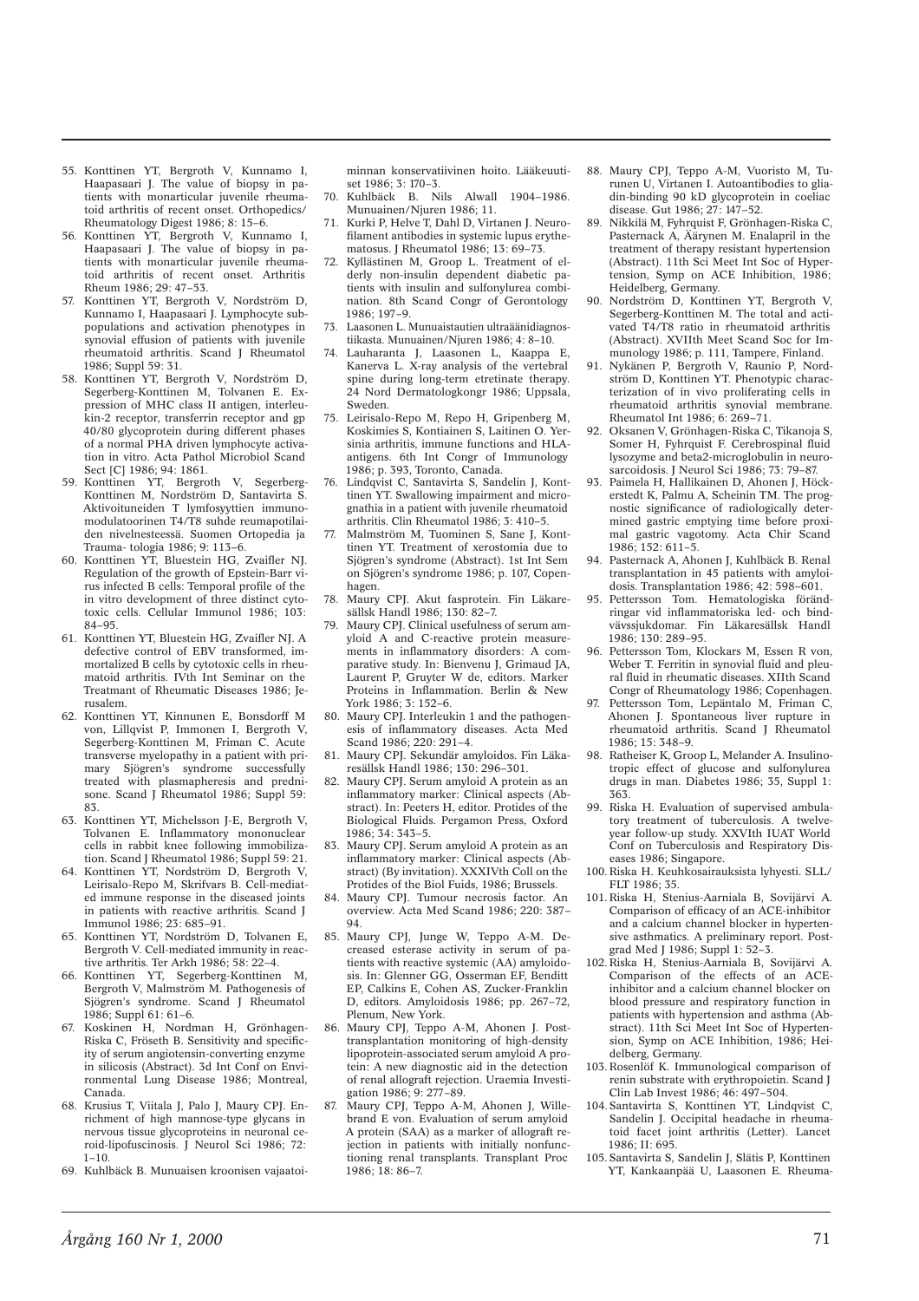- 55. Konttinen YT, Bergroth V, Kunnamo I, Haapasaari J. The value of biopsy in patients with monarticular juvenile rheumatoid arthritis of recent onset. Orthopedics/ Rheumatology Digest 1986; 8: 15–6.
- 56. Konttinen YT, Bergroth V, Kunnamo I, Haapasaari J. The value of biopsy in patients with monarticular juvenile rheumatoid arthritis of recent onset. Arthritis Rheum 1986; 29: 47–53.
- 57. Konttinen YT, Bergroth V, Nordström D, Kunnamo I, Haapasaari J. Lymphocyte subpopulations and activation phenotypes in synovial effusion of patients with juvenile rheumatoid arthritis. Scand J Rheumatol 1986; Suppl 59: 31.
- 58. Konttinen YT, Bergroth V, Nordström D, Segerberg-Konttinen M, Tolvanen E. Expression of MHC class II antigen, interleukin-2 receptor, transferrin receptor and gp 40/80 glycoprotein during different phases of a normal PHA driven lymphocyte activation in vitro. Acta Pathol Microbiol Scand Sect [C] 1986; 94: 1861.
- 59. Konttinen YT, Bergroth V, Segerberg-Konttinen M, Nordström D, Santavirta S. Aktivoituneiden T lymfosyyttien immunomodulatoorinen T4/T8 suhde reumapotilaiden nivelnesteessä. Suomen Ortopedia ja Trauma- tologia 1986; 9: 113–6.
- 60. Konttinen YT, Bluestein HG, Zvaifler NJ. Regulation of the growth of Epstein-Barr virus infected B cells: Temporal profile of the in vitro development of three distinct cytotoxic cells. Cellular Immunol 1986; 103: 84–95.
- 61. Konttinen YT, Bluestein HG, Zvaifler NJ. A defective control of EBV transformed, immortalized B cells by cytotoxic cells in rheumatoid arthritis. IVth Int Seminar on the Treatmant of Rheumatic Diseases 1986; Jerusalem.
- 62. Konttinen YT, Kinnunen E, Bonsdorff M von, Lillqvist P, Immonen I, Bergroth V, Segerberg-Konttinen M, Friman C. Acute transverse myelopathy in a patient with primary Sjögren's syndrome successfully treated with plasmapheresis and prednisone. Scand J Rheumatol 1986; Suppl 59: 83.
- 63. Konttinen YT, Michelsson J-E, Bergroth V, Tolvanen E. Inflammatory mononuclear cells in rabbit knee following immobilization. Scand J Rheumatol 1986; Suppl 59: 21.
- 64. Konttinen YT, Nordström D, Bergroth V, Leirisalo-Repo M, Skrifvars B. Cell-mediated immune response in the diseased joints in patients with reactive arthritis. Scand J Immunol 1986; 23: 685–91.
- 65. Konttinen YT, Nordström D, Tolvanen E, Bergroth V. Cell-mediated immunity in reactive arthritis. Ter Arkh 1986; 58: 22–4.
- 66. Konttinen YT, Segerberg-Konttinen M, Bergroth V, Malmström M. Pathogenesis of Sjögren's syndrome. Scand J Rheumatol 1986; Suppl 61: 61–6.
- 67. Koskinen H, Nordman H, Grönhagen-Riska C, Fröseth B. Sensitivity and specificity of serum angiotensin-converting enzyme in silicosis (Abstract). 3d Int Conf on Environmental Lung Disease 1986; Montreal, Canada.
- 68. Krusius T, Viitala J, Palo J, Maury CPJ. Enrichment of high mannose-type glycans in nervous tissue glycoproteins in neuronal ceroid-lipofuscinosis. J Neurol Sci 1986; 72:  $1 - 10$ .
- 69. Kuhlbäck B. Munuaisen kroonisen vajaatoi-

minnan konservatiivinen hoito. Lääkeuutiset 1986; 3: 170-3.

- 70. Kuhlbäck B. Nils Alwall 1904–1986. Munuainen/Njuren 1986; 11.
- 71. Kurki P, Helve T, Dahl D, Virtanen J. Neurofilament antibodies in systemic lupus erythematosus. J Rheumatol 1986; 13: 69–73.
- 72. Kyllästinen M, Groop L. Treatment of elderly non-insulin dependent diabetic patients with insulin and sulfonylurea combination. 8th Scand Congr of Gerontology 1986; 197–9.
- 73. Laasonen L. Munuaistautien ultraäänidiagnostiikasta. Munuainen/Njuren 1986; 4: 8–10.
- 74. Lauharanta J, Laasonen L, Kaappa E, Kanerva L. X-ray analysis of the vertebral spine during long-term etretinate therapy. 24 Nord Dermatologkongr 1986; Uppsala, Sweden.
- 75. Leirisalo-Repo M, Repo H, Gripenberg M, Koskimies S, Kontiainen S, Laitinen O. Yersinia arthritis, immune functions and HLAantigens. 6th Int Congr of Immunology 1986; p. 393, Toronto, Canada.
- 76. Lindqvist C, Santavirta S, Sandelin J, Konttinen YT. Swallowing impairment and micrognathia in a patient with juvenile rheumatoid arthritis. Clin Rheumatol 1986; 3: 410–5.
- 77. Malmström M, Tuominen S, Sane J, Konttinen YT. Treatment of xerostomia due to Sjögren's syndrome (Abstract). 1st Int Sem on Sjögren's syndrome 1986; p. 107, Copenhagen.
- 78. Maury CPJ. Akut fasprotein. Fin Läkaresällsk Handl 1986; 130: 82–7.
- 79. Maury CPJ. Clinical usefulness of serum amyloid A and C-reactive protein measurements in inflammatory disorders: A comparative study. In: Bienvenu J, Grimaud JA, Laurent P, Gruyter W de, editors. Marker Proteins in Inflammation. Berlin & New York 1986; 3: 152–6.
- 80. Maury CPJ. Interleukin 1 and the pathogenesis of inflammatory diseases. Acta Med Scand 1986; 220: 291–4.
- 81. Maury CPJ. Sekundär amyloidos. Fin Läkaresällsk Handl 1986; 130: 296–301.
- 82. Maury CPJ. Serum amyloid A protein as an inflammatory marker: Clinical aspects (Abstract). In: Peeters H, editor. Protides of the Biological Fluids. Pergamon Press, Oxford 1986; 34: 343–5.
- 83. Maury CPJ. Serum amyloid A protein as an inflammatory marker: Clinical aspects (Abstract) (By invitation). XXXIVth Coll on the Protides of the Biol Fuids, 1986; Brussels.
- 84. Maury CPJ. Tumour necrosis factor. An overview. Acta Med Scand 1986; 220: 387– 94.
- 85. Maury CPJ, Junge W, Teppo A-M. Decreased esterase activity in serum of patients with reactive systemic (AA) amyloidosis. In: Glenner GG, Osserman EF, Benditt EP, Calkins E, Cohen AS, Zucker-Franklin D, editors. Amyloidosis 1986; pp. 267–72, Plenum, New York.
- 86. Maury CPJ, Teppo A-M, Ahonen J. Posttransplantation monitoring of high-density lipoprotein-associated serum amyloid A protein: A new diagnostic aid in the detection of renal allograft rejection. Uraemia Investigation 1986; 9: 277–89.
- Maury CPJ, Teppo A-M, Ahonen J, Willebrand E von. Evaluation of serum amyloid A protein (SAA) as a marker of allograft rejection in patients with initially nonfunctioning renal transplants. Transplant Proc 1986; 18: 86–7.
- 88. Maury CPJ, Teppo A-M, Vuoristo M, Turunen U, Virtanen I. Autoantibodies to gliadin-binding 90 kD glycoprotein in coeliac disease. Gut 1986; 27: 147–52.
- 89. Nikkilä M, Fyhrquist F, Grönhagen-Riska C, Pasternack A, Äärynen M. Enalapril in the treatment of therapy resistant hypertension (Abstract). 11th Sci Meet Int Soc of Hypertension, Symp on ACE Inhibition, 1986; Heidelberg, Germany.
- 90. Nordström D, Konttinen YT, Bergroth V, Segerberg-Konttinen M. The total and activated T4/T8 ratio in rheumatoid arthritis (Abstract). XVIIth Meet Scand Soc for Immunology 1986; p. 111, Tampere, Finland.
- 91. Nykänen P, Bergroth V, Raunio P, Nordström D, Konttinen YT. Phenotypic characterization of in vivo proliferating cells in rheumatoid arthritis synovial membrane. Rheumatol Int 1986; 6: 269–71.
- 92. Oksanen V, Grönhagen-Riska C, Tikanoja S, Somer H, Fyhrquist F, Cerebrospinal fluid lysozyme and beta2-microglobulin in neurosarcoidosis. J Neurol Sci 1986; 73: 79–87.
- 93. Paimela H, Hallikainen D, Ahonen J, Höckerstedt K, Palmu A, Scheinin TM. The prognostic significance of radiologically determined gastric emptying time before proximal gastric vagotomy. Acta Chir Scand 1986; 152: 611–5.
- 94. Pasternack A, Ahonen J, Kuhlbäck B. Renal transplantation in 45 patients with amyloidosis. Transplantation 1986; 42: 598–601.
- 95. Pettersson Tom. Hematologiska förändringar vid inflammatoriska led- och bindvävssjukdomar. Fin Läkaresällsk Handl 1986; 130: 289–95.
- 96. Pettersson Tom, Klockars M, Essen R von, Weber T. Ferritin in synovial fluid and pleural fluid in rheumatic diseases. XIIth Scand Congr of Rheumatology 1986; Copenhagen.
- 97. Pettersson Tom, Lepäntalo M, Friman C, Ahonen J. Spontaneous liver rupture in rheumatoid arthritis. Scand J Rheumatol 1986; 15: 348–9.
- 98. Ratheiser K, Groop L, Melander A. Insulinotropic effect of glucose and sulfonylurea drugs in man. Diabetes 1986; 35, Suppl 1: 363.
- 99. Riska H. Evaluation of supervised ambulatory treatment of tuberculosis. A twelveyear follow-up study. XXVIth IUAT World Conf on Tuberculosis and Respiratory Diseases 1986; Singapore.
- 100. Riska H. Keuhkosairauksista lyhyesti. SLL/ FLT 1986; 35.
- 101. Riska H, Stenius-Aarniala B, Sovijärvi A. Comparison of efficacy of an ACE-inhibitor and a calcium channel blocker in hypertensive asthmatics. A preliminary report. Postgrad Med J 1986; Suppl 1: 52–3.
- 102. Riska H, Stenius-Aarniala B, Sovijärvi A. Comparison of the effects of an ACEinhibitor and a calcium channel blocker on blood pressure and respiratory function in patients with hypertension and asthma (Abstract). 11th Sci Meet Int Soc of Hypertension, Symp on ACE Inhibition, 1986; Heidelberg, Germany.
- 103. Rosenlöf K. Immunological comparison of renin substrate with erythropoietin. Scand J Clin Lab Invest 1986; 46: 497–504.
- 104. Santavirta S, Konttinen YT, Lindqvist C, Sandelin J. Occipital headache in rheumatoid facet joint arthritis (Letter). Lancet  $1986: H: 695$
- 105. Santavirta S, Sandelin J, Slätis P, Konttinen YT, Kankaanpää U, Laasonen E. Rheuma-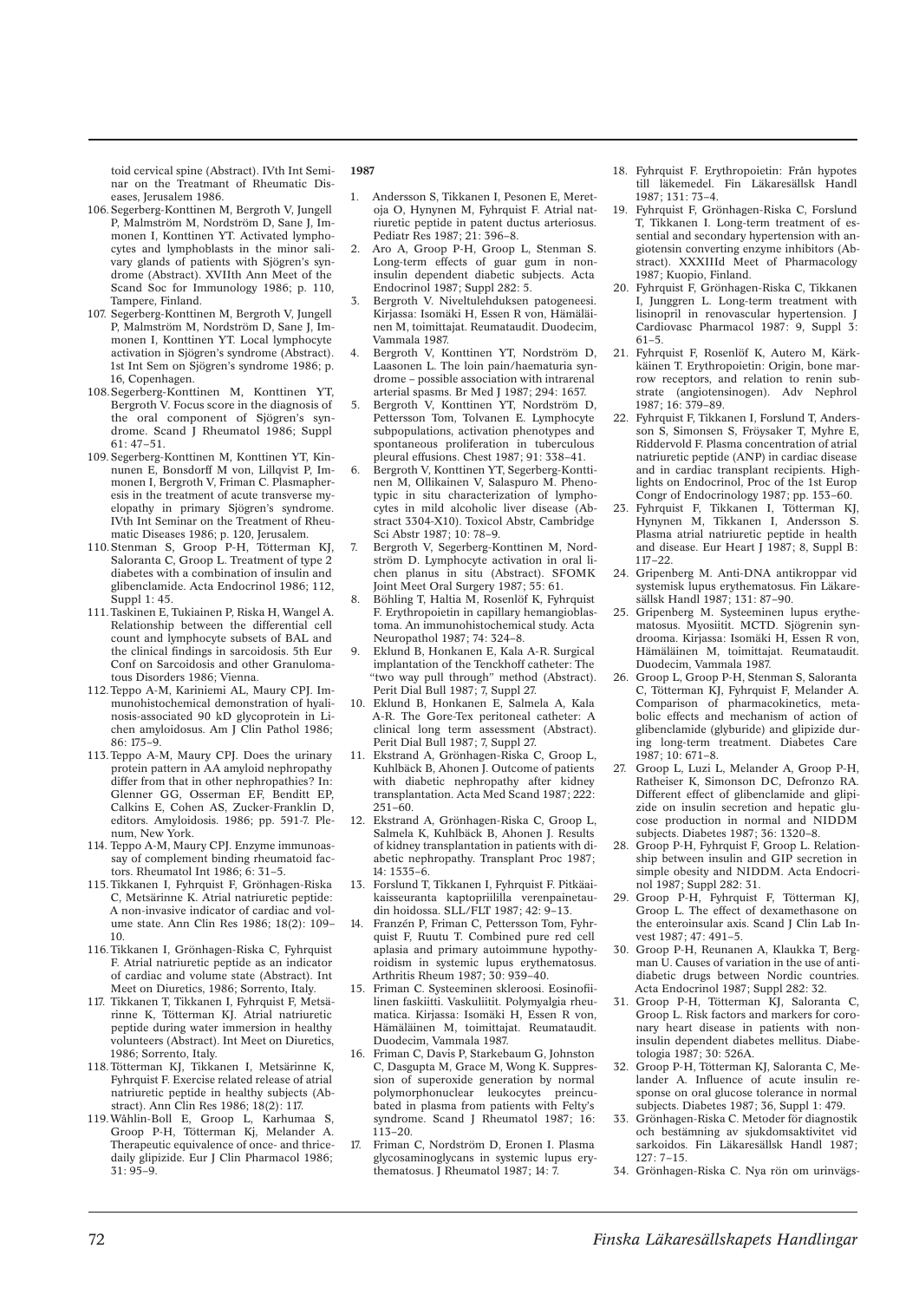toid cervical spine (Abstract). IVth Int Seminar on the Treatmant of Rheumatic Diseases, Jerusalem 1986.

- 106. Segerberg-Konttinen M, Bergroth V, Jungell P, Malmström M, Nordström D, Sane J, Immonen I, Konttinen YT. Activated lymphocytes and lymphoblasts in the minor salivary glands of patients with Sjögren's syndrome (Abstract). XVIIth Ann Meet of the Scand Soc for Immunology 1986; p. 110, Tampere, Finland.
- 107. Segerberg-Konttinen M, Bergroth V, Jungell P, Malmström M, Nordström D, Sane J, Immonen I, Konttinen YT. Local lymphocyte activation in Sjögren's syndrome (Abstract). 1st Int Sem on Sjögren's syndrome 1986; p. 16, Copenhagen.
- 108. Segerberg-Konttinen M, Konttinen YT, Bergroth V. Focus score in the diagnosis of the oral component of Sjögren's syndrome. Scand J Rheumatol 1986; Suppl 61: 47–51.
- 109. Segerberg-Konttinen M, Konttinen YT, Kinnunen E, Bonsdorff M von, Lillqvist P, Immonen I, Bergroth V, Friman C. Plasmapheresis in the treatment of acute transverse myelopathy in primary Sjögren's syndrome. IVth Int Seminar on the Treatment of Rheumatic Diseases 1986; p. 120, Jerusalem.
- 110. Stenman S, Groop P-H, Tötterman KJ, Saloranta C, Groop L. Treatment of type 2 diabetes with a combination of insulin and glibenclamide. Acta Endocrinol 1986; 112, Suppl 1: 45.
- 111. Taskinen E, Tukiainen P, Riska H, Wangel A. Relationship between the differential cell count and lymphocyte subsets of BAL and the clinical findings in sarcoidosis. 5th Eur Conf on Sarcoidosis and other Granulomatous Disorders 1986; Vienna.
- 112. Teppo A-M, Kariniemi AL, Maury CPJ. Immunohistochemical demonstration of hyalinosis-associated 90 kD glycoprotein in Lichen amyloidosus. Am J Clin Pathol 1986; 86: 175–9.
- 113. Teppo A-M, Maury CPJ. Does the urinary protein pattern in AA amyloid nephropathy differ from that in other nephropathies? In: Glenner GG, Osserman EF, Benditt EP Calkins E, Cohen AS, Zucker-Franklin D, editors. Amyloidosis. 1986; pp. 591-7. Plenum, New York.
- 114. Teppo A-M, Maury CPJ. Enzyme immunoassay of complement binding rheumatoid factors. Rheumatol Int 1986; 6: 31–5.
- 115. Tikkanen I, Fyhrquist F, Grönhagen-Riska C, Metsärinne K. Atrial natriuretic peptide: A non-invasive indicator of cardiac and volume state. Ann Clin Res 1986; 18(2): 109– 10.
- 116. Tikkanen I, Grönhagen-Riska C, Fyhrquist F. Atrial natriuretic peptide as an indicator of cardiac and volume state (Abstract). Int Meet on Diuretics, 1986; Sorrento, Italy.
- 117. Tikkanen T, Tikkanen I, Fyhrquist F, Metsärinne K, Tötterman KJ. Atrial natriuretic peptide during water immersion in healthy volunteers (Abstract). Int Meet on Diuretics, 1986; Sorrento, Italy.
- 118. Tötterman KJ, Tikkanen I, Metsärinne K, Fyhrquist F. Exercise related release of atrial natriuretic peptide in healthy subjects (Abstract). Ann Clin Res 1986; 18(2): 117.
- 119. Wåhlin-Boll E, Groop L, Karhumaa S, Groop P-H, Tötterman Kj, Melander A. Therapeutic equivalence of once- and thricedaily glipizide. Eur J Clin Pharmacol 1986; 31: 95–9.

- 1. Andersson S, Tikkanen I, Pesonen E, Meretoja O, Hynynen M, Fyhrquist F. Atrial natriuretic peptide in patent ductus arteriosus. Pediatr Res 1987; 21: 396–8.
- 2. Aro A, Groop P-H, Groop L, Stenman S. Long-term effects of guar gum in noninsulin dependent diabetic subjects. Acta Endocrinol 1987; Suppl 282: 5.
- Bergroth V. Niveltulehduksen patogeneesi. Kirjassa: Isomäki H, Essen R von, Hämäläinen M, toimittajat. Reumataudit. Duodecim, Vammala 1987.
- 4. Bergroth V, Konttinen YT, Nordström D, Laasonen L. The loin pain/haematuria syndrome – possible association with intrarenal arterial spasms. Br Med J 1987; 294: 1657.
- 5. Bergroth V, Konttinen YT, Nordström D, Pettersson Tom, Tolvanen E. Lymphocyte subpopulations, activation phenotypes and spontaneous proliferation in tuberculous pleural effusions. Chest 1987; 91: 338–41.
- 6. Bergroth V, Konttinen YT, Segerberg-Konttinen M, Ollikainen V, Salaspuro M. Phenotypic in situ characterization of lymphocytes in mild alcoholic liver disease (Abstract 3304-X10). Toxicol Abstr, Cambridge Sci Abstr 1987; 10: 78–9.
- 7. Bergroth V, Segerberg-Konttinen M, Nordström D. Lymphocyte activation in oral lichen planus in situ (Abstract). SFOMK Joint Meet Oral Surgery 1987; 55: 61.
- 8. Böhling T, Haltia M, Rosenlöf K, Fyhrquist F. Erythropoietin in capillary hemangioblastoma. An immunohistochemical study. Acta Neuropathol 1987; 74: 324–8.
- 9. Eklund B, Honkanen E, Kala A-R. Surgical implantation of the Tenckhoff catheter: The "two way pull through" method (Abstract). Perit Dial Bull 1987; 7, Suppl 27.
- 10. Eklund B, Honkanen E, Salmela A, Kala A-R. The Gore-Tex peritoneal catheter: A clinical long term assessment (Abstract). Perit Dial Bull 1987; 7, Suppl 27.
- 11. Ekstrand A, Grönhagen-Riska C, Groop L, Kuhlbäck B, Ahonen J. Outcome of patients with diabetic nephropathy after kidney transplantation. Acta Med Scand 1987; 222: 251–60.
- 12. Ekstrand A, Grönhagen-Riska C, Groop L, Salmela K, Kuhlbäck B, Ahonen J. Results of kidney transplantation in patients with diabetic nephropathy. Transplant Proc 1987;  $14: 1535 - 6$
- 13. Forslund T, Tikkanen I, Fyhrquist F. Pitkäaikaisseuranta kaptopriililla verenpainetaudin hoidossa. SLL/FLT 1987; 42: 9–13.
- 14. Franzén P, Friman C, Pettersson Tom, Fyhrquist F, Ruutu T. Combined pure red cell aplasia and primary autoimmune hypothyroidism in systemic lupus erythematosus. Arthritis Rheum 1987; 30: 939–40.
- 15. Friman C. Systeeminen skleroosi. Eosinofiilinen faskiitti. Vaskuliitit. Polymyalgia rheumatica. Kirjassa: Isomäki H, Essen R von, Hämäläinen M, toimittajat. Reumataudit. Duodecim, Vammala 1987.
- 16. Friman C, Davis P, Starkebaum G, Johnston C, Dasgupta M, Grace M, Wong K. Suppression of superoxide generation by normal polymorphonuclear leukocytes preincubated in plasma from patients with Felty's syndrome. Scand J Rheumatol 1987; 16: 113–20.
- 17. Friman C, Nordström D, Eronen I. Plasma glycosaminoglycans in systemic lupus erythematosus. J Rheumatol 1987; 14: 7.
- 18. Fyhrquist F. Erythropoietin: Från hypotes till läkemedel. Fin Läkaresällsk Handl 1987; 131: 73–4.
- 19. Fyhrquist F, Grönhagen-Riska C, Forslund T, Tikkanen I. Long-term treatment of essential and secondary hypertension with angiotensin converting enzyme inhibitors (Abstract). XXXIIId Meet of Pharmacology 1987; Kuopio, Finland.
- 20. Fyhrquist F, Grönhagen-Riska C, Tikkanen I, Junggren L. Long-term treatment with lisinopril in renovascular hypertension. J Cardiovasc Pharmacol 1987: 9, Suppl 3:  $61 - 5$
- 21. Fyhrquist F, Rosenlöf K, Autero M, Kärkkäinen T. Erythropoietin: Origin, bone marrow receptors, and relation to renin substrate (angiotensinogen). Adv Nephrol  $1987 \cdot 16 \cdot 379 - 89$
- 22. Fyhrquist F, Tikkanen I, Forslund T, Andersson S, Simonsen S, Fröysaker T, Myhre E, Riddervold F. Plasma concentration of atrial natriuretic peptide (ANP) in cardiac disease and in cardiac transplant recipients. Highlights on Endocrinol, Proc of the 1st Europ Congr of Endocrinology 1987; pp. 153–60.
- 23. Fyhrquist F, Tikkanen I, Tötterman KJ, Hynynen M, Tikkanen I, Andersson S. Plasma atrial natriuretic peptide in health and disease. Eur Heart J 1987; 8, Suppl B: 117–22.
- 24. Gripenberg M. Anti-DNA antikroppar vid systemisk lupus erythematosus. Fin Läkaresällsk Handl 1987; 131: 87-90.
- 25. Gripenberg M. Systeeminen lupus erythematosus. Myosiitit. MCTD. Sjögrenin syndrooma. Kirjassa: Isomäki H, Essen R von, Hämäläinen M, toimittajat. Reumataudit. Duodecim, Vammala 1987.
- 26. Groop L, Groop P-H, Stenman S, Saloranta C, Tötterman KJ, Fyhrquist F, Melander A. Comparison of pharmacokinetics, metabolic effects and mechanism of action of glibenclamide (glyburide) and glipizide during long-term treatment. Diabetes Care 1987; 10: 671–8.
- 27. Groop L, Luzi L, Melander A, Groop P-H, Ratheiser K, Simonson DC, Defronzo RA. Different effect of glibenclamide and glipizide on insulin secretion and hepatic glucose production in normal and NIDDM subjects. Diabetes 1987; 36: 1320–8.
- 28. Groop P-H, Fyhrquist F, Groop L. Relationship between insulin and GIP secretion in simple obesity and NIDDM. Acta Endocrinol 1987; Suppl 282: 31.
- 29. Groop P-H, Fyhrquist F, Tötterman KJ, Groop L. The effect of dexamethasone on the enteroinsular axis. Scand J Clin Lab Invest 1987; 47: 491–5.
- 30. Groop P-H, Reunanen A, Klaukka T, Bergman  $U$ . Causes of variation in the use of antidiabetic drugs between Nordic countries. Acta Endocrinol 1987; Suppl 282: 32.
- 31. Groop P-H, Tötterman KJ, Saloranta C, Groop L. Risk factors and markers for coronary heart disease in patients with noninsulin dependent diabetes mellitus. Diabetologia 1987; 30: 526A.
- 32. Groop P-H, Tötterman KJ, Saloranta C, Melander A. Influence of acute insulin response on oral glucose tolerance in normal subjects. Diabetes 1987; 36, Suppl 1: 479.
- 33. Grönhagen-Riska C. Metoder för diagnostik och bestämning av sjukdomsaktivitet vid sarkoidos. Fin Läkaresällsk Handl 1987; 127: 7–15.
- 34. Grönhagen-Riska C. Nya rön om urinvägs-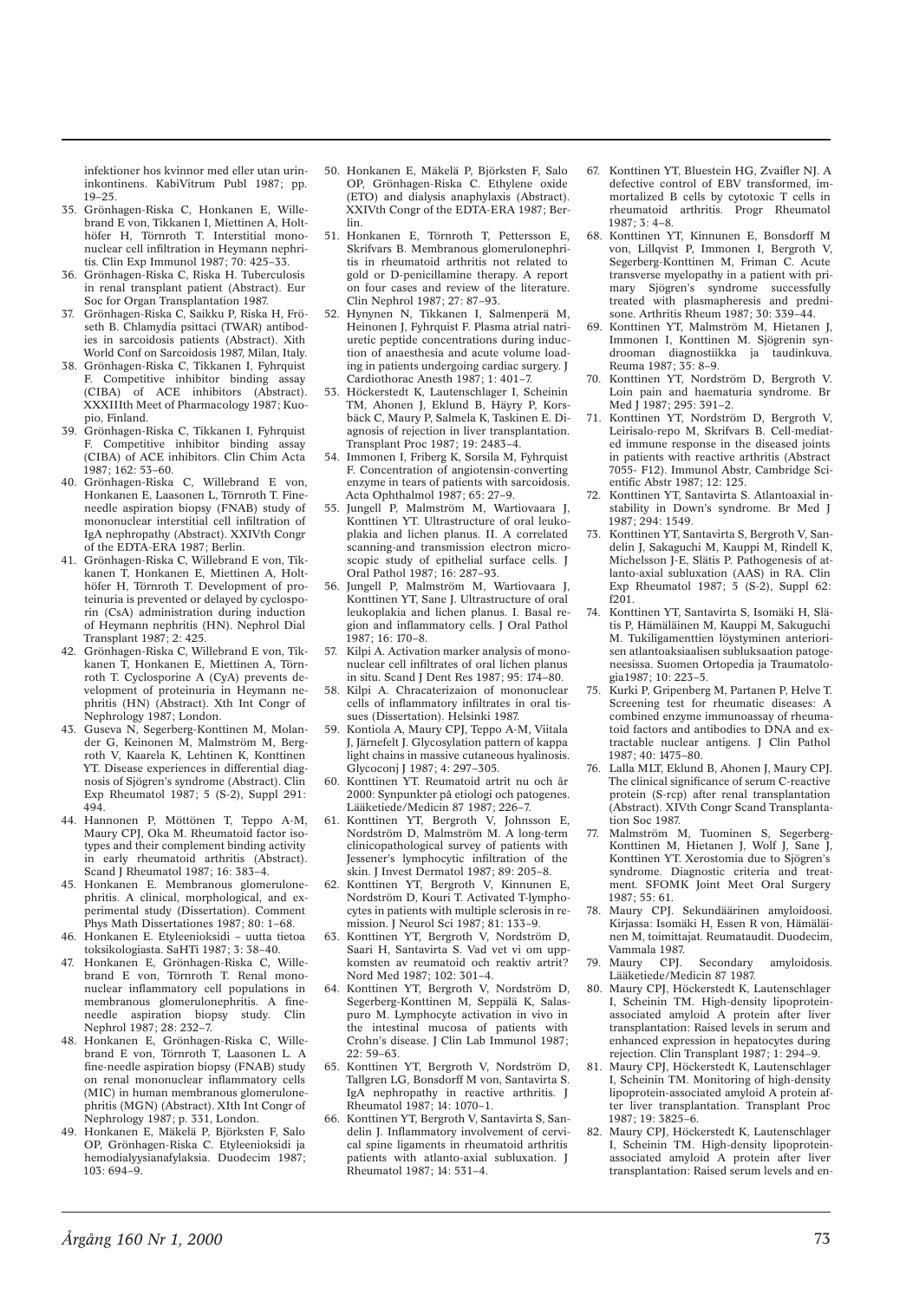infektioner hos kvinnor med eller utan urininkontinens. KabiVitrum Publ 1987; pp. 19–25.

- 35. Grönhagen-Riska C, Honkanen E, Willebrand E von, Tikkanen I, Miettinen A, Holthöfer H, Törnroth T. Interstitial mononuclear cell infiltration in Heymann nephritis. Clin Exp Immunol 1987; 70: 425–33.
- 36. Grönhagen-Riska C, Riska H. Tuberculosis in renal transplant patient (Abstract). Eur Soc for Organ Transplantation 1987.
- 37. Grönhagen-Riska C, Saikku P, Riska H, Fröseth B. Chlamydia psittaci (TWAR) antibodies in sarcoidosis patients (Abstract). Xith World Conf on Sarcoidosis 1987, Milan, Italy.
- 38. Grönhagen-Riska C, Tikkanen I, Fyhrquist F. Competitive inhibitor binding assay (CIBA) of ACE inhibitors (Abstract). XXXIIIth Meet of Pharmacology 1987; Kuopio, Finland.
- 39. Grönhagen-Riska C, Tikkanen I, Fyhrquist F. Competitive inhibitor binding assay (CIBA) of ACE inhibitors. Clin Chim Acta  $1987: 162: 53-60$
- 40. Grönhagen-Riska C, Willebrand E von, Honkanen E, Laasonen L, Törnroth T. Fineneedle aspiration biopsy (FNAB) study of mononuclear interstitial cell infiltration of IgA nephropathy (Abstract). XXIVth Congr of the EDTA-ERA 1987; Berlin.
- 41. Grönhagen-Riska C, Willebrand E von, Tikkanen T, Honkanen E, Miettinen A, Holthöfer H, Törnroth T. Development of proteinuria is prevented or delayed by cyclosporin (CsA) administration during induction of Heymann nephritis (HN). Nephrol Dial Transplant 1987; 2: 425.
- 42. Grönhagen-Riska C, Willebrand E von, Tikkanen T, Honkanen E, Miettinen A, Törnroth T. Cyclosporine A (CyA) prevents development of proteinuria in Heymann nephritis (HN) (Abstract). Xth Int Congr of Nephrology 1987; London.
- 43. Guseva N, Segerberg-Konttinen M, Molander G, Keinonen M, Malmström M, Bergroth V, Kaarela K, Lehtinen K, Konttinen YT. Disease experiences in differential diagnosis of Sjögren's syndrome (Abstract). Clin Exp Rheumatol 1987; 5 (S-2), Suppl 291: 494.
- 44. Hannonen P, Möttönen T, Teppo A-M, Maury CPJ, Oka M. Rheumatoid factor isotypes and their complement binding activity in early rheumatoid arthritis (Abstract). Scand J Rheumatol 1987; 16: 383-4.
- 45. Honkanen E. Membranous glomerulonephritis. A clinical, morphological, and experimental study (Dissertation). Comment Phys Math Dissertationes 1987; 80: 1–68.
- 46. Honkanen E. Etyleenioksidi uutta tietoa toksikologiasta. SaHTi 1987; 3: 38–40.
- 47. Honkanen E, Grönhagen-Riska C, Willebrand E von, Törnroth T. Renal mononuclear inflammatory cell populations in membranous glomerulonephritis. A fine-<br>needle aspiration biopsy study Clin needle aspiration biopsy study. Nephrol 1987; 28: 232–7.
- 48. Honkanen E, Grönhagen-Riska C, Willebrand E von, Törnroth T, Laasonen L. A fine-needle aspiration biopsy (FNAB) study on renal mononuclear inflammatory cells (MIC) in human membranous glomerulonephritis (MGN) (Abstract). XIth Int Congr of Nephrology 1987; p. 331, London.
- 49. Honkanen E, Mäkelä P, Björksten F, Salo OP, Grönhagen-Riska C. Etyleenioksidi ja hemodialyysianafylaksia. Duodecim 1987; 103: 694–9.
- 50. Honkanen E, Mäkelä P, Björksten F, Salo OP, Grönhagen-Riska C. Ethylene oxide (ETO) and dialysis anaphylaxis (Abstract). XXIVth Congr of the EDTA-ERA 1987; Berlin.
- 51. Honkanen E, Törnroth T, Pettersson E, Skrifvars B. Membranous glomerulonephritis in rheumatoid arthritis not related to gold or D-penicillamine therapy. A report on four cases and review of the literature. Clin Nephrol 1987; 27: 87–93.
- 52. Hynynen N, Tikkanen I, Salmenperä M, Heinonen J, Fyhrquist F. Plasma atrial natriuretic peptide concentrations during induction of anaesthesia and acute volume loading in patients undergoing cardiac surgery. J Cardiothorac Anesth 1987; 1: 401-7.
- 53. Höckerstedt K, Lautenschlager I, Scheinin TM, Ahonen J, Eklund B, Häyry P, Korsbäck C, Maury P, Salmela K, Taskinen E. Diagnosis of rejection in liver transplantation. Transplant Proc 1987; 19: 2483–4.
- 54. Immonen I, Friberg K, Sorsila M, Fyhrquist F. Concentration of angiotensin-converting enzyme in tears of patients with sarcoidosis. Acta Ophthalmol 1987; 65: 27–9.
- 55. Jungell P, Malmström M, Wartiovaara J, Konttinen YT. Ultrastructure of oral leukoplakia and lichen planus. II. A correlated scanning-and transmission electron microscopic study of epithelial surface cells. I Oral Pathol 1987; 16: 287–93.
- 56. Jungell P, Malmström M, Wartiovaara J, Konttinen YT, Sane J. Ultrastructure of oral leukoplakia and lichen planus. I. Basal region and inflammatory cells. J Oral Pathol  $1987 \cdot 16 \cdot 170 - 8$
- 57. Kilpi A. Activation marker analysis of mononuclear cell infiltrates of oral lichen planus in situ. Scand J Dent Res 1987; 95: 174–80.
- 58. Kilpi A. Chracaterizaion of mononuclear cells of inflammatory infiltrates in oral tissues (Dissertation). Helsinki 1987.
- 59. Kontiola A, Maury CPJ, Teppo A-M, Viitala J, Järnefelt J. Glycosylation pattern of kappa light chains in massive cutaneous hyalinosis. Glycoconj J 1987; 4: 297–305.
- 60. Konttinen YT. Reumatoid artrit nu och år 2000: Synpunkter på etiologi och patogenes. Lääketiede/Medicin 87 1987; 226–7.
- 61. Konttinen YT, Bergroth V, Johnsson E, Nordström D, Malmström M. A long-term clinicopathological survey of patients with Jessener's lymphocytic infiltration of the skin. J Invest Dermatol 1987; 89: 205–8.
- 62. Konttinen YT, Bergroth V, Kinnunen E, Nordström D, Kouri T. Activated T-lymphocytes in patients with multiple sclerosis in remission. J Neurol Sci 1987; 81: 133–9.
- 63. Konttinen YT, Bergroth V, Nordström D, Saari H, Santavirta S. Vad vet vi om uppkomsten av reumatoid och reaktiv artrit? Nord Med 1987; 102: 301–4.
- 64. Konttinen YT, Bergroth V, Nordström D, Segerberg-Konttinen M, Seppälä K, Salaspuro M. Lymphocyte activation in vivo in the intestinal mucosa of patients with Crohn's disease. J Clin Lab Immunol 1987; 22: 59–63.
- 65. Konttinen YT, Bergroth V, Nordström D, Tallgren LG, Bonsdorff M von, Santavirta S. IgA nephropathy in reactive arthritis. J Rheumatol 1987; 14: 1070–1.
- Konttinen YT, Bergroth V, Santavirta S, Sandelin J. Inflammatory involvement of cervical spine ligaments in rheumatoid arthritis patients with atlanto-axial subluxation. J Rheumatol 1987; 14: 531–4.
- 67. Konttinen YT, Bluestein HG, Zvaifler NJ. A defective control of EBV transformed, immortalized B cells by cytotoxic T cells in rheumatoid arthritis. Progr Rheumatol  $1987 \cdot 3 \cdot 4 - 8$
- 68. Konttinen YT, Kinnunen E, Bonsdorff M von, Lillqvist P, Immonen I, Bergroth V, Segerberg-Konttinen M, Friman C. Acute transverse myelopathy in a patient with primary Sjögren's syndrome successfully treated with plasmapheresis and prednisone. Arthritis Rheum 1987; 30: 339–44.
- 69. Konttinen YT, Malmström M, Hietanen J, Immonen I, Konttinen M. Sjögrenin syndrooman diagnostiikka ja taudinkuva. Reuma 1987; 35: 8–9.
- 70. Konttinen YT, Nordström D, Bergroth V. Loin pain and haematuria syndrome. Br Med I 1987: 295: 391-2.
- 71. Konttinen YT, Nordström D, Bergroth V, Leirisalo-repo M, Skrifvars B. Cell-mediated immune response in the diseased joints in patients with reactive arthritis (Abstract 7055- F12). Immunol Abstr, Cambridge Scientific Abstr 1987; 12: 125.
- 72. Konttinen YT, Santavirta S. Atlantoaxial instability in Down's syndrome. Br Med J 1987; 294: 1549.
- 73. Konttinen YT, Santavirta S, Bergroth V, Sandelin J, Sakaguchi M, Kauppi M, Rindell K, Michelsson J-E, Slätis P. Pathogenesis of atlanto-axial subluxation (AAS) in RA. Clin Exp Rheumatol 1987; 5 (S-2), Suppl 62: f201.
- 74. Konttinen YT, Santavirta S, Isomäki H, Slätis P, Hämäläinen M, Kauppi M, Sakuguchi M. Tukiligamenttien löystyminen anteriorisen atlantoaksiaalisen subluksaation patogeneesissa. Suomen Ortopedia ja Traumatologia1987; 10: 223–5.
- 75. Kurki P, Gripenberg M, Partanen P, Helve T. Screening test for rheumatic diseases: A combined enzyme immunoassay of rheumatoid factors and antibodies to DNA and extractable nuclear antigens. J Clin Pathol 1987; 40: 1475–80.
- 76. Lalla MLT, Eklund B, Ahonen J, Maury CPJ. The clinical significance of serum C-reactive protein (S-rcp) after renal transplantation (Abstract). XIVth Congr Scand Transplantation Soc 1987.
- Malmström M, Tuominen S, Segerberg-Konttinen M, Hietanen J, Wolf J, Sane J, Konttinen YT. Xerostomia due to Sjögren's syndrome. Diagnostic criteria and treatment. SFOMK Joint Meet Oral Surgery 1987; 55: 61.
- 78. Maury CPJ. Sekundäärinen amyloidoosi. Kirjassa: Isomäki H, Essen R von, Hämäläinen M, toimittajat. Reumataudit. Duodecim, Vammala 1987.<br>Maury CPJ.
- 79. Maury CPJ. Secondary amyloidosis. Lääketiede/Medicin 87 1987.
- 80. Maury CPJ, Höckerstedt K, Lautenschlager I, Scheinin TM. High-density lipoproteinassociated amyloid A protein after liver transplantation: Raised levels in serum and enhanced expression in hepatocytes during rejection. Clin Transplant 1987; 1: 294–9.
- 81. Maury CPJ, Höckerstedt K, Lautenschlager I, Scheinin TM. Monitoring of high-density lipoprotein-associated amyloid A protein after liver transplantation. Transplant Proc 1987; 19: 3825–6.
- Maury CPJ, Höckerstedt K, Lautenschlager I, Scheinin TM. High-density lipoproteinassociated amyloid A protein after liver transplantation: Raised serum levels and en-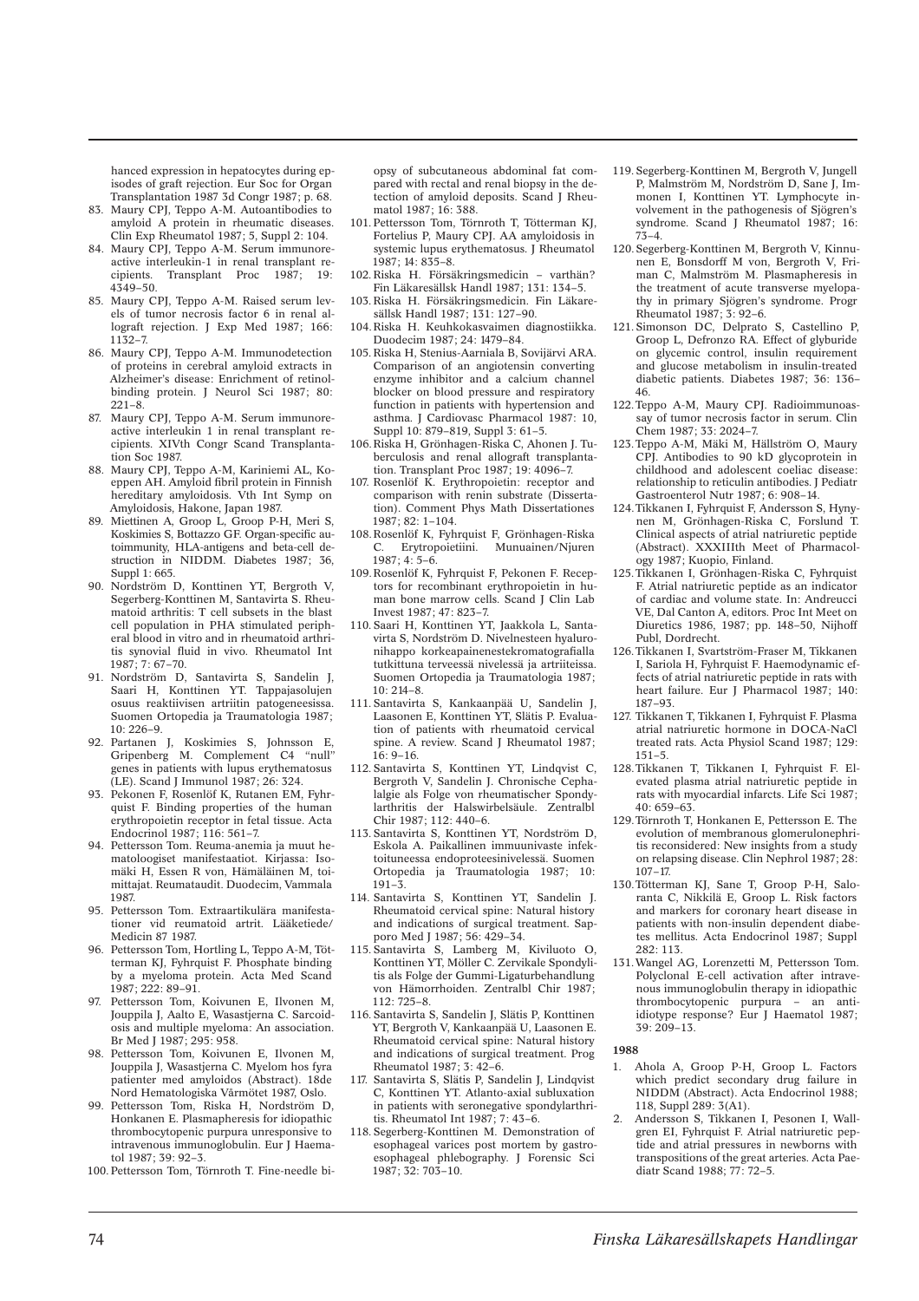hanced expression in hepatocytes during episodes of graft rejection. Eur Soc for Organ Transplantation 1987 3d Congr 1987; p. 68.

- 83. Maury CPJ, Teppo A-M. Autoantibodies to amyloid A protein in rheumatic diseases. Clin Exp Rheumatol 1987; 5, Suppl 2: 104.
- 84. Maury CPJ, Teppo A-M. Serum immunoreactive interleukin-1 in renal transplant recipients. Transplant Proc 1987: 19: Transplant Proc 1987; 19: 4349–50.
- 85. Maury CPJ, Teppo A-M. Raised serum levels of tumor necrosis factor 6 in renal allograft rejection. J Exp Med 1987; 166: 1132–7.
- 86. Maury CPJ, Teppo A-M. Immunodetection of proteins in cerebral amyloid extracts in Alzheimer's disease: Enrichment of retinolbinding protein. J Neurol Sci 1987; 80: 221–8.
- 87. Maury CPJ, Teppo A-M. Serum immunoreactive interleukin 1 in renal transplant recipients. XIVth Congr Scand Transplantation Soc 1987.
- 88. Maury CPJ, Teppo A-M, Kariniemi AL, Koeppen AH. Amyloid fibril protein in Finnish hereditary amyloidosis. Vth Int Symp on Amyloidosis, Hakone, Japan 1987.
- 89. Miettinen A, Groop L, Groop P-H, Meri S, Koskimies S, Bottazzo GF. Organ-specific autoimmunity, HLA-antigens and beta-cell destruction in NIDDM. Diabetes 1987; 36, Suppl 1: 665.
- 90. Nordström D, Konttinen YT, Bergroth V, Segerberg-Konttinen M, Santavirta S. Rheumatoid arthritis: T cell subsets in the blast cell population in PHA stimulated peripheral blood in vitro and in rheumatoid arthritis synovial fluid in vivo. Rheumatol Int 1987; 7: 67–70.
- 91. Nordström D, Santavirta S, Sandelin J, Saari H, Konttinen YT. Tappajasolujen osuus reaktiivisen artriitin patogeneesissa. Suomen Ortopedia ja Traumatologia 1987; 10: 226–9.
- 92. Partanen J, Koskimies S, Johnsson E, Gripenberg M. Complement C4 "null" genes in patients with lupus erythematosus (LE). Scand J Immunol 1987; 26: 324.
- 93. Pekonen F, Rosenlöf K, Rutanen EM, Fyhrquist F. Binding properties of the human erythropoietin receptor in fetal tissue. Acta Endocrinol 1987; 116: 561–7.
- 94. Pettersson Tom. Reuma-anemia ja muut hematoloogiset manifestaatiot. Kirjassa: Isomäki H, Essen R von, Hämäläinen M, toimittajat. Reumataudit. Duodecim, Vammala 1987.
- 95. Pettersson Tom. Extraartikulära manifestationer vid reumatoid artrit. Lääketiede/ Medicin 87 1987.
- 96. Pettersson Tom, Hortling L, Teppo A-M, Tötterman KJ, Fyhrquist F. Phosphate binding by a myeloma protein. Acta Med Scand 1987; 222: 89–91.
- 97. Pettersson Tom, Koivunen E, Ilvonen M, Jouppila J, Aalto E, Wasastjerna C. Sarcoidosis and multiple myeloma: An association. Br Med J 1987; 295: 958.
- 98. Pettersson Tom, Koivunen E, Ilvonen M, Jouppila J, Wasastjerna C. Myelom hos fyra patienter med amyloidos (Abstract). 18de Nord Hematologiska Vårmötet 1987, Oslo.
- 99. Pettersson Tom, Riska H, Nordström D, Honkanen E. Plasmapheresis for idiopathic thrombocytopenic purpura unresponsive to intravenous immunoglobulin. Eur J Haematol 1987; 39: 92–3.
- 100. Pettersson Tom, Törnroth T. Fine-needle bi-

opsy of subcutaneous abdominal fat compared with rectal and renal biopsy in the detection of amyloid deposits. Scand J Rheumatol 1987; 16: 388.

- 101. Pettersson Tom, Törnroth T, Tötterman KJ, Fortelius P, Maury CPJ. AA amyloidosis in systemic lupus erythematosus. J Rheumatol 1987; 14: 835–8.
- 102. Riska H. Försäkringsmedicin varthän? Fin Läkaresällsk Handl 1987; 131: 134–5.
- 103. Riska H. Försäkringsmedicin. Fin Läkaresällsk Handl 1987; 131: 127–90.
- 104. Riska H. Keuhkokasvaimen diagnostiikka. Duodecim 1987; 24: 1479–84.
- 105. Riska H, Stenius-Aarniala B, Sovijärvi ARA. Comparison of an angiotensin converting enzyme inhibitor and a calcium channel blocker on blood pressure and respiratory function in patients with hypertension and asthma. J Cardiovasc Pharmacol 1987: 10, Suppl 10: 879–819, Suppl 3: 61–5.
- 106. Riska H, Grönhagen-Riska C, Ahonen J. Tuberculosis and renal allograft transplantation. Transplant Proc 1987; 19: 4096–7.
- 107. Rosenlöf K. Erythropoietin: receptor and comparison with renin substrate (Dissertation). Comment Phys Math Dissertationes  $1987 \cdot 82 \cdot 1 - 104$
- 108. Rosenlöf K, Fyhrquist F, Grönhagen-Riska C. Erytropoietiini. Munuainen/Njuren 1987; 4: 5–6.
- 109. Rosenlöf K, Fyhrquist F, Pekonen F. Receptors for recombinant erythropoietin in human bone marrow cells. Scand I Clin Lab Invest 1987; 47: 823–7.
- 110. Saari H, Konttinen YT, Jaakkola L, Santavirta S, Nordström D. Nivelnesteen hyaluronihappo korkeapainenestekromatografialla tutkittuna terveessä nivelessä ja artriiteissa. Suomen Ortopedia ja Traumatologia 1987;  $10.214 - 8$
- 111. Santavirta S, Kankaanpää U, Sandelin J, Laasonen E, Konttinen YT, Slätis P. Evaluation of patients with rheumatoid cervical spine. A review. Scand J Rheumatol 1987;  $16.9 - 16$
- 112. Santavirta S, Konttinen YT, Lindqvist C, Bergroth V, Sandelin J. Chronische Cephalalgie als Folge von rheumatischer Spondylarthritis der Halswirbelsäule. Zentralbl Chir 1987; 112: 440–6.
- 113. Santavirta S, Konttinen YT, Nordström D, Eskola A. Paikallinen immuunivaste infektoituneessa endoproteesinivelessä. Suomen Ortopedia ja Traumatologia 1987; 10:  $191 - 3$ .
- 114. Santavirta S, Konttinen YT, Sandelin J. Rheumatoid cervical spine: Natural history and indications of surgical treatment. Sapporo Med J 1987; 56: 429–34.
- 115. Santavirta S, Lamberg M, Kiviluoto O, Konttinen YT, Möller C. Zervikale Spondylitis als Folge der Gummi-Ligaturbehandlung von Hämorrhoiden. Zentralbl Chir 1987; 112: 725–8.
- 116. Santavirta S, Sandelin J, Slätis P, Konttinen YT, Bergroth V, Kankaanpää U, Laasonen E. Rheumatoid cervical spine: Natural history and indications of surgical treatment. Prog Rheumatol 1987; 3: 42–6.
- 117. Santavirta S, Slätis P, Sandelin J, Lindqvist C, Konttinen YT. Atlanto-axial subluxation in patients with seronegative spondylarthritis. Rheumatol Int 1987; 7: 43–6.
- 118. Segerberg-Konttinen M. Demonstration of esophageal varices post mortem by gastroesophageal phlebography. J Forensic Sci 1987; 32: 703–10.
- 119. Segerberg-Konttinen M, Bergroth V, Jungell P, Malmström M, Nordström D, Sane J, Immonen I, Konttinen YT. Lymphocyte involvement in the pathogenesis of Sjögren's syndrome. Scand J Rheumatol 1987; 16: 73–4.
- 120. Segerberg-Konttinen M, Bergroth V, Kinnunen E, Bonsdorff M von, Bergroth V, Friman C, Malmström M. Plasmapheresis in the treatment of acute transverse myelopathy in primary Sjögren's syndrome. Progr Rheumatol 1987; 3: 92–6.
- 121. Simonson DC, Delprato S, Castellino P, Groop L, Defronzo RA. Effect of glyburide on glycemic control, insulin requirement and glucose metabolism in insulin-treated diabetic patients. Diabetes 1987; 36: 136– 46.
- 122. Teppo A-M, Maury CPJ. Radioimmunoassay of tumor necrosis factor in serum. Clin Chem 1987; 33: 2024–7.
- 123. Teppo A-M, Mäki M, Hällström O, Maury CPJ. Antibodies to 90 kD glycoprotein in childhood and adolescent coeliac disease: relationship to reticulin antibodies. J Pediatr Gastroenterol Nutr 1987; 6: 908–14.
- 124. Tikkanen I, Fyhrquist F, Andersson S, Hynynen M, Grönhagen-Riska C, Forslund T. Clinical aspects of atrial natriuretic peptide (Abstract). XXXIIIth Meet of Pharmacology 1987; Kuopio, Finland.
- 125. Tikkanen I, Grönhagen-Riska C, Fyhrquist F. Atrial natriuretic peptide as an indicator of cardiac and volume state. In: Andreucci VE, Dal Canton A, editors. Proc Int Meet on Diuretics 1986, 1987; pp. 148–50, Nijhoff Publ, Dordrecht.
- 126. Tikkanen I, Svartström-Fraser M, Tikkanen I, Sariola H, Fyhrquist F. Haemodynamic effects of atrial natriuretic peptide in rats with heart failure. Eur J Pharmacol 1987: 140: 187–93.
- 127. Tikkanen T, Tikkanen I, Fyhrquist F. Plasma atrial natriuretic hormone in DOCA-NaCl treated rats. Acta Physiol Scand 1987; 129:  $151 - 5$
- 128. Tikkanen T, Tikkanen I, Fyhrquist F. Elevated plasma atrial natriuretic peptide in rats with myocardial infarcts. Life Sci 1987; 40: 659–63.
- 129. Törnroth T, Honkanen E, Pettersson E. The evolution of membranous glomerulonephritis reconsidered: New insights from a study on relapsing disease. Clin Nephrol 1987; 28: 107–17.
- 130. Tötterman KJ, Sane T, Groop P-H, Saloranta C, Nikkilä E, Groop L. Risk factors and markers for coronary heart disease in patients with non-insulin dependent diabetes mellitus. Acta Endocrinol 1987; Suppl 282: 113.
- 131. Wangel AG, Lorenzetti M, Pettersson Tom. Polyclonal E-cell activation after intravenous immunoglobulin therapy in idiopathic thrombocytopenic purpura – an antiidiotype response? Eur J Haematol 1987; 39: 209–13.

- 1. Ahola A, Groop P-H, Groop L. Factors which predict secondary drug failure in NIDDM (Abstract). Acta Endocrinol 1988; 118, Suppl 289: 3(A1).
- 2. Andersson S, Tikkanen I, Pesonen I, Wallgren EI, Fyhrquist F. Atrial natriuretic peptide and atrial pressures in newborns with transpositions of the great arteries. Acta Paediatr Scand 1988; 77: 72–5.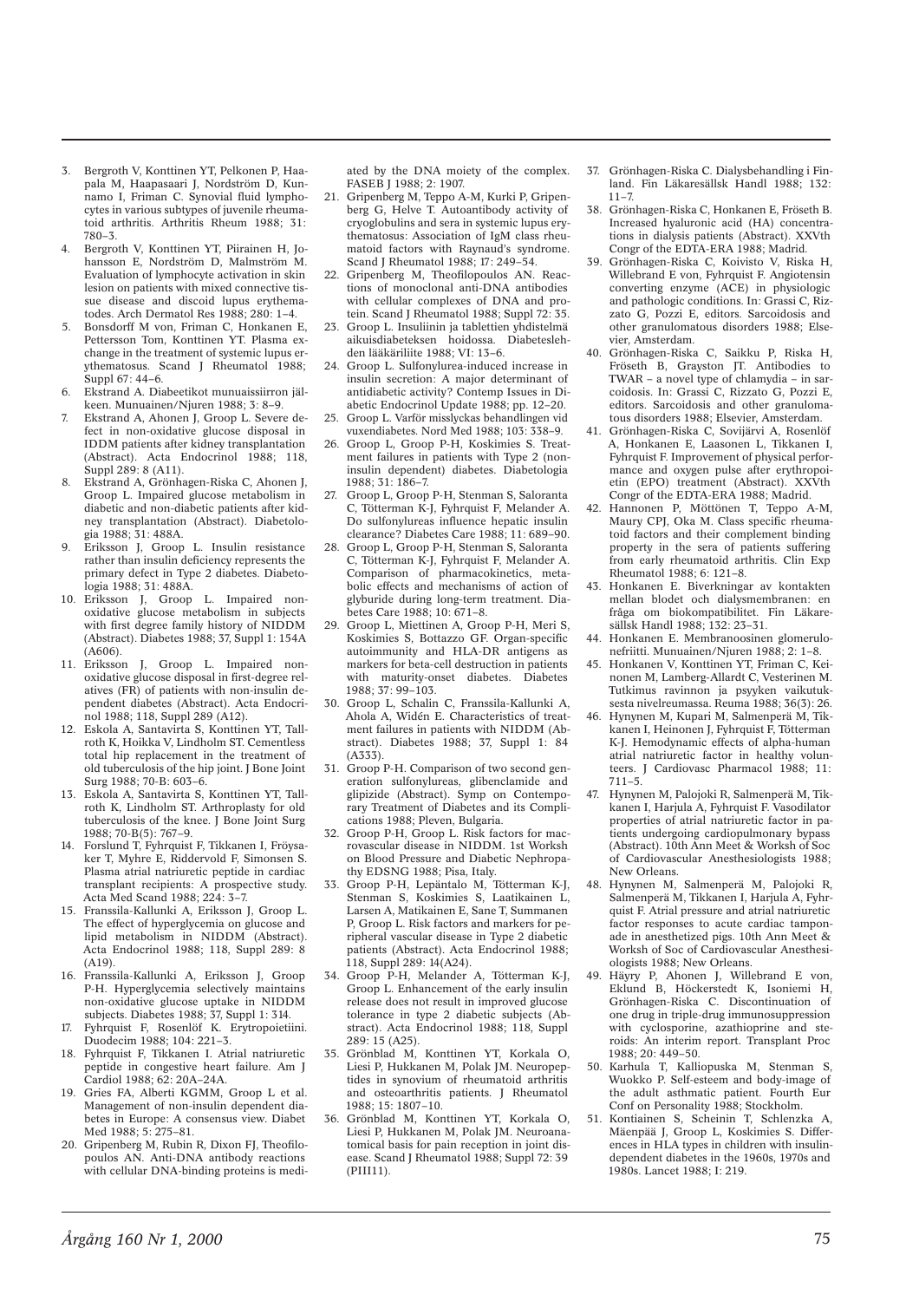- 3. Bergroth V, Konttinen YT, Pelkonen P, Haapala M, Haapasaari J, Nordström D, Kunnamo I, Friman C. Synovial fluid lymphocytes in various subtypes of juvenile rheumatoid arthritis. Arthritis Rheum 1988; 31: 780–3.
- 4. Bergroth V, Konttinen YT, Piirainen H, Johansson E, Nordström D, Malmström M. Evaluation of lymphocyte activation in skin lesion on patients with mixed connective tissue disease and discoid lupus erythematodes. Arch Dermatol Res 1988; 280: 1–4.
- 5. Bonsdorff M von, Friman C, Honkanen E, Pettersson Tom, Konttinen YT. Plasma exchange in the treatment of systemic lupus erythematosus. Scand J Rheumatol 1988; Suppl  $67 \cdot 44 - 6$ .
- 6. Ekstrand A. Diabeetikot munuaissiirron jälkeen. Munuainen/Njuren 1988; 3: 8–9.
- 7. Ekstrand A, Ahonen J, Groop L. Severe defect in non-oxidative glucose disposal in IDDM patients after kidney transplantation (Abstract). Acta Endocrinol 1988; 118, Suppl 289: 8 (A11).
- 8. Ekstrand A, Grönhagen-Riska C, Ahonen J, Groop L. Impaired glucose metabolism in diabetic and non-diabetic patients after kidney transplantation (Abstract). Diabetologia 1988; 31: 488A.
- 9. Eriksson J, Groop L. Insulin resistance rather than insulin deficiency represents the primary defect in Type 2 diabetes. Diabetologia 1988; 31: 488A.
- 10. Eriksson J, Groop L. Impaired nonoxidative glucose metabolism in subjects with first degree family history of NIDDM (Abstract). Diabetes 1988; 37, Suppl 1: 154A (A606).
- 11. Eriksson J, Groop L. Impaired nonoxidative glucose disposal in first-degree relatives (FR) of patients with non-insulin dependent diabetes (Abstract). Acta Endocrinol 1988; 118, Suppl 289 (A12).
- 12. Eskola A, Santavirta S, Konttinen YT, Tallroth K, Hoikka V, Lindholm ST. Cementless total hip replacement in the treatment of old tuberculosis of the hip joint. J Bone Joint Surg 1988; 70-B: 603–6.
- 13. Eskola A, Santavirta S, Konttinen YT, Tallroth K, Lindholm ST. Arthroplasty for old tuberculosis of the knee. J Bone Joint Surg 1988; 70-B(5): 767–9.
- 14. Forslund T, Fyhrquist F, Tikkanen I, Fröysaker T, Myhre E, Riddervold F, Simonsen S. Plasma atrial natriuretic peptide in cardiac transplant recipients: A prospective study. Acta Med Scand 1988; 224: 3–7.
- 15. Franssila-Kallunki A, Eriksson J, Groop L. The effect of hyperglycemia on glucose and lipid metabolism in NIDDM (Abstract). Acta Endocrinol 1988; 118, Suppl 289: 8 (A19).
- 16. Franssila-Kallunki A, Eriksson J, Groop P-H. Hyperglycemia selectively maintains non-oxidative glucose uptake in NIDDM subjects. Diabetes 1988; 37, Suppl 1: 314.
- 17. Fyhrquist F, Rosenlöf K. Erytropoietiini. Duodecim 1988; 104: 221–3.
- 18. Fyhrquist F, Tikkanen I. Atrial natriuretic peptide in congestive heart failure. Am J Cardiol 1988; 62: 20A–24A.
- 19. Gries FA, Alberti KGMM, Groop L et al. Management of non-insulin dependent diabetes in Europe: A consensus view. Diabet Med 1988; 5: 275-81.
- 20. Gripenberg M, Rubin R, Dixon FJ, Theofilopoulos AN. Anti-DNA antibody reactions with cellular DNA-binding proteins is medi-

ated by the DNA moiety of the complex. FASEB J 1988; 2: 1907.

- 21. Gripenberg M, Teppo A-M, Kurki P, Gripenberg G, Helve T. Autoantibody activity of cryoglobulins and sera in systemic lupus erythematosus: Association of IgM class rheumatoid factors with Raynaud's syndrome. Scand J Rheumatol 1988; 17: 249–54.
- 22. Gripenberg M, Theofilopoulos AN. Reactions of monoclonal anti-DNA antibodies with cellular complexes of DNA and protein. Scand J Rheumatol 1988; Suppl 72: 35.
- 23. Groop L. Insuliinin ja tablettien yhdistelmä aikuisdiabeteksen hoidossa. Diabeteslehden lääkäriliite 1988; VI: 13–6.
- 24. Groop L. Sulfonylurea-induced increase in insulin secretion: A major determinant of antidiabetic activity? Contemp Issues in Diabetic Endocrinol Update 1988; pp. 12–20.
- 25. Groop L. Varför misslyckas behandlingen vid vuxendiabetes. Nord Med 1988; 103: 338–9.
- 26. Groop L, Groop P-H, Koskimies S. Treatment failures in patients with Type 2 (noninsulin dependent) diabetes. Diabetologia 1988; 31: 186–7.
- 27. Groop L, Groop P-H, Stenman S, Saloranta C, Tötterman K-J, Fyhrquist F, Melander A. Do sulfonylureas influence hepatic insulin clearance? Diabetes Care 1988; 11: 689–90.
- 28. Groop L, Groop P-H, Stenman S, Saloranta C, Tötterman K-J, Fyhrquist F, Melander A. Comparison of pharmacokinetics, metabolic effects and mechanisms of action of glyburide during long-term treatment. Diabetes Care 1988; 10: 671–8.
- 29. Groop L, Miettinen A, Groop P-H, Meri S, Koskimies S, Bottazzo GF. Organ-specific autoimmunity and HLA-DR antigens as markers for beta-cell destruction in patients with maturity-onset diabetes. Diabetes 1988; 37: 99–103.
- 30. Groop L, Schalin C, Franssila-Kallunki A, Ahola A, Widén E. Characteristics of treatment failures in patients with NIDDM (Abstract). Diabetes 1988; 37, Suppl 1: 84  $(A333)$
- 31. Groop P-H. Comparison of two second generation sulfonylureas, glibenclamide and glipizide (Abstract). Symp on Contemporary Treatment of Diabetes and its Complications 1988; Pleven, Bulgaria.
- 32. Groop P-H, Groop L. Risk factors for macrovascular disease in NIDDM. 1st Worksh on Blood Pressure and Diabetic Nephropathy EDSNG 1988; Pisa, Italy.
- 33. Groop P-H, Lepäntalo M, Tötterman K-J, Stenman S, Koskimies S, Laatikainen L, Larsen A, Matikainen E, Sane T, Summanen P, Groop L. Risk factors and markers for peripheral vascular disease in Type 2 diabetic patients (Abstract). Acta Endocrinol 1988; 118, Suppl 289: 14(A24).
- 34. Groop P-H, Melander A, Tötterman K-J, Groop L. Enhancement of the early insulin release does not result in improved glucose tolerance in type 2 diabetic subjects (Abstract). Acta Endocrinol 1988; 118, Suppl 289: 15 (A25).
- 35. Grönblad M, Konttinen YT, Korkala O, Liesi P, Hukkanen M, Polak JM. Neuropeptides in synovium of rheumatoid arthritis and osteoarthritis patients. J Rheumatol 1988; 15: 1807–10.
- 36. Grönblad M, Konttinen YT, Korkala O, Liesi P, Hukkanen M, Polak JM. Neuroanatomical basis for pain reception in joint disease. Scand J Rheumatol 1988; Suppl 72: 39 (PIII11).
- 37. Grönhagen-Riska C. Dialysbehandling i Finland. Fin Läkaresällsk Handl 1988; 132:  $11 - 7.$
- 38. Grönhagen-Riska C, Honkanen E, Fröseth B. Increased hyaluronic acid (HA) concentrations in dialysis patients (Abstract). XXVth Congr of the EDTA-ERA 1988; Madrid.
- 39. Grönhagen-Riska C, Koivisto V, Riska H, Willebrand E von, Fyhrquist F. Angiotensin converting enzyme (ACE) in physiologic and pathologic conditions. In: Grassi C, Rizzato G, Pozzi E, editors. Sarcoidosis and other granulomatous disorders 1988; Elsevier, Amsterdam.
- 40. Grönhagen-Riska C, Saikku P, Riska H, Fröseth B, Grayston JT. Antibodies to TWAR – a novel type of chlamydia – in sarcoidosis. In: Grassi C, Rizzato G, Pozzi E, editors. Sarcoidosis and other granulomatous disorders 1988; Elsevier, Amsterdam.
- 41. Grönhagen-Riska C, Sovijärvi A, Rosenlöf A, Honkanen E, Laasonen L, Tikkanen I, Fyhrquist F. Improvement of physical performance and oxygen pulse after erythropoietin (EPO) treatment (Abstract). XXVth Congr of the EDTA-ERA 1988; Madrid.
- 42. Hannonen P, Möttönen T, Teppo A-M, Maury CPJ, Oka M. Class specific rheumatoid factors and their complement binding property in the sera of patients suffering from early rheumatoid arthritis. Clin Exp Rheumatol 1988; 6: 121–8.
- 43. Honkanen E. Biverkningar av kontakten mellan blodet och dialysmembranen: en fråga om biokompatibilitet. Fin Läkaresällsk Handl 1988; 132: 23–31.
- 44. Honkanen E. Membranoosinen glomerulonefriitti. Munuainen/Njuren 1988; 2: 1–8.
- 45. Honkanen V, Konttinen YT, Friman C, Keinonen M, Lamberg-Allardt C, Vesterinen M. Tutkimus ravinnon ja psyyken vaikutuksesta nivelreumassa. Reuma 1988; 36(3): 26.
- 46. Hynynen M, Kupari M, Salmenperä M, Tikkanen I, Heinonen J, Fyhrquist F, Tötterman K-J. Hemodynamic effects of alpha-human atrial natriuretic factor in healthy volunteers. J Cardiovasc Pharmacol 1988; 11: 711–5.
- 47. Hynynen M, Palojoki R, Salmenperä M, Tikkanen I, Harjula A, Fyhrquist F. Vasodilator properties of atrial natriuretic factor in patients undergoing cardiopulmonary bypass (Abstract). 10th Ann Meet & Worksh of Soc of Cardiovascular Anesthesiologists 1988; New Orleans.
- 48. Hynynen M, Salmenperä M, Palojoki R, Salmenperä M, Tikkanen I, Harjula A, Fyhrquist F. Atrial pressure and atrial natriuretic factor responses to acute cardiac tamponade in anesthetized pigs. 10th Ann Meet & Worksh of Soc of Cardiovascular Anesthesiologists 1988; New Orleans.
- 49. Häyry P, Ahonen J, Willebrand E von, Eklund B, Höckerstedt K, Isoniemi H, Grönhagen-Riska C. Discontinuation of one drug in triple-drug immunosuppression with cyclosporine, azathioprine and steroids: An interim report. Transplant Proc 1988; 20: 449–50.
- 50. Karhula T, Kalliopuska M, Stenman S, Wuokko P. Self-esteem and body-image of the adult asthmatic patient. Fourth Eur Conf on Personality 1988; Stockholm.
- 51. Kontiainen S, Scheinin T, Schlenzka A, Mäenpää J, Groop L, Koskimies S. Differences in HLA types in children with insulindependent diabetes in the 1960s, 1970s and 1980s. Lancet 1988; I: 219.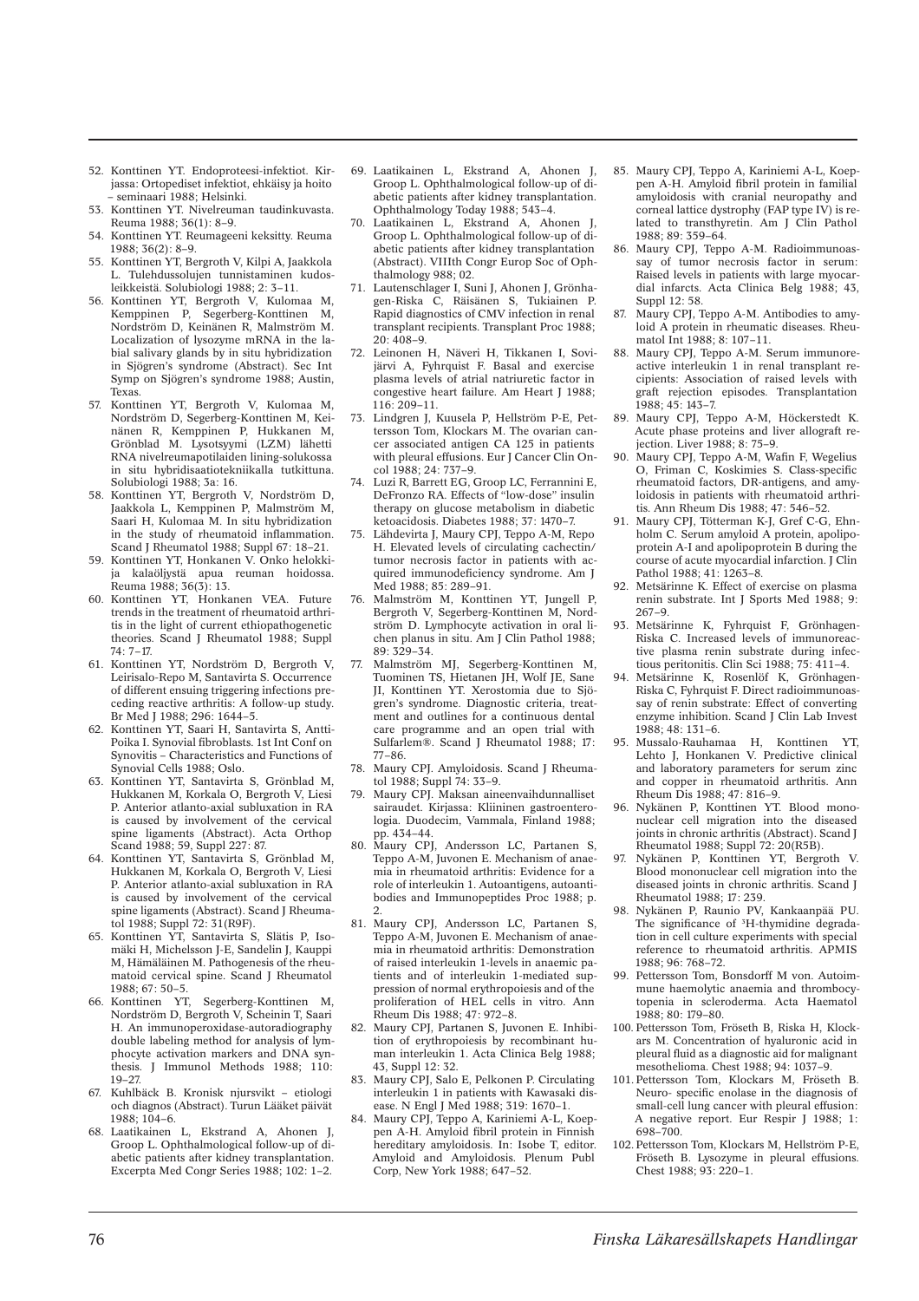- 52. Konttinen YT. Endoproteesi-infektiot. Kirjassa: Ortopediset infektiot, ehkäisy ja hoito – seminaari 1988; Helsinki.
- 53. Konttinen YT. Nivelreuman taudinkuvasta. Reuma 1988; 36(1): 8–9.
- 54. Konttinen YT. Reumageeni keksitty. Reuma 1988; 36(2): 8–9.
- 55. Konttinen YT, Bergroth V, Kilpi A, Jaakkola L. Tulehdussolujen tunnistaminen kudosleikkeistä. Solubiologi 1988; 2: 3–11.
- 56. Konttinen YT, Bergroth V, Kulomaa M, Kemppinen P, Segerberg-Konttinen M, Nordström D, Keinänen R, Malmström M. Localization of lysozyme mRNA in the labial salivary glands by in situ hybridization in Sjögren's syndrome (Abstract). Sec Int Symp on Sjögren's syndrome 1988; Austin, Texas.
- 57. Konttinen YT, Bergroth V, Kulomaa M, Nordström D, Segerberg-Konttinen M, Keinänen R, Kemppinen P, Hukkanen M, Grönblad M. Lysotsyymi (LZM) lähetti RNA nivelreumapotilaiden lining-solukossa in situ hybridisaatiotekniikalla tutkittuna. Solubiologi 1988; 3a: 16.
- 58. Konttinen YT, Bergroth V, Nordström D, Jaakkola L, Kemppinen P, Malmström M, Saari H, Kulomaa M. In situ hybridization in the study of rheumatoid inflammation. Scand J Rheumatol 1988; Suppl 67: 18–21.
- 59. Konttinen YT, Honkanen V. Onko helokkija kalaöljystä apua reuman hoidossa. Reuma 1988; 36(3): 13.
- 60. Konttinen YT, Honkanen VEA. Future trends in the treatment of rheumatoid arthritis in the light of current ethiopathogenetic theories. Scand J Rheumatol 1988; Suppl 74: 7–17.
- 61. Konttinen YT, Nordström D, Bergroth V, Leirisalo-Repo M, Santavirta S. Occurrence of different ensuing triggering infections preceding reactive arthritis: A follow-up study. Br Med J 1988; 296: 1644–5.
- 62. Konttinen YT, Saari H, Santavirta S, Antti-Poika I. Synovial fibroblasts. 1st Int Conf on Synovitis – Characteristics and Functions of Synovial Cells 1988; Oslo.
- 63. Konttinen YT, Santavirta S, Grönblad M, Hukkanen M, Korkala O, Bergroth V, Liesi P. Anterior atlanto-axial subluxation in RA is caused by involvement of the cervical spine ligaments (Abstract). Acta Orthop Scand 1988; 59, Suppl 227: 87.
- 64. Konttinen YT, Santavirta S, Grönblad M, Hukkanen M, Korkala O, Bergroth V, Liesi P. Anterior atlanto-axial subluxation in RA is caused by involvement of the cervical spine ligaments (Abstract). Scand J Rheumatol 1988; Suppl 72: 31(R9F).
- 65. Konttinen YT, Santavirta S, Slätis P, Isomäki H, Michelsson J-E, Sandelin J, Kauppi M, Hämäläinen M. Pathogenesis of the rheumatoid cervical spine. Scand J Rheumatol 1988; 67: 50–5.
- 66. Konttinen YT, Segerberg-Konttinen M, Nordström D, Bergroth V, Scheinin T, Saari H. An immunoperoxidase-autoradiography double labeling method for analysis of lymphocyte activation markers and DNA synthesis. J Immunol Methods 1988; 110: 19–27.
- 67. Kuhlbäck B. Kronisk njursvikt etiologi och diagnos (Abstract). Turun Lääket päivät 1988; 104–6.
- 68. Laatikainen L, Ekstrand A, Ahonen Groop L. Ophthalmological follow-up of diabetic patients after kidney transplantation. Excerpta Med Congr Series 1988; 102: 1–2.
- 69. Laatikainen L, Ekstrand A, Ahonen J, Groop L. Ophthalmological follow-up of diabetic patients after kidney transplantation. Ophthalmology Today 1988; 543–4.
- 70. Laatikainen L, Ekstrand A, Ahonen J, Groop L. Ophthalmological follow-up of diabetic patients after kidney transplantation (Abstract). VIIIth Congr Europ Soc of Ophthalmology 988; 02.
- 71. Lautenschlager I, Suni J, Ahonen J, Grönhagen-Riska C, Räisänen S, Tukiainen P. Rapid diagnostics of CMV infection in renal transplant recipients. Transplant Proc 1988;  $20 \cdot 408 - 9$
- 72. Leinonen H, Näveri H, Tikkanen I, Sovijärvi A, Fyhrquist F. Basal and exercise plasma levels of atrial natriuretic factor in congestive heart failure. Am Heart J 1988; 116: 209–11.
- 73. Lindgren J, Kuusela P, Hellström P-E, Pettersson Tom, Klockars M. The ovarian cancer associated antigen CA 125 in patients with pleural effusions. Eur J Cancer Clin Oncol 1988; 24: 737–9.
- 74. Luzi R, Barrett EG, Groop LC, Ferrannini E, DeFronzo RA. Effects of "low-dose" insulin therapy on glucose metabolism in diabetic ketoacidosis. Diabetes 1988; 37: 1470–7.
- 75. Lähdevirta J, Maury CPJ, Teppo A-M, Repo H. Elevated levels of circulating cachectin/ tumor necrosis factor in patients with acquired immunodeficiency syndrome. Am J Med 1988; 85: 289–91.
- 76. Malmström M, Konttinen YT, Jungell P, Bergroth V, Segerberg-Konttinen M, Nordström D. Lymphocyte activation in oral lichen planus in situ. Am J Clin Pathol 1988; 89: 329–34.
- 77. Malmström MJ, Segerberg-Konttinen M, Tuominen TS, Hietanen JH, Wolf JE, Sane JI, Konttinen YT. Xerostomia due to Sjögren's syndrome. Diagnostic criteria, treatment and outlines for a continuous dental care programme and an open trial with Sulfarlem®. Scand J Rheumatol 1988; 17: 77–86.
- 78. Maury CPJ. Amyloidosis. Scand J Rheumatol 1988; Suppl 74: 33–9.
- 79. Maury CPJ. Maksan aineenvaihdunnalliset sairaudet. Kirjassa: Kliininen gastroenterologia. Duodecim, Vammala, Finland 1988; pp. 434–44.
- 80. Maury CPJ, Andersson LC, Partanen S, Teppo A-M, Juvonen E. Mechanism of anaemia in rheumatoid arthritis: Evidence for a role of interleukin 1. Autoantigens, autoantibodies and Immunopeptides Proc 1988; p. 2.
- 81. Maury CPJ, Andersson LC, Partanen S, Teppo A-M, Juvonen E. Mechanism of anaemia in rheumatoid arthritis: Demonstration of raised interleukin 1-levels in anaemic patients and of interleukin 1-mediated suppression of normal erythropoiesis and of the proliferation of HEL cells in vitro. Ann Rheum Dis 1988; 47: 972–8.
- 82. Maury CPJ, Partanen S, Juvonen E. Inhibition of erythropoiesis by recombinant human interleukin 1. Acta Clinica Belg 1988; 43, Suppl 12: 32.
- 83. Maury CPJ, Salo E, Pelkonen P. Circulating interleukin 1 in patients with Kawasaki disease. N Engl J Med 1988; 319: 1670–1.
- 84. Maury CPJ, Teppo A, Kariniemi A-L, Koeppen A-H. Amyloid fibril protein in Finnish hereditary amyloidosis. In: Isobe T, editor. Amyloid and Amyloidosis. Plenum Publ Corp, New York 1988; 647–52.
- 85. Maury CPJ, Teppo A, Kariniemi A-L, Koeppen A-H. Amyloid fibril protein in familial amyloidosis with cranial neuropathy and corneal lattice dystrophy (FAP type IV) is related to transthyretin. Am J Clin Pathol 1988; 89: 359–64.
- 86. Maury CPJ, Teppo A-M. Radioimmunoassay of tumor necrosis factor in serum: Raised levels in patients with large myocardial infarcts. Acta Clinica Belg 1988; 43, Suppl 12: 58.
- 87. Maury CPJ, Teppo A-M. Antibodies to amyloid A protein in rheumatic diseases. Rheumatol Int 1988; 8: 107–11.
- 88. Maury CPJ, Teppo A-M. Serum immunoreactive interleukin 1 in renal transplant recipients: Association of raised levels with graft rejection episodes. Transplantation  $1988 \cdot 45 \cdot 143 - 7$
- 89. Maury CPJ, Teppo A-M, Höckerstedt K. Acute phase proteins and liver allograft rejection. Liver 1988; 8: 75–9.
- 90. Maury CPJ, Teppo A-M, Wafin F, Wegelius O, Friman C, Koskimies S. Class-specific rheumatoid factors, DR-antigens, and amyloidosis in patients with rheumatoid arthritis. Ann Rheum Dis 1988; 47: 546–52.
- 91. Maury CPJ, Tötterman K-J, Gref C-G, Ehnholm C. Serum amyloid A protein, apolipoprotein A-I and apolipoprotein B during the course of acute myocardial infarction. J Clin Pathol 1988; 41: 1263–8.
- 92. Metsärinne K. Effect of exercise on plasma renin substrate. Int J Sports Med 1988; 9: 267–9.
- 93. Metsärinne K, Fyhrquist F, Grönhagen-Riska C. Increased levels of immunoreactive plasma renin substrate during infectious peritonitis. Clin Sci 1988; 75: 411–4.
- 94. Metsärinne K, Rosenlöf K, Grönhagen-Riska C. Fyhrquist F. Direct radioimmunoassay of renin substrate: Effect of converting enzyme inhibition. Scand J Clin Lab Invest 1988; 48: 131–6.
- 95. Mussalo-Rauhamaa H, Konttinen YT, Lehto J, Honkanen V. Predictive clinical and laboratory parameters for serum zinc and copper in rheumatoid arthritis. Ann Rheum Dis 1988; 47: 816–9.
- 96. Nykänen P, Konttinen YT. Blood mononuclear cell migration into the diseased joints in chronic arthritis (Abstract). Scand J Rheumatol 1988; Suppl 72: 20(R5B).
- 97. Nykänen P, Konttinen YT, Bergroth V. Blood mononuclear cell migration into the diseased joints in chronic arthritis. Scand J Rheumatol 1988; 17: 239.
- 98. Nykänen P, Raunio PV, Kankaanpää PU. The significance of <sup>3</sup>H-thymidine degradation in cell culture experiments with special reference to rheumatoid arthritis. APMIS 1988; 96: 768–72.
- 99. Pettersson Tom, Bonsdorff M von. Autoimmune haemolytic anaemia and thrombocytopenia in scleroderma. Acta Haematol  $1988 \cdot 80 \cdot 179 - 80$
- 100. Pettersson Tom, Fröseth B, Riska H, Klockars M. Concentration of hyaluronic acid in pleural fluid as a diagnostic aid for malignant mesothelioma. Chest 1988; 94: 1037–9.
- 101. Pettersson Tom, Klockars M, Fröseth B. Neuro- specific enolase in the diagnosis of small-cell lung cancer with pleural effusion: A negative report. Eur Respir J 1988; 1: 698–700.
- 102. Pettersson Tom, Klockars M, Hellström P-E, Fröseth B. Lysozyme in pleural effusions. Chest 1988; 93: 220–1.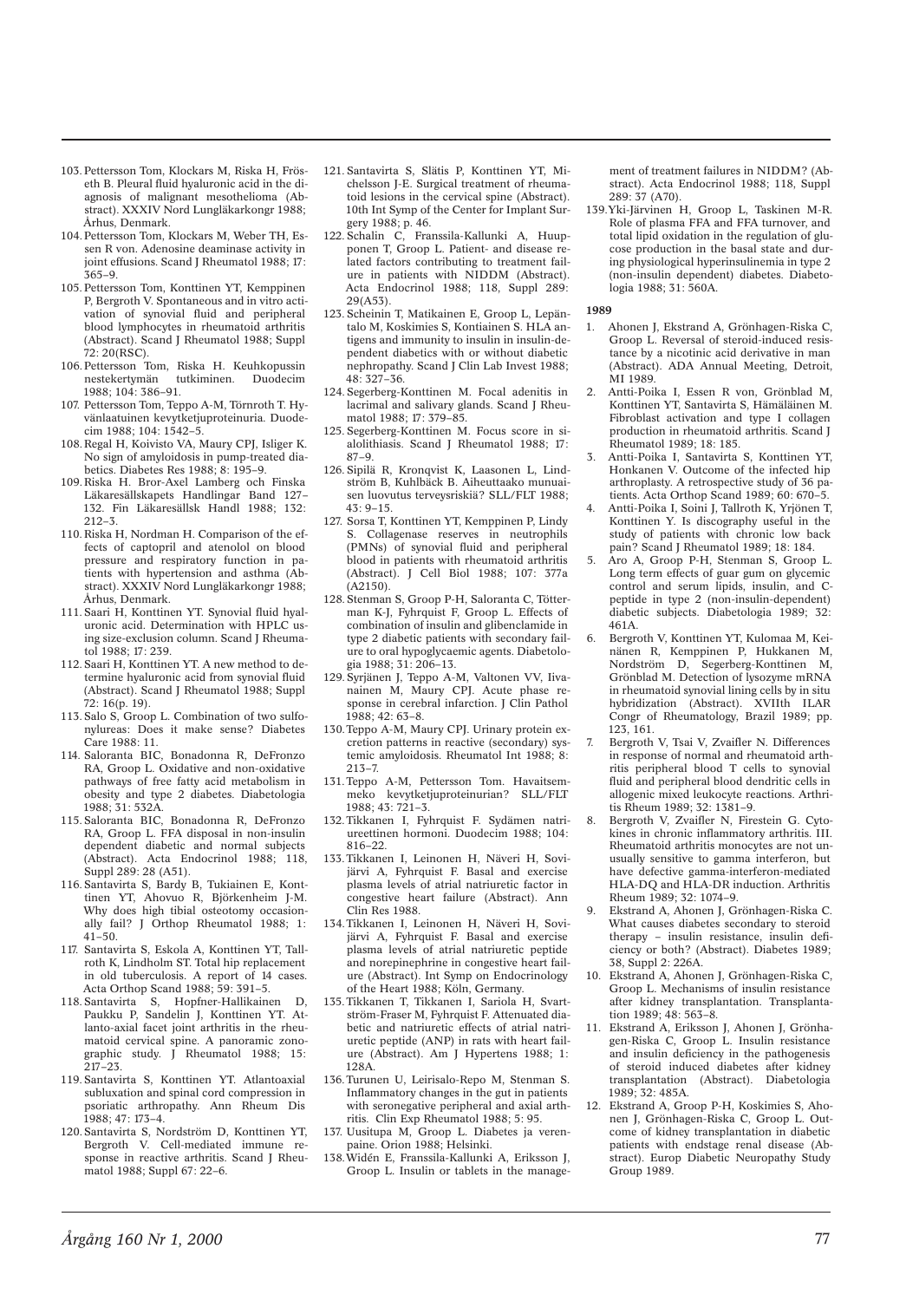- 103. Pettersson Tom, Klockars M, Riska H, Fröseth B. Pleural fluid hyaluronic acid in the diagnosis of malignant mesothelioma (Abstract). XXXIV Nord Lungläkarkongr 1988; Århus, Denmark.
- 104. Pettersson Tom, Klockars M, Weber TH, Essen R von. Adenosine deaminase activity in joint effusions. Scand J Rheumatol 1988; 17: 365–9.
- 105. Pettersson Tom, Konttinen YT, Kemppinen P, Bergroth V. Spontaneous and in vitro activation of synovial fluid and peripheral blood lymphocytes in rheumatoid arthritis (Abstract). Scand J Rheumatol 1988; Suppl 72: 20(RSC).
- 106. Pettersson Tom, Riska H. Keuhkopussin nestekertymän tutkiminen. Duodecim 1988; 104: 386–91.
- 107. Pettersson Tom, Teppo A-M, Törnroth T. Hyvänlaatuinen kevytketjuproteinuria. Duodecim 1988; 104: 1542–5.
- 108. Regal H, Koivisto VA, Maury CPJ, Isliger K. No sign of amyloidosis in pump-treated diabetics. Diabetes Res 1988; 8: 195–9.
- 109. Riska H. Bror-Axel Lamberg och Finska Läkaresällskapets Handlingar Band 127– 132. Fin Läkaresällsk Handl 1988; 132: 212–3.
- 110. Riska H, Nordman H. Comparison of the effects of captopril and atenolol on blood pressure and respiratory function in patients with hypertension and asthma (Abstract). XXXIV Nord Lungläkarkongr 1988; Århus, Denmark.
- 111. Saari H, Konttinen YT. Synovial fluid hyaluronic acid. Determination with HPLC using size-exclusion column. Scand J Rheumatol 1988; 17: 239.
- 112. Saari H, Konttinen YT. A new method to determine hyaluronic acid from synovial fluid (Abstract). Scand J Rheumatol 1988: Suppl 72: 16(p. 19).
- 113. Salo S, Groop L. Combination of two sulfonylureas: Does it make sense? Diabetes Care 1988: 11.
- 114. Saloranta BIC, Bonadonna R, DeFronzo RA, Groop L. Oxidative and non-oxidative pathways of free fatty acid metabolism in obesity and type 2 diabetes. Diabetologia 1988; 31: 532A.
- 115. Saloranta BIC, Bonadonna R, DeFronzo RA, Groop L. FFA disposal in non-insulin dependent diabetic and normal subjects (Abstract). Acta Endocrinol 1988; 118, Suppl 289: 28 (A51).
- 116. Santavirta S, Bardy B, Tukiainen E, Konttinen YT, Ahovuo R, Björkenheim J-M. Why does high tibial osteotomy occasionally fail? J Orthop Rheumatol 1988; 1:  $41 - 50$ .
- 117. Santavirta S, Eskola A, Konttinen YT, Tallroth K, Lindholm ST. Total hip replacement in old tuberculosis. A report of 14 cases. Acta Orthop Scand 1988; 59: 391–5.
- 118. Santavirta S, Hopfner-Hallikainen D, Paukku P, Sandelin J, Konttinen YT. Atlanto-axial facet joint arthritis in the rheumatoid cervical spine. A panoramic zonographic study. J Rheumatol 1988; 15: 217–23.
- 119. Santavirta S, Konttinen YT. Atlantoaxial subluxation and spinal cord compression in psoriatic arthropathy. Ann Rheum Dis 1988; 47: 173–4.
- 120. Santavirta S, Nordström D, Konttinen YT, Bergroth V. Cell-mediated immune response in reactive arthritis. Scand J Rheumatol 1988; Suppl 67: 22–6.
- 121. Santavirta S, Slätis P, Konttinen YT, Michelsson J-E. Surgical treatment of rheumatoid lesions in the cervical spine (Abstract). 10th Int Symp of the Center for Implant Surgery 1988; p. 46.
- 122. Schalin C, Franssila-Kallunki A, Huupponen T, Groop L. Patient- and disease related factors contributing to treatment failure in patients with NIDDM (Abstract). Acta Endocrinol 1988; 118, Suppl 289: 29(A53).
- 123. Scheinin T, Matikainen E, Groop L, Lepäntalo M, Koskimies S, Kontiainen S. HLA antigens and immunity to insulin in insulin-dependent diabetics with or without diabetic nephropathy. Scand J Clin Lab Invest 1988;  $48.327 - 36$
- 124. Segerberg-Konttinen M. Focal adenitis in lacrimal and salivary glands. Scand J Rheumatol 1988; 17: 379–85.
- 125. Segerberg-Konttinen M. Focus score in sialolithiasis. Scand J Rheumatol 1988; 17: 87–9.
- 126. Sipilä R, Kronqvist K, Laasonen L, Lindström B, Kuhlbäck B. Aiheuttaako munuaisen luovutus terveysriskiä? SLL/FLT 1988; 43: 9–15.
- 127. Sorsa T, Konttinen YT, Kemppinen P, Lindy S. Collagenase reserves in neutrophils (PMNs) of synovial fluid and peripheral blood in patients with rheumatoid arthritis (Abstract). J Cell Biol 1988; 107: 377a (A2150).
- 128. Stenman S, Groop P-H, Saloranta C, Tötterman K-J, Fyhrquist F, Groop L. Effects of combination of insulin and glibenclamide in type 2 diabetic patients with secondary failure to oral hypoglycaemic agents. Diabetologia 1988; 31: 206–13.
- 129. Syrjänen J, Teppo A-M, Valtonen VV, Iivanainen M, Maury CPJ. Acute phase response in cerebral infarction. J Clin Pathol 1988; 42: 63–8.
- 130. Teppo A-M, Maury CPJ. Urinary protein excretion patterns in reactive (secondary) systemic amyloidosis. Rheumatol Int 1988; 8: 213–7.
- 131. Teppo A-M, Pettersson Tom. Havaitsemmeko kevytketjuproteinurian? SLL/FLT 1988; 43: 721–3.
- 132. Tikkanen I, Fyhrquist F. Sydämen natriureettinen hormoni. Duodecim 1988; 104: 816–22.
- 133. Tikkanen I, Leinonen H, Näveri H, Sovijärvi A, Fyhrquist F. Basal and exercise plasma levels of atrial natriuretic factor in congestive heart failure (Abstract). Ann Clin Res 1988.
- 134. Tikkanen I, Leinonen H, Näveri H, Sovijärvi A, Fyhrquist F. Basal and exercise plasma levels of atrial natriuretic peptide and norepinephrine in congestive heart failure (Abstract). Int Symp on Endocrinology of the Heart 1988; Köln, Germany.
- 135. Tikkanen T, Tikkanen I, Sariola H, Svartström-Fraser M, Fyhrquist F. Attenuated diabetic and natriuretic effects of atrial natriuretic peptide (ANP) in rats with heart failure (Abstract). Am J Hypertens 1988; 1: 128A.
- 136. Turunen U, Leirisalo-Repo M, Stenman S. Inflammatory changes in the gut in patients with seronegative peripheral and axial arthritis. Clin Exp Rheumatol 1988; 5: 95.
- 137. Uusitupa M, Groop L. Diabetes ja verenpaine. Orion 1988; Helsinki.
- 138. Widén E, Franssila-Kallunki A, Eriksson J, Groop L. Insulin or tablets in the manage-

ment of treatment failures in NIDDM? (Abstract). Acta Endocrinol 1988; 118, Suppl 289: 37 (A70).

139. Yki-Järvinen H, Groop L, Taskinen M-R. Role of plasma FFA and FFA turnover, and total lipid oxidation in the regulation of glucose production in the basal state and during physiological hyperinsulinemia in type 2 (non-insulin dependent) diabetes. Diabetologia 1988; 31: 560A.

- 1. Ahonen J, Ekstrand A, Grönhagen-Riska C, Groop L. Reversal of steroid-induced resistance by a nicotinic acid derivative in man (Abstract). ADA Annual Meeting, Detroit, MI 1989
- 2. Antti-Poika I, Essen R von, Grönblad M, Konttinen YT, Santavirta S, Hämäläinen M. Fibroblast activation and type I collagen production in rheumatoid arthritis. Scand J Rheumatol 1989; 18: 185.
- 3. Antti-Poika I, Santavirta S, Konttinen YT, Honkanen V. Outcome of the infected hip arthroplasty. A retrospective study of 36 patients. Acta Orthop Scand 1989; 60: 670–5.
- 4. Antti-Poika I, Soini J, Tallroth K, Yrjönen T, Konttinen Y. Is discography useful in the study of patients with chronic low back pain? Scand J Rheumatol 1989; 18: 184.
- 5. Aro A, Groop P-H, Stenman S, Groop L. Long term effects of guar gum on glycemic control and serum lipids, insulin, and Cpeptide in type 2 (non-insulin-dependent) diabetic subjects. Diabetologia 1989; 32: 461A.
- 6. Bergroth V, Konttinen YT, Kulomaa M, Keinänen R, Kemppinen P, Hukkanen M, Nordström D, Segerberg-Konttinen M, Grönblad M. Detection of lysozyme mRNA in rheumatoid synovial lining cells by in situ hybridization (Abstract). XVIIth ILAR Congr of Rheumatology, Brazil 1989; pp. 123, 161.
- 7. Bergroth V, Tsai V, Zvaifler N. Differences in response of normal and rheumatoid arthritis peripheral blood T cells to synovial fluid and peripheral blood dendritic cells in allogenic mixed leukocyte reactions. Arthritis Rheum 1989; 32: 1381–9.
- 8. Bergroth V, Zvaifler N, Firestein G. Cytokines in chronic inflammatory arthritis. III. Rheumatoid arthritis monocytes are not unusually sensitive to gamma interferon, but have defective gamma-interferon-mediated HLA-DQ and HLA-DR induction. Arthritis Rheum 1989; 32: 1074–9.
- 9. Ekstrand A, Ahonen J, Grönhagen-Riska C. What causes diabetes secondary to steroid therapy – insulin resistance, insulin deficiency or both? (Abstract). Diabetes 1989; 38, Suppl 2: 226A.
- 10. Ekstrand A, Ahonen J, Grönhagen-Riska C, Groop L. Mechanisms of insulin resistance after kidney transplantation. Transplantation 1989; 48: 563–8.
- 11. Ekstrand A, Eriksson J, Ahonen J, Grönhagen-Riska C, Groop L. Insulin resistance and insulin deficiency in the pathogenesis of steroid induced diabetes after kidney transplantation (Abstract). Diabetologia 1989; 32: 485A.
- 12. Ekstrand A, Groop P-H, Koskimies S, Ahonen J, Grönhagen-Riska C, Groop L. Outcome of kidney transplantation in diabetic patients with endstage renal disease (Abstract). Europ Diabetic Neuropathy Study Group 1989.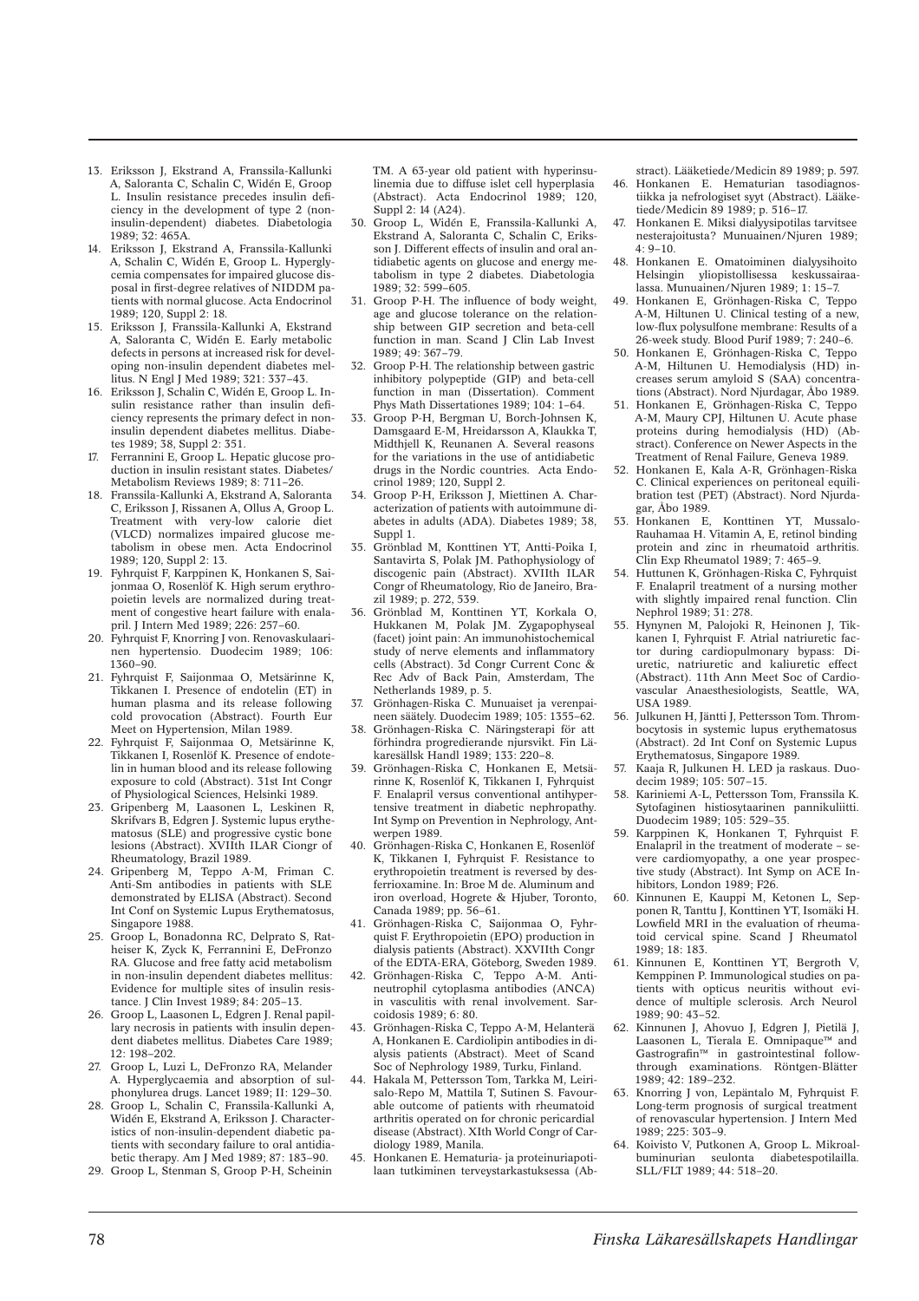- 13. Eriksson J, Ekstrand A, Franssila-Kallunki A, Saloranta C, Schalin C, Widén E, Groop L. Insulin resistance precedes insulin deficiency in the development of type 2 (noninsulin-dependent) diabetes. Diabetologia 1989; 32: 465A.
- 14. Eriksson J, Ekstrand A, Franssila-Kallunki A, Schalin C, Widén E, Groop L. Hyperglycemia compensates for impaired glucose disposal in first-degree relatives of NIDDM patients with normal glucose. Acta Endocrinol 1989; 120, Suppl 2: 18.
- 15. Eriksson J, Franssila-Kallunki A, Ekstrand A, Saloranta C, Widén E. Early metabolic defects in persons at increased risk for developing non-insulin dependent diabetes mellitus. N Engl J Med 1989: 321: 337-43.
- 16. Eriksson J, Schalin C, Widén E, Groop L. Insulin resistance rather than insulin deficiency represents the primary defect in noninsulin dependent diabetes mellitus. Diabetes 1989; 38, Suppl 2: 351.
- 17. Ferrannini E, Groop L. Hepatic glucose production in insulin resistant states. Diabetes/ Metabolism Reviews 1989; 8: 711–26.
- 18. Franssila-Kallunki A, Ekstrand A, Saloranta C, Eriksson J, Rissanen A, Ollus A, Groop L. Treatment with very-low calorie diet (VLCD) normalizes impaired glucose metabolism in obese men. Acta Endocrinol 1989; 120, Suppl 2: 13.
- 19. Fyhrquist F, Karppinen K, Honkanen S, Saijonmaa O, Rosenlöf K. High serum erythropoietin levels are normalized during treatment of congestive heart failure with enalapril. J Intern Med 1989; 226: 257–60.
- 20. Fyhrquist F, Knorring J von. Renovaskulaarinen hypertensio. Duodecim 1989; 106: 1360–90.
- 21. Fyhrquist F, Saijonmaa O, Metsärinne K, Tikkanen I. Presence of endotelin (ET) in human plasma and its release following cold provocation (Abstract). Fourth Eur Meet on Hypertension, Milan 1989.
- 22. Fyhrquist F, Saijonmaa O, Metsärinne K, Tikkanen I, Rosenlöf K. Presence of endotelin in human blood and its release following exposure to cold (Abstract). 31st Int Congr of Physiological Sciences, Helsinki 1989.
- 23. Gripenberg M, Laasonen L, Leskinen R, Skrifvars B, Edgren J. Systemic lupus erythematosus (SLE) and progressive cystic bone lesions (Abstract). XVIIth ILAR Ciongr of Rheumatology, Brazil 1989.
- 24. Gripenberg M, Teppo A-M, Friman C. Anti-Sm antibodies in patients with SLE demonstrated by ELISA (Abstract). Second Int Conf on Systemic Lupus Erythematosus, Singapore 1988.
- 25. Groop L, Bonadonna RC, Delprato S, Ratheiser K, Zyck K, Ferrannini E, DeFronzo RA. Glucose and free fatty acid metabolism in non-insulin dependent diabetes mellitus: Evidence for multiple sites of insulin resistance. J Clin Invest 1989; 84: 205–13.
- 26. Groop L, Laasonen L, Edgren J. Renal papillary necrosis in patients with insulin dependent diabetes mellitus. Diabetes Care 1989; 12: 198–202.
- 27. Groop L, Luzi L, DeFronzo RA, Melander A. Hyperglycaemia and absorption of sulphonylurea drugs. Lancet 1989; II: 129–30.
- 28. Groop L, Schalin C, Franssila-Kallunki A, Widén E, Ekstrand A, Eriksson J. Characteristics of non-insulin-dependent diabetic patients with secondary failure to oral antidiabetic therapy. Am J Med 1989; 87: 183–90.
- 29. Groop L, Stenman S, Groop P-H, Scheinin

TM. A 63-year old patient with hyperinsulinemia due to diffuse islet cell hyperplasia (Abstract). Acta Endocrinol 1989; 120, Suppl 2: 14 (A24).

- 30. Groop L, Widén E, Franssila-Kallunki A, Ekstrand A, Saloranta C, Schalin C, Eriksson J. Different effects of insulin and oral antidiabetic agents on glucose and energy metabolism in type 2 diabetes. Diabetologia 1989; 32: 599–605.
- 31. Groop P-H. The influence of body weight, age and glucose tolerance on the relationship between GIP secretion and beta-cell function in man. Scand J Clin Lab Invest 1989; 49: 367–79.
- 32. Groop P-H. The relationship between gastric inhibitory polypeptide (GIP) and beta-cell function in man (Dissertation). Comment Phys Math Dissertationes 1989; 104: 1–64.
- 33. Groop P-H, Bergman U, Borch-Johnsen K, Damsgaard E-M, Hreidarsson A, Klaukka T, Midthjell K, Reunanen A. Several reasons for the variations in the use of antidiabetic drugs in the Nordic countries. Acta Endocrinol 1989; 120, Suppl 2.
- 34. Groop P-H, Eriksson J, Miettinen A. Characterization of patients with autoimmune diabetes in adults (ADA). Diabetes 1989; 38, Suppl 1.
- 35. Grönblad M, Konttinen YT, Antti-Poika I, Santavirta S, Polak JM. Pathophysiology of discogenic pain (Abstract). XVIIth ILAR Congr of Rheumatology, Rio de Janeiro, Brazil 1989; p. 272, 539.
- 36. Grönblad M, Konttinen YT, Korkala O, Hukkanen M, Polak JM. Zygapophyseal (facet) joint pain: An immunohistochemical study of nerve elements and inflammatory cells (Abstract). 3d Congr Current Conc & Rec Adv of Back Pain, Amsterdam, The Netherlands 1989, p. 5.
- 37. Grönhagen-Riska C. Munuaiset ja verenpaineen säätely. Duodecim 1989; 105: 1355–62.
- 38. Grönhagen-Riska C. Näringsterapi för att förhindra progredierande njursvikt. Fin Läkaresällsk Handl 1989; 133: 220–8.
- 39. Grönhagen-Riska C, Honkanen E, Metsärinne K, Rosenlöf K, Tikkanen I, Fyhrquist F. Enalapril versus conventional antihypertensive treatment in diabetic nephropathy. Int Symp on Prevention in Nephrology, Antwerpen 1989.
- 40. Grönhagen-Riska C, Honkanen E, Rosenlöf K, Tikkanen I, Fyhrquist F. Resistance to erythropoietin treatment is reversed by desferrioxamine. In: Broe M de. Aluminum and iron overload, Hogrete & Hjuber, Toronto, Canada 1989; pp. 56–61.
- 41. Grönhagen-Riska C, Saijonmaa O, Fyhrquist F. Erythropoietin (EPO) production in dialysis patients (Abstract). XXVIIth Congr of the EDTA-ERA, Göteborg, Sweden 1989.
- 42. Grönhagen-Riska C, Teppo A-M. Antineutrophil cytoplasma antibodies (ANCA) in vasculitis with renal involvement. Sarcoidosis 1989; 6: 80.
- 43. Grönhagen-Riska C, Teppo A-M, Helanterä A, Honkanen E. Cardiolipin antibodies in dialysis patients (Abstract). Meet of Scand Soc of Nephrology 1989, Turku, Finland.
- 44. Hakala M, Pettersson Tom, Tarkka M, Leirisalo-Repo M, Mattila T, Sutinen S. Favourable outcome of patients with rheumatoid arthritis operated on for chronic pericardial disease (Abstract). XIth World Congr of Cardiology 1989, Manila.
- 45. Honkanen E. Hematuria- ja proteinuriapotilaan tutkiminen terveystarkastuksessa (Ab-

stract). Lääketiede/Medicin 89 1989; p. 597.

- 46. Honkanen E. Hematurian tasodiagnostiikka ja nefrologiset syyt (Abstract). Lääketiede/Medicin 89 1989; p. 516–17.
- 47. Honkanen E. Miksi dialyysipotilas tarvitsee nesterajoitusta? Munuainen/Njuren 1989;  $4: 9 - 10.$
- 48. Honkanen E. Omatoiminen dialyysihoito Helsingin yliopistollisessa keskussairaalassa. Munuainen/Njuren 1989; 1: 15–7.
- 49. Honkanen E, Grönhagen-Riska C, Teppo A-M, Hiltunen U. Clinical testing of a new, low-flux polysulfone membrane: Results of a 26-week study. Blood Purif 1989; 7: 240–6.
- 50. Honkanen E, Grönhagen-Riska C, Teppo A-M, Hiltunen U. Hemodialysis (HD) increases serum amyloid S (SAA) concentrations (Abstract). Nord Njurdagar, Åbo 1989.
- 51. Honkanen E, Grönhagen-Riska C, Teppo A-M, Maury CPJ, Hiltunen U. Acute phase proteins during hemodialysis (HD) (Abstract). Conference on Newer Aspects in the Treatment of Renal Failure, Geneva 1989.
- 52. Honkanen E, Kala A-R, Grönhagen-Riska C. Clinical experiences on peritoneal equilibration test (PET) (Abstract). Nord Njurdagar, Åbo 1989.
- 53. Honkanen E, Konttinen YT, Mussalo-Rauhamaa H. Vitamin A, E, retinol binding protein and zinc in rheumatoid arthritis. Clin Exp Rheumatol 1989; 7: 465–9.
- 54. Huttunen K, Grönhagen-Riska C, Fyhrquist F. Enalapril treatment of a nursing mother with slightly impaired renal function. Clin Nephrol 1989: 31: 278.
- 55. Hynynen M, Palojoki R, Heinonen J, Tikkanen I, Fyhrquist F. Atrial natriuretic factor during cardiopulmonary bypass: Diuretic, natriuretic and kaliuretic effect (Abstract). 11th Ann Meet Soc of Cardiovascular Anaesthesiologists, Seattle, WA, USA 1989.
- 56. Julkunen H, Jäntti J, Pettersson Tom. Thrombocytosis in systemic lupus erythematosus (Abstract). 2d Int Conf on Systemic Lupus Erythematosus, Singapore 1989.
- 57. Kaaja R, Julkunen H. LED ja raskaus. Duodecim 1989; 105: 507–15.
- 58. Kariniemi A-L, Pettersson Tom, Franssila K. Sytofaginen histiosytaarinen pannikuliitti. Duodecim 1989; 105: 529–35.
- 59. Karppinen K, Honkanen T, Fyhrquist F. Enalapril in the treatment of moderate – severe cardiomyopathy, a one year prospective study (Abstract). Int Symp on ACE Inhibitors, London 1989; F26.
- 60. Kinnunen E, Kauppi M, Ketonen L, Sepponen R, Tanttu J, Konttinen YT, Isomäki H. Lowfield MRI in the evaluation of rheumatoid cervical spine. Scand J Rheumatol 1989; 18: 183.
- 61. Kinnunen E, Konttinen YT, Bergroth V, Kemppinen P. Immunological studies on patients with opticus neuritis without evidence of multiple sclerosis. Arch Neurol  $1989.90.43 - 52.$
- 62. Kinnunen J, Ahovuo J, Edgren J, Pietilä J, Laasonen L, Tierala E. Omnipaque™ and Gastrografin™ in gastrointestinal followthrough examinations. Röntgen-Blätter 1989; 42: 189–232.
- 63. Knorring J von, Lepäntalo M, Fyhrquist F. Long-term prognosis of surgical treatment of renovascular hypertension. J Intern Med 1989; 225: 303–9.
- 64. Koivisto V, Putkonen A, Groop L. Mikroalbuminurian seulonta diabetespotilailla. SLL/FLT 1989; 44: 518–20.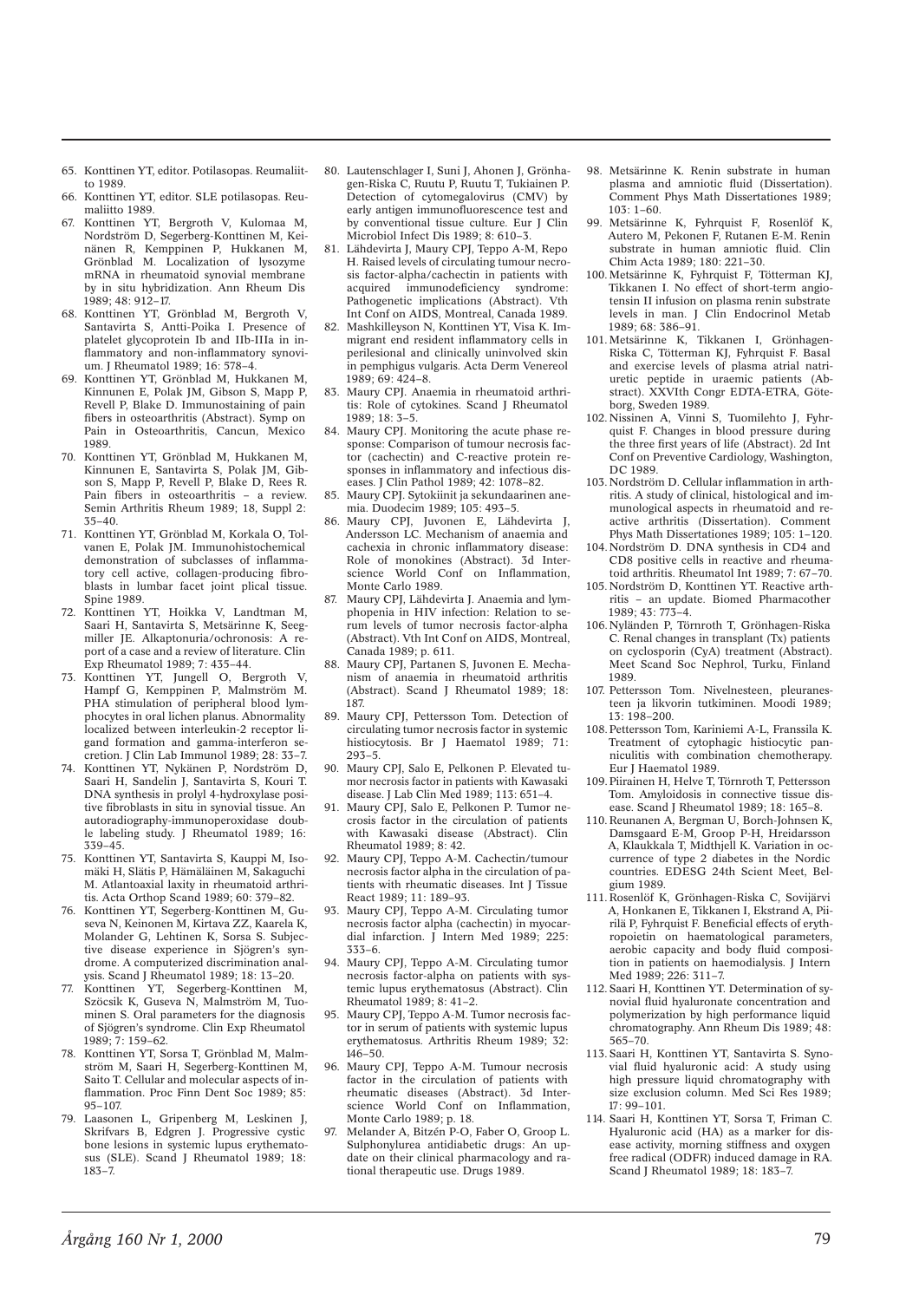- 65. Konttinen YT, editor. Potilasopas. Reumaliitto 1989.
- 66. Konttinen YT, editor. SLE potilasopas. Reumaliitto 1989.
- 67. Konttinen YT, Bergroth V, Kulomaa M, Nordström D, Segerberg-Konttinen M, Keinänen R, Kemppinen P, Hukkanen M, Grönblad M. Localization of lysozyme mRNA in rheumatoid synovial membrane by in situ hybridization. Ann Rheum Dis  $1989 \cdot 48 \cdot 912 - 17$
- 68. Konttinen YT, Grönblad M, Bergroth V, Santavirta S, Antti-Poika I. Presence of platelet glycoprotein Ib and IIb-IIIa in inflammatory and non-inflammatory synovium. J Rheumatol 1989; 16: 578–4.
- 69. Konttinen YT, Grönblad M, Hukkanen M, Kinnunen E, Polak JM, Gibson S, Mapp P, Revell P, Blake D. Immunostaining of pain fibers in osteoarthritis (Abstract). Symp on Pain in Osteoarthritis, Cancun, Mexico 1989.
- 70. Konttinen YT, Grönblad M, Hukkanen M, Kinnunen E, Santavirta S, Polak JM, Gibson S, Mapp P, Revell P, Blake D, Rees R. Pain fibers in osteoarthritis – a review. Semin Arthritis Rheum 1989; 18, Suppl 2: 35–40.
- 71. Konttinen YT, Grönblad M, Korkala O, Tolvanen E, Polak JM. Immunohistochemical demonstration of subclasses of inflammatory cell active, collagen-producing fibroblasts in lumbar facet joint plical tissue. Spine 1989.
- 72. Konttinen YT, Hoikka V, Landtman M, Saari H, Santavirta S, Metsärinne K, Seegmiller JE. Alkaptonuria/ochronosis: A report of a case and a review of literature. Clin Exp Rheumatol 1989; 7: 435–44.
- 73. Konttinen YT, Jungell O, Bergroth V, Hampf G, Kemppinen P, Malmström M. PHA stimulation of peripheral blood lymphocytes in oral lichen planus. Abnormality localized between interleukin-2 receptor ligand formation and gamma-interferon secretion. J Clin Lab Immunol 1989; 28: 33–7.
- 74. Konttinen YT, Nykänen P, Nordström D, Saari H, Sandelin J, Santavirta S, Kouri T. DNA synthesis in prolyl 4-hydroxylase positive fibroblasts in situ in synovial tissue. An autoradiography-immunoperoxidase double labeling study. J Rheumatol 1989; 16: 339–45.
- 75. Konttinen YT, Santavirta S, Kauppi M, Isomäki H, Slätis P, Hämäläinen M, Sakaguchi M. Atlantoaxial laxity in rheumatoid arthritis. Acta Orthop Scand 1989; 60: 379–82.
- 76. Konttinen YT, Segerberg-Konttinen M, Guseva N, Keinonen M, Kirtava ZZ, Kaarela K, Molander G, Lehtinen K, Sorsa S. Subjective disease experience in Sjögren's syndrome. A computerized discrimination analysis. Scand J Rheumatol 1989; 18: 13–20.
- 77. Konttinen YT, Segerberg-Konttinen M, Szöcsik K, Guseva N, Malmström M, Tuominen S. Oral parameters for the diagnosis of Sjögren's syndrome. Clin Exp Rheumatol 1989; 7: 159–62.
- 78. Konttinen YT, Sorsa T, Grönblad M, Malmström M, Saari H, Segerberg-Konttinen M, Saito T. Cellular and molecular aspects of inflammation. Proc Finn Dent Soc 1989; 85: 95–107.
- 79. Laasonen L, Gripenberg M, Leskinen J, Skrifvars B, Edgren J. Progressive cystic bone lesions in systemic lupus erythematosus (SLE). Scand J Rheumatol 1989; 18: 183–7.
- 80. Lautenschlager I, Suni J, Ahonen J, Grönhagen-Riska C, Ruutu P, Ruutu T, Tukiainen P. Detection of cytomegalovirus (CMV) by early antigen immunofluorescence test and by conventional tissue culture. Eur J Clin Microbiol Infect Dis 1989; 8: 610–3.
- 81. Lähdevirta J, Maury CPJ, Teppo A-M, Repo H. Raised levels of circulating tumour necrosis factor-alpha/cachectin in patients with acquired immunodeficiency syndrome: Pathogenetic implications (Abstract). Vth Int Conf on AIDS, Montreal, Canada 1989.
- 82. Mashkilleyson N, Konttinen YT, Visa K. Immigrant end resident inflammatory cells in perilesional and clinically uninvolved skin in pemphigus vulgaris. Acta Derm Venereol  $1989.69.424 - 8$
- 83. Maury CPJ. Anaemia in rheumatoid arthritis: Role of cytokines. Scand J Rheumatol 1989; 18: 3–5.
- 84. Maury CPJ. Monitoring the acute phase response: Comparison of tumour necrosis factor (cachectin) and C-reactive protein responses in inflammatory and infectious diseases. J Clin Pathol 1989; 42: 1078–82.
- 85. Maury CPJ. Sytokiinit ja sekundaarinen anemia. Duodecim 1989; 105: 493–5.
- 86. Maury CPJ, Juvonen E, Lähdevirta J, Andersson LC. Mechanism of anaemia and cachexia in chronic inflammatory disease: Role of monokines (Abstract). 3d Interscience World Conf on Inflammation, Monte Carlo 1989.
- 87. Maury CPJ, Lähdevirta J. Anaemia and lymphopenia in HIV infection: Relation to serum levels of tumor necrosis factor-alpha (Abstract). Vth Int Conf on AIDS, Montreal, Canada 1989; p. 611.
- 88. Maury CPJ, Partanen S, Juvonen E. Mechanism of anaemia in rheumatoid arthritis (Abstract). Scand J Rheumatol 1989; 18: 187.
- 89. Maury CPJ, Pettersson Tom. Detection of circulating tumor necrosis factor in systemic histiocytosis. Br I Haematol 1989: 71: 293–5.
- 90. Maury CPJ, Salo E, Pelkonen P. Elevated tumor necrosis factor in patients with Kawasaki disease. J Lab Clin Med 1989; 113: 651–4.
- 91. Maury CPJ, Salo E, Pelkonen P. Tumor necrosis factor in the circulation of patients with Kawasaki disease (Abstract). Clin Rheumatol 1989; 8: 42.
- 92. Maury CPJ, Teppo A-M. Cachectin/tumour necrosis factor alpha in the circulation of patients with rheumatic diseases. Int J Tissue React 1989; 11: 189–93.
- 93. Maury CPJ, Teppo A-M. Circulating tumor necrosis factor alpha (cachectin) in myocardial infarction. J Intern Med 1989; 225: 333–6.
- 94. Maury CPJ, Teppo A-M. Circulating tumor necrosis factor-alpha on patients with systemic lupus erythematosus (Abstract). Clin Rheumatol 1989; 8: 41–2.
- 95. Maury CPJ, Teppo A-M. Tumor necrosis factor in serum of patients with systemic lupus erythematosus. Arthritis Rheum 1989; 32:  $146 - 50$ .
- 96. Maury CPJ, Teppo A-M. Tumour necrosis factor in the circulation of patients with rheumatic diseases (Abstract). 3d Interscience World Conf on Inflammation, Monte Carlo 1989; p. 18.
- 97. Melander A, Bitzén P-O, Faber O, Groop L. Sulphonylurea antidiabetic drugs: An update on their clinical pharmacology and rational therapeutic use. Drugs 1989.
- 98. Metsärinne K. Renin substrate in human plasma and amniotic fluid (Dissertation). Comment Phys Math Dissertationes 1989; 103: 1–60.
- 99. Metsärinne K, Fyhrquist F, Rosenlöf K, Autero M, Pekonen F, Rutanen E-M. Renin substrate in human amniotic fluid. Clin Chim Acta 1989; 180: 221–30.
- 100. Metsärinne K, Fyhrquist F, Tötterman KJ, Tikkanen I. No effect of short-term angiotensin II infusion on plasma renin substrate levels in man. J Clin Endocrinol Metab 1989; 68: 386–91.
- 101. Metsärinne K, Tikkanen I, Grönhagen-Riska C, Tötterman KJ, Fyhrquist F. Basal and exercise levels of plasma atrial natriuretic peptide in uraemic patients (Abstract). XXVIth Congr EDTA-ETRA, Göteborg, Sweden 1989.
- 102. Nissinen A, Vinni S, Tuomilehto J, Fyhrquist F. Changes in blood pressure during the three first years of life (Abstract). 2d Int Conf on Preventive Cardiology, Washington, DC 1989.
- 103. Nordström D. Cellular inflammation in arthritis. A study of clinical, histological and immunological aspects in rheumatoid and reactive arthritis (Dissertation). Comment Phys Math Dissertationes 1989; 105: 1–120.
- 104. Nordström D. DNA synthesis in CD4 and CD8 positive cells in reactive and rheumatoid arthritis. Rheumatol Int 1989; 7: 67–70.
- 105. Nordström D, Konttinen YT. Reactive arthritis – an update. Biomed Pharmacother 1989; 43: 773–4.
- 106. Nyländen P, Törnroth T, Grönhagen-Riska C. Renal changes in transplant (Tx) patients on cyclosporin (CyA) treatment (Abstract). Meet Scand Soc Nephrol, Turku, Finland 1989.
- 107. Pettersson Tom. Nivelnesteen, pleuranesteen ja likvorin tutkiminen. Moodi 1989; 13: 198–200.
- 108. Pettersson Tom, Kariniemi A-L, Franssila K. Treatment of cytophagic histiocytic panniculitis with combination chemotherapy. Eur J Haematol 1989.
- 109. Piirainen H, Helve T, Törnroth T, Pettersson Tom. Amyloidosis in connective tissue disease. Scand J Rheumatol 1989; 18: 165–8.
- 110. Reunanen A, Bergman U, Borch-Johnsen K, Damsgaard E-M, Groop P-H, Hreidarsson A, Klaukkala T, Midthjell K. Variation in occurrence of type 2 diabetes in the Nordic countries. EDESG 24th Scient Meet, Belgium 1989.
- 111. Rosenlöf K, Grönhagen-Riska C, Sovijärvi A, Honkanen E, Tikkanen I, Ekstrand A, Piirilä P, Fyhrquist F. Beneficial effects of erythropoietin on haematological parameters, aerobic capacity and body fluid composition in patients on haemodialysis. J Intern Med 1989; 226: 311–7.
- 112. Saari H, Konttinen YT. Determination of synovial fluid hyaluronate concentration and polymerization by high performance liquid chromatography. Ann Rheum Dis 1989; 48: 565–70.
- 113. Saari H, Konttinen YT, Santavirta S. Synovial fluid hyaluronic acid: A study using high pressure liquid chromatography with size exclusion column. Med Sci Res 1989; 17: 99–101.
- 114. Saari H, Konttinen YT, Sorsa T, Friman C. Hyaluronic acid (HA) as a marker for disease activity, morning stiffness and oxygen free radical (ODFR) induced damage in RA. Scand J Rheumatol 1989; 18: 183–7.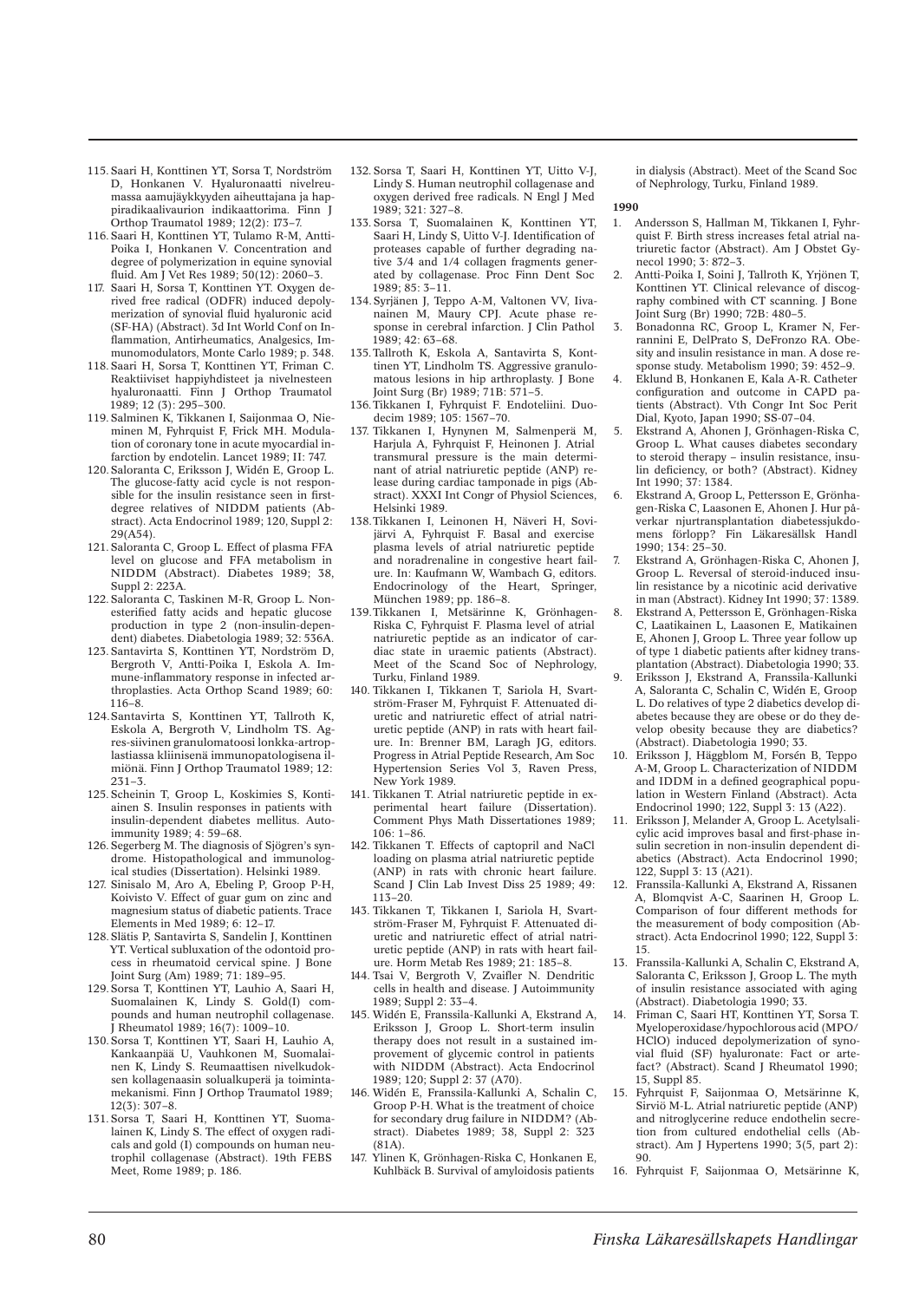- 115. Saari H, Konttinen YT, Sorsa T, Nordström D, Honkanen V. Hyaluronaatti nivelreumassa aamujäykkyyden aiheuttajana ja happiradikaalivaurion indikaattorima. Finn J Orthop Traumatol 1989; 12(2): 173–7.
- 116. Saari H, Konttinen YT, Tulamo R-M, Antti-Poika I, Honkanen V. Concentration and degree of polymerization in equine synovial fluid. Am J Vet Res 1989; 50(12): 2060–3.
- 117. Saari H, Sorsa T, Konttinen YT. Oxygen derived free radical (ODFR) induced depolymerization of synovial fluid hyaluronic acid (SF-HA) (Abstract). 3d Int World Conf on Inflammation, Antirheumatics, Analgesics, Immunomodulators, Monte Carlo 1989; p. 348.
- 118. Saari H, Sorsa T, Konttinen YT, Friman C. Reaktiiviset happiyhdisteet ja nivelnesteen hyaluronaatti. Finn J Orthop Traumatol 1989; 12 (3): 295–300.
- 119. Salminen K, Tikkanen I, Saijonmaa O, Nieminen M, Fyhrquist F, Frick MH. Modulation of coronary tone in acute myocardial infarction by endotelin. Lancet 1989; II: 747.
- 120. Saloranta C, Eriksson J, Widén E, Groop L. The glucose-fatty acid cycle is not responsible for the insulin resistance seen in firstdegree relatives of NIDDM patients (Abstract). Acta Endocrinol 1989; 120, Suppl 2: 29(A54).
- 121. Saloranta C, Groop L. Effect of plasma FFA level on glucose and FFA metabolism in NIDDM (Abstract). Diabetes 1989; 38, Suppl 2: 223A.
- 122. Saloranta C, Taskinen M-R, Groop L. Nonesterified fatty acids and hepatic glucose production in type 2 (non-insulin-dependent) diabetes. Diabetologia 1989; 32: 536A.
- 123. Santavirta S, Konttinen YT, Nordström D, Bergroth V, Antti-Poika I, Eskola A. Immune-inflammatory response in infected arthroplasties. Acta Orthop Scand 1989; 60: 116–8.
- 124. Santavirta S, Konttinen YT, Tallroth K, Eskola A, Bergroth V, Lindholm TS. Agres-siivinen granulomatoosi lonkka-artroplastiassa kliinisenä immunopatologisena ilmiönä. Finn J Orthop Traumatol 1989; 12: 231–3.
- 125. Scheinin T, Groop L, Koskimies S, Kontiainen S. Insulin responses in patients with insulin-dependent diabetes mellitus. Autoimmunity 1989; 4: 59–68.
- 126. Segerberg M. The diagnosis of Sjögren's syndrome. Histopathological and immunological studies (Dissertation). Helsinki 1989.
- 127. Sinisalo M, Aro A, Ebeling P, Groop P-H, Koivisto V. Effect of guar gum on zinc and magnesium status of diabetic patients. Trace Elements in Med 1989; 6: 12–17.
- 128. Slätis P, Santavirta S, Sandelin J, Konttinen YT. Vertical subluxation of the odontoid process in rheumatoid cervical spine. J Bone Joint Surg (Am) 1989; 71: 189–95.
- 129. Sorsa T, Konttinen YT, Lauhio A, Saari H, Suomalainen K, Lindy S. Gold(I) compounds and human neutrophil collagenase.  $\hat{J}$  Rheumatol 1989; 16(7): 1009–10.
- 130. Sorsa T, Konttinen YT, Saari H, Lauhio A, Kankaanpää U, Vauhkonen M, Suomalainen K, Lindy S. Reumaattisen nivelkudoksen kollagenaasin solualkuperä ja toimintamekanismi. Finn J Orthop Traumatol 1989; 12(3): 307–8.
- 131. Sorsa T, Saari H, Konttinen YT, Suomalainen K, Lindy S. The effect of oxygen radicals and gold (I) compounds on human neutrophil collagenase (Abstract). 19th FEBS Meet, Rome 1989; p. 186.
- 132. Sorsa T, Saari H, Konttinen YT, Uitto V-J, Lindy S. Human neutrophil collagenase and oxygen derived free radicals. N Engl J Med 1989; 321: 327–8.
- 133. Sorsa T, Suomalainen K, Konttinen YT, Saari H, Lindy S, Uitto V-J. Identification of proteases capable of further degrading native 3/4 and 1/4 collagen fragments generated by collagenase. Proc Finn Dent Soc 1989; 85: 3–11.
- 134. Syrjänen J, Teppo A-M, Valtonen VV, Iivanainen M, Maury CPJ. Acute phase response in cerebral infarction. J Clin Pathol 1989; 42: 63–68.
- 135. Tallroth K, Eskola A, Santavirta S, Konttinen YT, Lindholm TS. Aggressive granulomatous lesions in hip arthroplasty. J Bone Joint Surg (Br) 1989; 71B: 571–5.
- 136. Tikkanen I, Fyhrquist F. Endoteliini. Duodecim 1989; 105: 1567–70.
- 137. Tikkanen I, Hynynen M, Salmenperä M, Harjula A, Fyhrquist F, Heinonen J, Atrial transmural pressure is the main determinant of atrial natriuretic peptide (ANP) release during cardiac tamponade in pigs (Abstract). XXXI Int Congr of Physiol Sciences, Helsinki 1989.
- 138. Tikkanen I, Leinonen H, Näveri H, Sovijärvi A, Fyhrquist F. Basal and exercise plasma levels of atrial natriuretic peptide and noradrenaline in congestive heart failure. In: Kaufmann W, Wambach G, editors. Endocrinology of the Heart, Springer, München 1989; pp. 186–8.
- 139. Tikkanen I, Metsärinne K, Grönhagen-Riska C, Fyhrquist F. Plasma level of atrial natriuretic peptide as an indicator of cardiac state in uraemic patients (Abstract). Meet of the Scand Soc of Nephrology, Turku, Finland 1989.
- 140. Tikkanen I, Tikkanen T, Sariola H, Svartström-Fraser M, Fyhrquist F. Attenuated diuretic and natriuretic effect of atrial natriuretic peptide (ANP) in rats with heart failure. In: Brenner BM, Laragh JG, editors. Progress in Atrial Peptide Research, Am Soc Hypertension Series Vol 3, Raven Press, New York 1989.
- 141. Tikkanen T. Atrial natriuretic peptide in experimental heart failure (Dissertation). Comment Phys Math Dissertationes 1989; 106: 1–86.
- 142. Tikkanen T. Effects of captopril and NaCl loading on plasma atrial natriuretic peptide (ANP) in rats with chronic heart failure. Scand J Clin Lab Invest Diss 25 1989; 49: 113–20.
- 143. Tikkanen T, Tikkanen I, Sariola H, Svartström-Fraser M, Fyhrquist F. Attenuated diuretic and natriuretic effect of atrial natriuretic peptide (ANP) in rats with heart failure. Horm Metab Res 1989; 21: 185–8.
- 144. Tsai V, Bergroth V, Zvaifler N. Dendritic cells in health and disease. J Autoimmunity 1989; Suppl 2: 33–4.
- 145. Widén E, Franssila-Kallunki A, Ekstrand A, Eriksson J, Groop L. Short-term insulin therapy does not result in a sustained improvement of glycemic control in patients with NIDDM (Abstract). Acta Endocrinol 1989; 120; Suppl 2: 37 (A70).
- 146. Widén E, Franssila-Kallunki A, Schalin C, Groop P-H. What is the treatment of choice for secondary drug failure in NIDDM? (Abstract). Diabetes 1989; 38, Suppl 2: 323  $(81A)$
- 147. Ylinen K, Grönhagen-Riska C, Honkanen E, Kuhlbäck B. Survival of amyloidosis patients

in dialysis (Abstract). Meet of the Scand Soc of Nephrology, Turku, Finland 1989.

- 1. Andersson S, Hallman M, Tikkanen I, Fyhrquist F. Birth stress increases fetal atrial natriuretic factor (Abstract). Am J Obstet Gynecol 1990; 3: 872–3.
- 2. Antti-Poika I, Soini J, Tallroth K, Yrjönen T, Konttinen YT. Clinical relevance of discography combined with CT scanning. J Bone Joint Surg (Br) 1990; 72B: 480–5.
- 3. Bonadonna RC, Groop L, Kramer N, Ferrannini E, DelPrato S, DeFronzo RA. Obesity and insulin resistance in man. A dose response study. Metabolism 1990; 39: 452–9.
- 4. Eklund B, Honkanen E, Kala A-R. Catheter configuration and outcome in CAPD patients (Abstract). Vth Congr Int Soc Perit Dial, Kyoto, Japan 1990; SS-07–04.
- 5. Ekstrand A, Ahonen J, Grönhagen-Riska C, Groop L. What causes diabetes secondary to steroid therapy – insulin resistance, insulin deficiency, or both? (Abstract). Kidney Int 1990; 37: 1384.
- 6. Ekstrand A, Groop L, Pettersson E, Grönhagen-Riska C, Laasonen E, Ahonen J. Hur påverkar njurtransplantation diabetessjukdomens förlopp? Fin Läkaresällsk Handl 1990; 134: 25–30.
- 7. Ekstrand A, Grönhagen-Riska C, Ahonen J, Groop L. Reversal of steroid-induced insulin resistance by a nicotinic acid derivative in man (Abstract). Kidney Int 1990; 37: 1389.
- 8. Ekstrand A, Pettersson E, Grönhagen-Riska C, Laatikainen L, Laasonen E, Matikainen E, Ahonen J, Groop L. Three year follow up of type 1 diabetic patients after kidney transplantation (Abstract). Diabetologia 1990; 33. 9. Eriksson J, Ekstrand A, Franssila-Kallunki
- A, Saloranta C, Schalin C, Widén E, Groop L. Do relatives of type 2 diabetics develop diabetes because they are obese or do they develop obesity because they are diabetics? (Abstract). Diabetologia 1990; 33.
- 10. Eriksson J, Häggblom M, Forsén B, Teppo A-M, Groop L. Characterization of NIDDM and IDDM in a defined geographical population in Western Finland (Abstract). Acta Endocrinol 1990; 122, Suppl 3: 13 (A22).
- 11. Eriksson J, Melander A, Groop L. Acetylsalicylic acid improves basal and first-phase insulin secretion in non-insulin dependent diabetics (Abstract). Acta Endocrinol 1990; 122, Suppl 3: 13 (A21).
- 12. Franssila-Kallunki A, Ekstrand A, Rissanen A, Blomqvist A-C, Saarinen H, Groop L. Comparison of four different methods for the measurement of body composition (Abstract). Acta Endocrinol 1990; 122, Suppl 3: 15.
- 13. Franssila-Kallunki A, Schalin C, Ekstrand A, Saloranta C, Eriksson J, Groop L. The myth of insulin resistance associated with aging (Abstract). Diabetologia 1990; 33.
- 14. Friman C, Saari HT, Konttinen YT, Sorsa T. Myeloperoxidase/hypochlorous acid (MPO/ HClO) induced depolymerization of synovial fluid (SF) hyaluronate: Fact or artefact? (Abstract). Scand J Rheumatol 1990; 15, Suppl 85.
- 15. Fyhrquist F, Saijonmaa O, Metsärinne K, Sirviö M-L. Atrial natriuretic peptide (ANP) and nitroglycerine reduce endothelin secretion from cultured endothelial cells (Abstract). Am J Hypertens 1990; 3(5, part 2): 90.
- 16. Fyhrquist F, Saijonmaa O, Metsärinne K,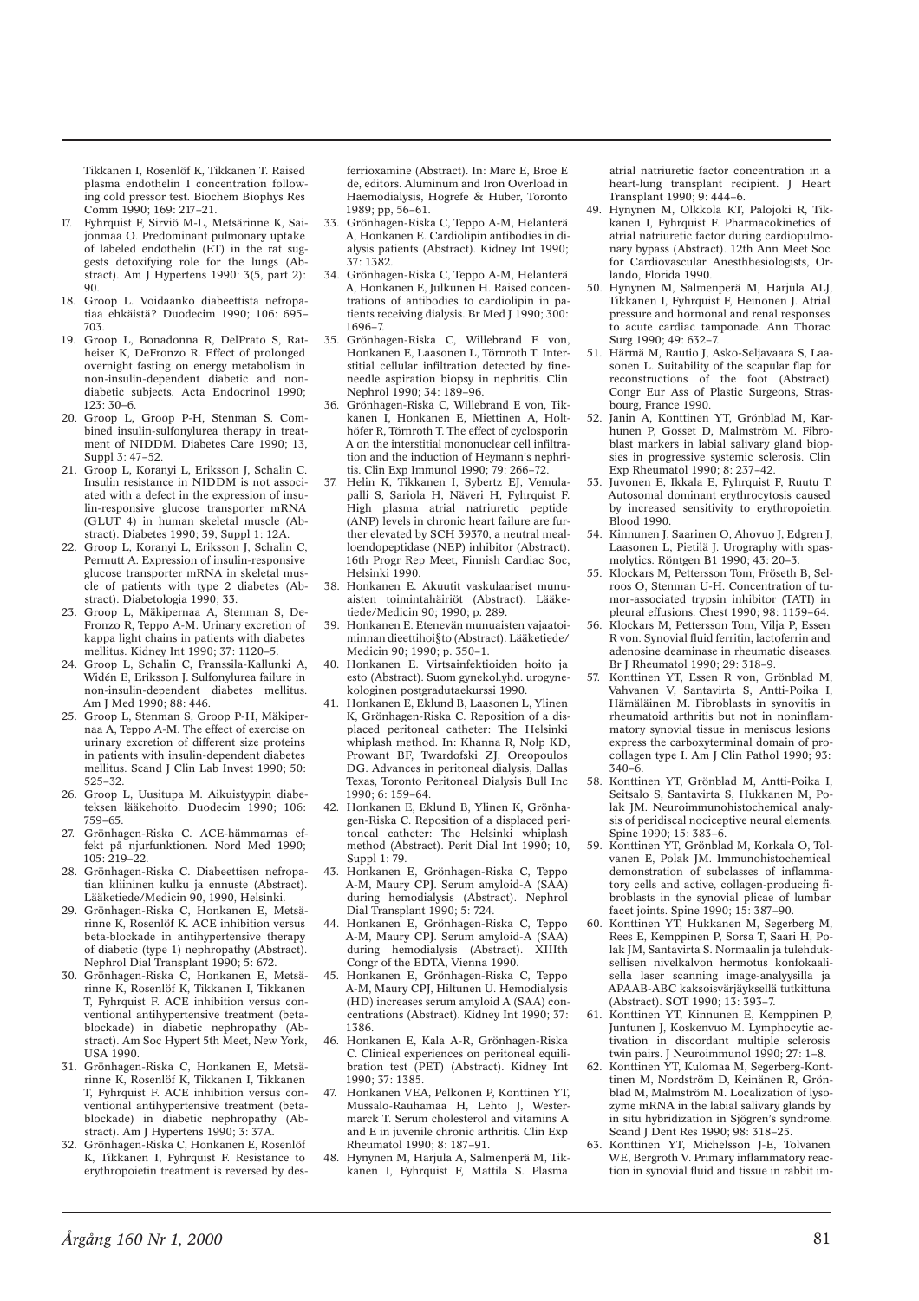Tikkanen I, Rosenlöf K, Tikkanen T. Raised plasma endothelin I concentration following cold pressor test. Biochem Biophys Res Comm 1990; 169: 217–21.

- 17. Fyhrquist F, Sirviö M-L, Metsärinne K, Saijonmaa O. Predominant pulmonary uptake of labeled endothelin (ET) in the rat suggests detoxifying role for the lungs (Abstract). Am J Hypertens 1990: 3(5, part 2):  $90^{\circ}$
- 18. Groop L. Voidaanko diabeettista nefropatiaa ehkäistä? Duodecim 1990; 106: 695– 703.
- 19. Groop L, Bonadonna R, DelPrato S, Ratheiser K, DeFronzo R. Effect of prolonged overnight fasting on energy metabolism in non-insulin-dependent diabetic and nondiabetic subjects. Acta Endocrinol 1990;  $123 \cdot 30 - 6$
- 20. Groop L, Groop P-H, Stenman S. Combined insulin-sulfonylurea therapy in treatment of NIDDM. Diabetes Care 1990; 13, Suppl 3: 47–52.
- 21. Groop L, Koranyi L, Eriksson J, Schalin C. Insulin resistance in NIDDM is not associated with a defect in the expression of insulin-responsive glucose transporter mRNA (GLUT 4) in human skeletal muscle (Abstract). Diabetes 1990; 39, Suppl 1: 12A.
- 22. Groop L, Koranyi L, Eriksson J, Schalin C, Permutt A. Expression of insulin-responsive glucose transporter mRNA in skeletal muscle of patients with type 2 diabetes (Abstract). Diabetologia 1990; 33.
- 23. Groop L, Mäkipernaa A, Stenman S, De-Fronzo R, Teppo A-M. Urinary excretion of kappa light chains in patients with diabetes mellitus. Kidney Int 1990; 37: 1120–5.
- 24. Groop L, Schalin C, Franssila-Kallunki A, Widén E, Eriksson J. Sulfonylurea failure in non-insulin-dependent diabetes mellitus. Am J Med 1990; 88: 446.
- 25. Groop L, Stenman S, Groop P-H, Mäkipernaa A, Teppo A-M. The effect of exercise on urinary excretion of different size proteins in patients with insulin-dependent diabetes mellitus. Scand J Clin Lab Invest 1990; 50: 525–32.
- 26. Groop L, Uusitupa M. Aikuistyypin diabeteksen lääkehoito. Duodecim 1990; 106: 759–65.
- 27. Grönhagen-Riska C. ACE-hämmarnas effekt på njurfunktionen. Nord Med 1990; 105: 219–22.
- 28. Grönhagen-Riska C. Diabeettisen nefropatian kliininen kulku ja ennuste (Abstract). Lääketiede/Medicin 90, 1990, Helsinki.
- 29. Grönhagen-Riska C, Honkanen E, Metsärinne K, Rosenlöf K. ACE inhibition versus beta-blockade in antihypertensive therapy of diabetic (type 1) nephropathy (Abstract). Nephrol Dial Transplant 1990; 5: 672.
- 30. Grönhagen-Riska C, Honkanen E, Metsärinne K, Rosenlöf K, Tikkanen I, Tikkanen T, Fyhrquist F. ACE inhibition versus conventional antihypertensive treatment (betablockade) in diabetic nephropathy (Abstract). Am Soc Hypert 5th Meet, New York, USA 1990.
- 31. Grönhagen-Riska C, Honkanen E, Metsärinne K, Rosenlöf K, Tikkanen I, Tikkanen T, Fyhrquist F. ACE inhibition versus conventional antihypertensive treatment (betablockade) in diabetic nephropathy (Abstract). Am J Hypertens 1990; 3: 37A.
- 32. Grönhagen-Riska C, Honkanen E, Rosenlöf K, Tikkanen I, Fyhrquist F. Resistance to erythropoietin treatment is reversed by des-

ferrioxamine (Abstract). In: Marc E, Broe E de, editors. Aluminum and Iron Overload in Haemodialysis, Hogrefe & Huber, Toronto 1989; pp, 56–61.

- 33. Grönhagen-Riska C, Teppo A-M, Helanterä A, Honkanen E. Cardiolipin antibodies in dialysis patients (Abstract). Kidney Int 1990; 37: 1382.
- 34. Grönhagen-Riska C, Teppo A-M, Helanterä A, Honkanen E, Julkunen H. Raised concentrations of antibodies to cardiolipin in patients receiving dialysis. Br Med J 1990; 300: 1696–7.
- 35. Grönhagen-Riska C, Willebrand E von, Honkanen E, Laasonen L, Törnroth T. Interstitial cellular infiltration detected by fineneedle aspiration biopsy in nephritis. Clin Nephrol 1990; 34: 189–96.
- 36. Grönhagen-Riska C, Willebrand E von, Tikkanen I, Honkanen E, Miettinen A, Holthöfer R, Törnroth T. The effect of cyclosporin A on the interstitial mononuclear cell infiltration and the induction of Heymann's nephritis. Clin Exp Immunol 1990; 79: 266–72.
- 37. Helin K, Tikkanen I, Sybertz EJ, Vemulapalli S, Sariola H, Näveri H, Fyhrauist F. High plasma atrial natriuretic peptide (ANP) levels in chronic heart failure are further elevated by SCH 39370, a neutral mealloendopeptidase (NEP) inhibitor (Abstract). 16th Progr Rep Meet, Finnish Cardiac Soc, Helsinki 1990.
- 38. Honkanen E. Akuutit vaskulaariset munuaisten toimintahäiriöt (Abstract). Lääketiede/Medicin 90; 1990; p. 289.
- 39. Honkanen E. Etenevän munuaisten vajaatoiminnan dieettihoi§to (Abstract). Lääketiede/ Medicin 90; 1990; p. 350–1.
- 40. Honkanen E. Virtsainfektioiden hoito ja esto (Abstract). Suom gynekol.yhd. urogynekologinen postgradutaekurssi 1990.
- 41. Honkanen E, Eklund B, Laasonen L, Ylinen K, Grönhagen-Riska C. Reposition of a displaced peritoneal catheter: The Helsinki whiplash method. In: Khanna R, Nolp KD, Prowant BF, Twardofski ZJ, Oreopoulos DG. Advances in peritoneal dialysis, Dallas Texas, Toronto Peritoneal Dialysis Bull Inc 1990; 6: 159–64.
- 42. Honkanen E, Eklund B, Ylinen K, Grönhagen-Riska C. Reposition of a displaced peritoneal catheter: The Helsinki whiplash method (Abstract). Perit Dial Int 1990; 10, Suppl 1: 79.
- 43. Honkanen E, Grönhagen-Riska C, Teppo A-M, Maury CPJ. Serum amyloid-A (SAA) during hemodialysis (Abstract). Nephrol Dial Transplant 1990; 5: 724.
- 44. Honkanen E, Grönhagen-Riska C, Teppo A-M, Maury CPJ. Serum amyloid-A (SAA) during hemodialysis (Abstract). XIIIth Congr of the EDTA, Vienna 1990.
- 45. Honkanen E, Grönhagen-Riska C, Teppo A-M, Maury CPJ, Hiltunen U. Hemodialysis (HD) increases serum amyloid A (SAA) concentrations (Abstract). Kidney Int 1990; 37: 1386.
- 46. Honkanen E, Kala A-R, Grönhagen-Riska C. Clinical experiences on peritoneal equilibration test (PET) (Abstract). Kidney Int 1990; 37: 1385.
- 47. Honkanen VEA, Pelkonen P, Konttinen YT, Mussalo-Rauhamaa H, Lehto J, Westermarck T. Serum cholesterol and vitamins A and E in juvenile chronic arthritis. Clin Exp Rheumatol 1990; 8: 187–91.
- 48. Hynynen M, Harjula A, Salmenperä M, Tikkanen I, Fyhrquist F, Mattila S. Plasma

atrial natriuretic factor concentration in a heart-lung transplant recipient. J Heart Transplant 1990; 9: 444–6.

- 49. Hynynen M, Olkkola KT, Palojoki R, Tikkanen I, Fyhrquist F. Pharmacokinetics of atrial natriuretic factor during cardiopulmonary bypass (Abstract). 12th Ann Meet Soc for Cardiovascular Anesthhesiologists, Orlando, Florida 1990.
- 50. Hynynen M, Salmenperä M, Harjula ALJ, Tikkanen I, Fyhrquist F, Heinonen J. Atrial pressure and hormonal and renal responses to acute cardiac tamponade. Ann Thorac Surg 1990; 49: 632–7.
- 51. Härmä M, Rautio J, Asko-Seljavaara S, Laasonen L. Suitability of the scapular flap for reconstructions of the foot (Abstract). Congr Eur Ass of Plastic Surgeons, Strasbourg, France 1990.
- 52. Janin A, Konttinen YT, Grönblad M, Karhunen P, Gosset D, Malmström M. Fibroblast markers in labial salivary gland biopsies in progressive systemic sclerosis. Clin Exp Rheumatol 1990; 8: 237–42.
- Juvonen E, Ikkala E, Fyhrquist F, Ruutu T. Autosomal dominant erythrocytosis caused by increased sensitivity to erythropoietin. Blood 1990.
- 54. Kinnunen J, Saarinen O, Ahovuo J, Edgren J, Laasonen L, Pietilä J. Urography with spasmolytics. Röntgen B1 1990; 43: 20–3.
- 55. Klockars M, Pettersson Tom, Fröseth B, Selroos O, Stenman U-H. Concentration of tumor-associated trypsin inhibitor (TATI) in pleural effusions. Chest 1990; 98: 1159–64.
- 56. Klockars M, Pettersson Tom, Vilja P, Essen R von. Synovial fluid ferritin, lactoferrin and adenosine deaminase in rheumatic diseases. Br J Rheumatol 1990; 29: 318–9.
- 57. Konttinen YT, Essen R von, Grönblad M, Vahvanen V, Santavirta S, Antti-Poika I, Hämäläinen M. Fibroblasts in synovitis in rheumatoid arthritis but not in noninflammatory synovial tissue in meniscus lesions express the carboxyterminal domain of procollagen type I. Am J Clin Pathol 1990; 93:  $340-6$
- 58. Konttinen YT, Grönblad M, Antti-Poika I, Seitsalo S, Santavirta S, Hukkanen M, Polak JM. Neuroimmunohistochemical analysis of peridiscal nociceptive neural elements. Spine 1990; 15: 383–6.
- 59. Konttinen YT, Grönblad M, Korkala O, Tolvanen E, Polak JM. Immunohistochemical demonstration of subclasses of inflammatory cells and active, collagen-producing fibroblasts in the synovial plicae of lumbar facet joints. Spine 1990; 15: 387–90.
- 60. Konttinen YT, Hukkanen M, Segerberg M, Rees E, Kemppinen P, Sorsa T, Saari H, Polak JM, Santavirta S. Normaalin ja tulehduksellisen nivelkalvon hermotus konfokaalisella laser scanning image-analyysilla ja APAAB-ABC kaksoisvärjäyksellä tutkittuna (Abstract). SOT 1990; 13: 393–7.
- 61. Konttinen YT, Kinnunen E, Kemppinen P, Juntunen J, Koskenvuo M. Lymphocytic activation in discordant multiple sclerosis twin pairs. J Neuroimmunol 1990; 27: 1-8.
- Konttinen YT, Kulomaa M, Segerberg-Konttinen M, Nordström D, Keinänen R, Grönblad M, Malmström M. Localization of lysozyme mRNA in the labial salivary glands by in situ hybridization in Sjögren's syndrome. Scand J Dent Res 1990; 98: 318–25.
- 63. Konttinen YT, Michelsson J-E, Tolvanen WE, Bergroth V. Primary inflammatory reaction in synovial fluid and tissue in rabbit im-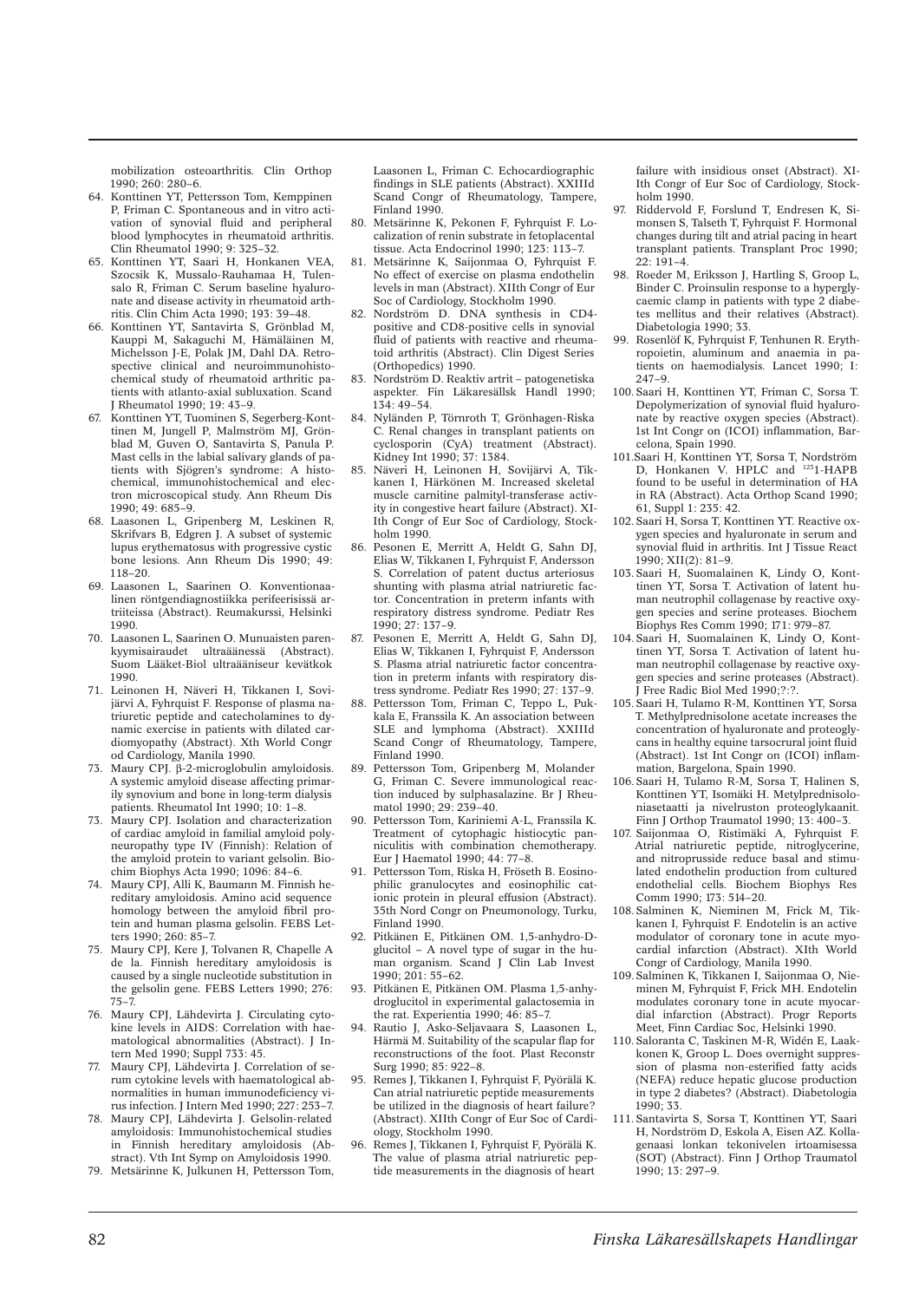mobilization osteoarthritis. Clin Orthop 1990; 260: 280–6.

- 64. Konttinen YT, Pettersson Tom, Kemppinen P, Friman C. Spontaneous and in vitro activation of synovial fluid and peripheral blood lymphocytes in rheumatoid arthritis. Clin Rheumatol 1990; 9: 325–32.
- 65. Konttinen YT, Saari H, Honkanen VEA, Szocsik K, Mussalo-Rauhamaa H, Tulensalo R, Friman C. Serum baseline hyaluronate and disease activity in rheumatoid arthritis. Clin Chim Acta 1990; 193: 39–48.
- 66. Konttinen YT, Santavirta S, Grönblad M, Kauppi M, Sakaguchi M, Hämäläinen M, Michelsson J-E, Polak JM, Dahl DA. Retrospective clinical and neuroimmunohistochemical study of rheumatoid arthritic patients with atlanto-axial subluxation. Scand J Rheumatol 1990; 19: 43–9.
- 67. Konttinen YT, Tuominen S, Segerberg-Konttinen M, Jungell P, Malmström MJ, Grönblad M, Guven O, Santavirta S, Panula P. Mast cells in the labial salivary glands of patients with Sjögren's syndrome: A histochemical, immunohistochemical and electron microscopical study. Ann Rheum Dis 1990; 49: 685–9.
- 68. Laasonen L, Gripenberg M, Leskinen R, Skrifvars B, Edgren J. A subset of systemic lupus erythematosus with progressive cystic bone lesions. Ann Rheum Dis 1990; 49: 118–20.
- 69. Laasonen L, Saarinen O. Konventionaalinen röntgendiagnostiikka perifeerisissä artriiteissa (Abstract). Reumakurssi, Helsinki 1990.
- 70. Laasonen L, Saarinen O. Munuaisten parenkyymisairaudet ultraäänessä (Abstract). Suom Lääket-Biol ultraääniseur kevätkok 1990.
- 71. Leinonen H, Näveri H, Tikkanen I, Sovijärvi A, Fyhrquist F. Response of plasma natriuretic peptide and catecholamines to dynamic exercise in patients with dilated cardiomyopathy (Abstract). Xth World Congr od Cardiology, Manila 1990.
- 73. Maury CPJ. β-2-microglobulin amyloidosis. A systemic amyloid disease affecting primarily synovium and bone in long-term dialysis patients. Rheumatol Int 1990; 10: 1–8.
- 73. Maury CPJ. Isolation and characterization of cardiac amyloid in familial amyloid polyneuropathy type IV (Finnish): Relation of the amyloid protein to variant gelsolin. Biochim Biophys Acta 1990; 1096: 84–6.
- 74. Maury CPJ, Alli K, Baumann M. Finnish hereditary amyloidosis. Amino acid sequence homology between the amyloid fibril protein and human plasma gelsolin. FEBS Letters 1990; 260: 85–7.
- 75. Maury CPJ, Kere J, Tolvanen R, Chapelle A de la. Finnish hereditary amyloidosis is caused by a single nucleotide substitution in the gelsolin gene. FEBS Letters 1990; 276: 75–7.
- 76. Maury CPJ, Lähdevirta J. Circulating cytokine levels in AIDS: Correlation with haematological abnormalities (Abstract). J Intern Med 1990; Suppl 733: 45.
- 77. Maury CPJ, Lähdevirta J. Correlation of serum cytokine levels with haematological abnormalities in human immunodeficiency virus infection. J Intern Med 1990; 227: 253–7.
- 78. Maury CPJ, Lähdevirta J. Gelsolin-related amyloidosis: Immunohistochemical studies in Finnish hereditary amyloidosis (Abstract). Vth Int Symp on Amyloidosis 1990.
- 79. Metsärinne K, Julkunen H, Pettersson Tom,

Laasonen L, Friman C. Echocardiographic findings in SLE patients (Abstract). XXIIId Scand Congr of Rheumatology, Tampere, Finland 1990.

- 80. Metsärinne K, Pekonen F, Fyhrquist F. Localization of renin substrate in fetoplacental tissue. Acta Endocrinol 1990; 123: 113–7.
- 81. Metsärinne K, Saijonmaa O, Fyhrquist F. No effect of exercise on plasma endothelin levels in man (Abstract). XIIth Congr of Eur Soc of Cardiology, Stockholm 1990.
- 82. Nordström D. DNA synthesis in CD4 positive and CD8-positive cells in synovial fluid of patients with reactive and rheumatoid arthritis (Abstract). Clin Digest Series (Orthopedics) 1990.
- 83. Nordström D. Reaktiv artrit patogenetiska aspekter. Fin Läkaresällsk Handl 1990;  $134 \cdot 49 - 54$
- 84. Nyländen P, Törnroth T, Grönhagen-Riska C. Renal changes in transplant patients on cyclosporin (CyA) treatment (Abstract). Kidney Int 1990; 37: 1384.
- 85. Näveri H, Leinonen H, Sovijärvi A, Tikkanen I, Härkönen M. Increased skeletal muscle carnitine palmityl-transferase activity in congestive heart failure (Abstract). XI-Ith Congr of Eur Soc of Cardiology, Stockholm 1990.
- 86. Pesonen E, Merritt A, Heldt G, Sahn DJ, Elias W, Tikkanen I, Fyhrquist F, Andersson S. Correlation of patent ductus arteriosus shunting with plasma atrial natriuretic factor. Concentration in preterm infants with respiratory distress syndrome. Pediatr Res 1990; 27: 137–9.
- 87. Pesonen E, Merritt A, Heldt G, Sahn DJ, Elias W, Tikkanen I, Fyhrquist F, Andersson S. Plasma atrial natriuretic factor concentration in preterm infants with respiratory distress syndrome. Pediatr Res 1990; 27: 137–9.
- 88. Pettersson Tom, Friman C, Teppo L, Pukkala E, Franssila K. An association between SLE and lymphoma (Abstract). XXIIId Scand Congr of Rheumatology, Tampere, Finland 1990.
- 89. Pettersson Tom, Gripenberg M, Molander G, Friman C. Severe immunological reaction induced by sulphasalazine. Br J Rheumatol 1990; 29: 239–40.
- 90. Pettersson Tom, Kariniemi A-L, Franssila K. Treatment of cytophagic histiocytic panniculitis with combination chemotherapy. Eur J Haematol 1990; 44: 77–8.
- 91. Pettersson Tom, Riska H, Fröseth B. Eosinophilic granulocytes and eosinophilic cationic protein in pleural effusion (Abstract). 35th Nord Congr on Pneumonology, Turku, Finland 1990.
- 92. Pitkänen E, Pitkänen OM. 1,5-anhydro-Dglucitol – A novel type of sugar in the human organism. Scand J Clin Lab Invest 1990; 201: 55–62.
- 93. Pitkänen E, Pitkänen OM. Plasma 1,5-anhydroglucitol in experimental galactosemia in the rat. Experientia 1990; 46: 85–7.
- 94. Rautio J, Asko-Seljavaara S, Laasonen L, Härmä M. Suitability of the scapular flap for reconstructions of the foot. Plast Reconstr Surg 1990; 85: 922–8.
- 95. Remes J, Tikkanen I, Fyhrquist F, Pyörälä K. Can atrial natriuretic peptide measurements be utilized in the diagnosis of heart failure? (Abstract). XIIth Congr of Eur Soc of Cardiology, Stockholm 1990.
- 96. Remes J, Tikkanen I, Fyhrquist F, Pyörälä K. The value of plasma atrial natriuretic peptide measurements in the diagnosis of heart

failure with insidious onset (Abstract). XI-Ith Congr of Eur Soc of Cardiology, Stockholm 1990.

- 97. Riddervold F, Forslund T, Endresen K, Simonsen S, Talseth T, Fyhrquist F. Hormonal changes during tilt and atrial pacing in heart transplant patients. Transplant Proc 1990;  $22 \cdot 191 - 4$
- 98. Roeder M, Eriksson J, Hartling S, Groop L, Binder C. Proinsulin response to a hyperglycaemic clamp in patients with type 2 diabetes mellitus and their relatives (Abstract). Diabetologia 1990; 33.
- 99. Rosenlöf K, Fyhrquist F, Tenhunen R. Erythropoietin, aluminum and anaemia in patients on haemodialysis. Lancet 1990; I: 247–9.
- 100. Saari H, Konttinen YT, Friman C, Sorsa T. Depolymerization of synovial fluid hyaluronate by reactive oxygen species (Abstract). 1st Int Congr on (ICOI) inflammation, Barcelona, Spain 1990.
- 101.Saari H, Konttinen YT, Sorsa T, Nordström D, Honkanen V. HPLC and <sup>125</sup>1-HAPB found to be useful in determination of HA in RA (Abstract). Acta Orthop Scand 1990; 61, Suppl 1: 235: 42.
- 102. Saari H, Sorsa T, Konttinen YT. Reactive oxygen species and hyaluronate in serum and synovial fluid in arthritis. Int J Tissue React 1990; XII(2): 81–9.
- 103. Saari H, Suomalainen K, Lindy O, Konttinen YT, Sorsa T. Activation of latent human neutrophil collagenase by reactive oxygen species and serine proteases. Biochem Biophys Res Comm 1990; 171: 979–87.
- 104. Saari H, Suomalainen K, Lindy O, Konttinen YT, Sorsa T. Activation of latent human neutrophil collagenase by reactive oxygen species and serine proteases (Abstract). J Free Radic Biol Med 1990;?:?.
- 105. Saari H, Tulamo R-M, Konttinen YT, Sorsa T. Methylprednisolone acetate increases the concentration of hyaluronate and proteoglycans in healthy equine tarsocrural joint fluid (Abstract). 1st Int Congr on (ICOI) inflammation, Bargelona, Spain 1990.
- 106. Saari H, Tulamo R-M, Sorsa T, Halinen S, Konttinen YT, Isomäki H. Metylprednisoloniasetaatti ja nivelruston proteoglykaanit. Finn J Orthop Traumatol 1990; 13: 400–3.
- 107. Saijonmaa O, Ristimäki A, Fyhrquist F. Atrial natriuretic peptide, nitroglycerine, and nitroprusside reduce basal and stimulated endothelin production from cultured endothelial cells. Biochem Biophys Res Comm 1990; 173: 514–20.
- 108. Salminen K, Nieminen M, Frick M, Tikkanen I, Fyhrquist F. Endotelin is an active modulator of coronary tone in acute myocardial infarction (Abstract). XIth World Congr of Cardiology, Manila 1990.
- 109. Salminen K, Tikkanen I, Saijonmaa O, Nieminen M, Fyhrquist F, Frick MH. Endotelin modulates coronary tone in acute myocardial infarction (Abstract). Progr Reports Meet, Finn Cardiac Soc, Helsinki 1990.
- 110. Saloranta C, Taskinen M-R, Widén E, Laakkonen K, Groop L. Does overnight suppression of plasma non-esterified fatty acids (NEFA) reduce hepatic glucose production in type 2 diabetes? (Abstract). Diabetologia 1990; 33.
- 111. Santavirta S, Sorsa T, Konttinen YT, Saari H, Nordström D, Eskola A, Eisen AZ. Kollagenaasi lonkan tekonivelen irtoamisessa (SOT) (Abstract). Finn J Orthop Traumatol 1990; 13: 297–9.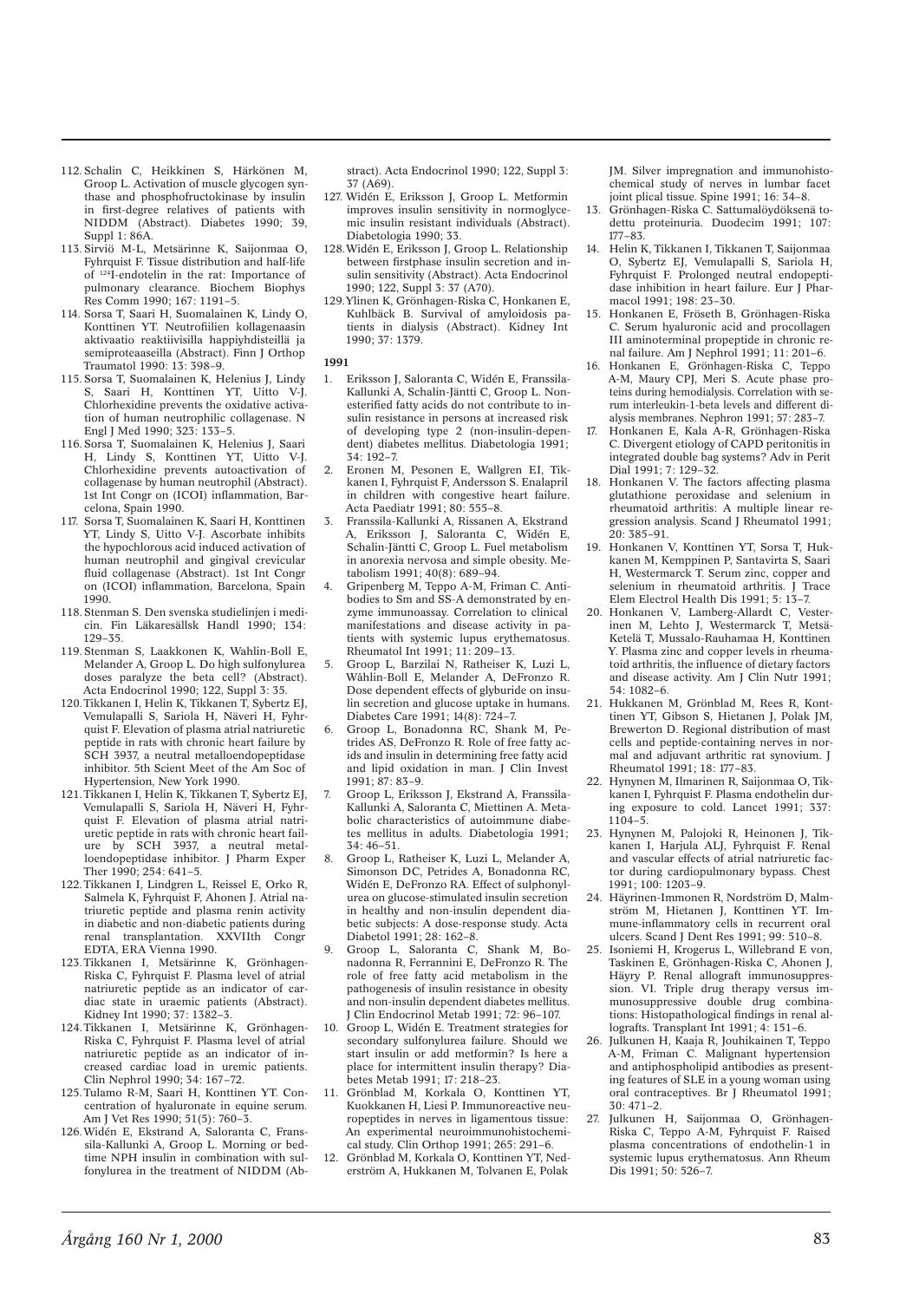- 112. Schalin C, Heikkinen S, Härkönen M, Groop L. Activation of muscle glycogen synthase and phosphofructokinase by insulin in first-degree relatives of patients with NIDDM (Abstract). Diabetes 1990; 39, Suppl 1: 86A.
- 113. Sirviö M-L, Metsärinne K, Saijonmaa O, Fyhrquist F. Tissue distribution and half-life of 124I-endotelin in the rat: Importance of pulmonary clearance. Biochem Biophys Res Comm 1990; 167: 1191–5.
- 114. Sorsa T, Saari H, Suomalainen K, Lindy O, Konttinen YT. Neutrofiilien kollagenaasin aktivaatio reaktiivisilla happiyhdisteillä ja semiproteaaseilla (Abstract). Finn J Orthop Traumatol 1990: 13: 398–9.
- 115. Sorsa T, Suomalainen K, Helenius J, Lindy S, Saari H, Konttinen YT, Uitto V-J. Chlorhexidine prevents the oxidative activation of human neutrophilic collagenase. N Engl J Med 1990; 323: 133–5.
- 116. Sorsa T, Suomalainen K, Helenius J, Saari H, Lindy S, Konttinen YT, Uitto V-J. Chlorhexidine prevents autoactivation of collagenase by human neutrophil (Abstract). 1st Int Congr on (ICOI) inflammation, Barcelona, Spain 1990.
- 117. Sorsa T, Suomalainen K, Saari H, Konttinen YT, Lindy S, Uitto V-J. Ascorbate inhibits the hypochlorous acid induced activation of human neutrophil and gingival crevicular fluid collagenase (Abstract). 1st Int Congr on (ICOI) inflammation, Barcelona, Spain 1990.
- 118. Stenman S. Den svenska studielinjen i medicin. Fin Läkaresällsk Handl 1990; 134: 129–35.
- 119. Stenman S, Laakkonen K, Wahlin-Boll E, Melander A, Groop L. Do high sulfonylurea doses paralyze the beta cell? (Abstract). Acta Endocrinol 1990; 122, Suppl 3: 35.
- 120. Tikkanen I, Helin K, Tikkanen T, Sybertz EJ, Vemulapalli S, Sariola H, Näveri H, Fyhrquist F. Elevation of plasma atrial natriuretic peptide in rats with chronic heart failure by SCH 3937, a neutral metalloendopeptidase inhibitor. 5th Scient Meet of the Am Soc of Hypertension, New York 1990.
- 121. Tikkanen I, Helin K, Tikkanen T, Sybertz EJ, Vemulapalli S, Sariola H, Näveri H, Fyhrquist F. Elevation of plasma atrial natriuretic peptide in rats with chronic heart failure by SCH 3937, a neutral metalloendopeptidase inhibitor. J Pharm Exper Ther 1990; 254: 641-5.
- 122. Tikkanen I, Lindgren L, Reissel E, Orko R, Salmela K, Fyhrquist F, Ahonen J. Atrial natriuretic peptide and plasma renin activity in diabetic and non-diabetic patients during<br>renal transplantation. XXVIIth Congr renal transplantation. EDTA, ERA Vienna 1990.
- 123. Tikkanen I, Metsärinne K, Grönhagen-Riska C, Fyhrquist F. Plasma level of atrial natriuretic peptide as an indicator of cardiac state in uraemic patients (Abstract). Kidney Int 1990; 37: 1382–3.
- 124. Tikkanen I, Metsärinne K, Grönhagen-Riska C, Fyhrquist F. Plasma level of atrial natriuretic peptide as an indicator of increased cardiac load in uremic patients. Clin Nephrol 1990; 34: 167–72.
- 125. Tulamo R-M, Saari H, Konttinen YT. Concentration of hyaluronate in equine serum. Am J Vet Res 1990; 51(5): 760–3.
- 126. Widén E, Ekstrand A, Saloranta C, Franssila-Kallunki A, Groop L. Morning or bedtime NPH insulin in combination with sulfonylurea in the treatment of NIDDM (Ab-

stract). Acta Endocrinol 1990; 122, Suppl 3: 37 (A69).

- 127. Widén E, Eriksson J, Groop L. Metformin improves insulin sensitivity in normoglycemic insulin resistant individuals (Abstract). Diabetologia 1990; 33.
- 128. Widén E, Eriksson J, Groop L. Relationship between firstphase insulin secretion and insulin sensitivity (Abstract). Acta Endocrinol 1990; 122, Suppl 3: 37 (A70).
- 129. Ylinen K, Grönhagen-Riska C, Honkanen E, Kuhlbäck B. Survival of amyloidosis patients in dialysis (Abstract). Kidney Int 1990; 37: 1379.

## **1991**

- 1. Eriksson J, Saloranta C, Widén E, Franssila-Kallunki A, Schalin-Jäntti C, Groop L. Nonesterified fatty acids do not contribute to insulin resistance in persons at increased risk of developing type 2 (non-insulin-dependent) diabetes mellitus. Diabetologia 1991; 34: 192–7.
- 2. Eronen M, Pesonen E, Wallgren EI Tikkanen I, Fyhrquist F, Andersson S. Enalapril in children with congestive heart failure. Acta Paediatr 1991; 80: 555–8.
- 3. Franssila-Kallunki A, Rissanen A, Ekstrand A, Eriksson J, Saloranta C, Widén E, Schalin-Jäntti C, Groop L. Fuel metabolism in anorexia nervosa and simple obesity. Metabolism 1991; 40(8): 689–94.
- 4. Gripenberg M, Teppo A-M, Friman C. Antibodies to Sm and SS-A demonstrated by enzyme immunoassay. Correlation to clinical manifestations and disease activity in patients with systemic lupus erythematosus. Rheumatol Int 1991; 11: 209–13.
- 5. Groop L, Barzilai N, Ratheiser K, Luzi L, Wåhlin-Boll E, Melander A, DeFronzo R. Dose dependent effects of glyburide on insulin secretion and glucose uptake in humans. Diabetes Care 1991; 14(8): 724–7.
- 6. Groop L, Bonadonna RC, Shank M, Petrides AS, DeFronzo R. Role of free fatty acids and insulin in determining free fatty acid and lipid oxidation in man. J Clin Invest 1991; 87: 83–9.
- 7. Groop L, Eriksson J, Ekstrand A, Franssila-Kallunki A, Saloranta C, Miettinen A. Metabolic characteristics of autoimmune diabetes mellitus in adults. Diabetologia 1991; 34: 46–51.
- 8. Groop L, Ratheiser K, Luzi L, Melander A, Simonson DC, Petrides A, Bonadonna RC, Widén E, DeFronzo RA. Effect of sulphonylurea on glucose-stimulated insulin secretion in healthy and non-insulin dependent diabetic subjects: A dose-response study. Acta Diabetol 1991; 28: 162–8.
- 9. Groop L, Saloranta C, Shank M, Bonadonna R, Ferrannini E, DeFronzo R. The role of free fatty acid metabolism in the pathogenesis of insulin resistance in obesity and non-insulin dependent diabetes mellitus. Clin Endocrinol Metab 1991; 72: 96-107.
- 10. Groop L, Widén E. Treatment strategies for secondary sulfonylurea failure. Should we start insulin or add metformin? Is here a place for intermittent insulin therapy? Diabetes Metab 1991; 17: 218–23.
- 11. Grönblad M, Korkala O, Konttinen YT, Kuokkanen H, Liesi P. Immunoreactive neuropeptides in nerves in ligamentous tissue: An experimental neuroimmunohistochemical study. Clin Orthop 1991; 265: 291–6.
- 12. Grönblad M, Korkala O, Konttinen YT, Nederström A, Hukkanen M, Tolvanen E, Polak

JM. Silver impregnation and immunohistochemical study of nerves in lumbar facet joint plical tissue. Spine 1991; 16: 34–8.

- 13. Grönhagen-Riska C. Sattumalöydöksenä todettu proteinuria. Duodecim 1991; 107: 177–83.
- 14. Helin K, Tikkanen I, Tikkanen T, Saijonmaa O, Sybertz EJ, Vemulapalli S, Sariola H, Fyhrquist F. Prolonged neutral endopeptidase inhibition in heart failure. Eur J Pharmacol 1991; 198: 23–30.
- 15. Honkanen E, Fröseth B, Grönhagen-Riska C. Serum hyaluronic acid and procollagen III aminoterminal propeptide in chronic renal failure. Am J Nephrol 1991; 11: 201–6.
- 16. Honkanen E, Grönhagen-Riska C, Teppo A-M, Maury CPJ, Meri S. Acute phase proteins during hemodialysis. Correlation with serum interleukin-1-beta levels and different dialysis membranes. Nephron 1991; 57: 283–7.
- 17. Honkanen E, Kala A-R, Grönhagen-Riska C. Divergent etiology of CAPD peritonitis in integrated double bag systems? Adv in Perit Dial 1991; 7: 129–32.
- 18. Honkanen V. The factors affecting plasma glutathione peroxidase and selenium in rheumatoid arthritis: A multiple linear regression analysis. Scand J Rheumatol 1991; 20: 385–91.
- 19. Honkanen V, Konttinen YT, Sorsa T, Hukkanen M, Kemppinen P, Santavirta S, Saari H, Westermarck T. Serum zinc, copper and selenium in rheumatoid arthritis. J Trace Elem Electrol Health Dis 1991; 5: 13–7.
- 20. Honkanen V, Lamberg-Allardt C, Vesterinen M, Lehto J, Westermarck T, Metsä-Ketelä T, Mussalo-Rauhamaa H, Konttinen Y. Plasma zinc and copper levels in rheumatoid arthritis, the influence of dietary factors and disease activity. Am J Clin Nutr 1991; 54: 1082–6.
- 21. Hukkanen M, Grönblad M, Rees R, Konttinen YT, Gibson S, Hietanen J, Polak JM, Brewerton D. Regional distribution of mast cells and peptide-containing nerves in normal and adjuvant arthritic rat synovium. J Rheumatol 1991; 18: 177–83.
- 22. Hynynen M, Ilmarinen R, Saijonmaa O, Tikkanen I, Fyhrquist F. Plasma endothelin during exposure to cold. Lancet 1991; 337:  $1104 - 5$
- 23. Hynynen M, Palojoki R, Heinonen J, Tikkanen I, Harjula ALJ, Fyhrquist F. Renal and vascular effects of atrial natriuretic factor during cardiopulmonary bypass. Chest 1991; 100: 1203–9.
- 24. Häyrinen-Immonen R, Nordström D, Malmström M, Hietanen J, Konttinen YT. Immune-inflammatory cells in recurrent oral ulcers. Scand J Dent Res 1991; 99: 510–8.
- 25. Isoniemi H, Krogerus L, Willebrand E von, Taskinen E, Grönhagen-Riska C, Ahonen J, Häyry P. Renal allograft immunosuppression. VI. Triple drug therapy versus immunosuppressive double drug combinations: Histopathological findings in renal allografts. Transplant Int 1991; 4: 151–6.
- 26. Julkunen H, Kaaja R, Jouhikainen T, Teppo A-M, Friman C. Malignant hypertension and antiphospholipid antibodies as presenting features of SLE in a young woman using oral contraceptives. Br J Rheumatol 1991; 30: 471–2.
- 27. Julkunen H, Saijonmaa O, Grönhagen-Riska C, Teppo A-M, Fyhrquist F. Raised plasma concentrations of endothelin-1 in systemic lupus erythematosus. Ann Rheum Dis 1991; 50: 526–7.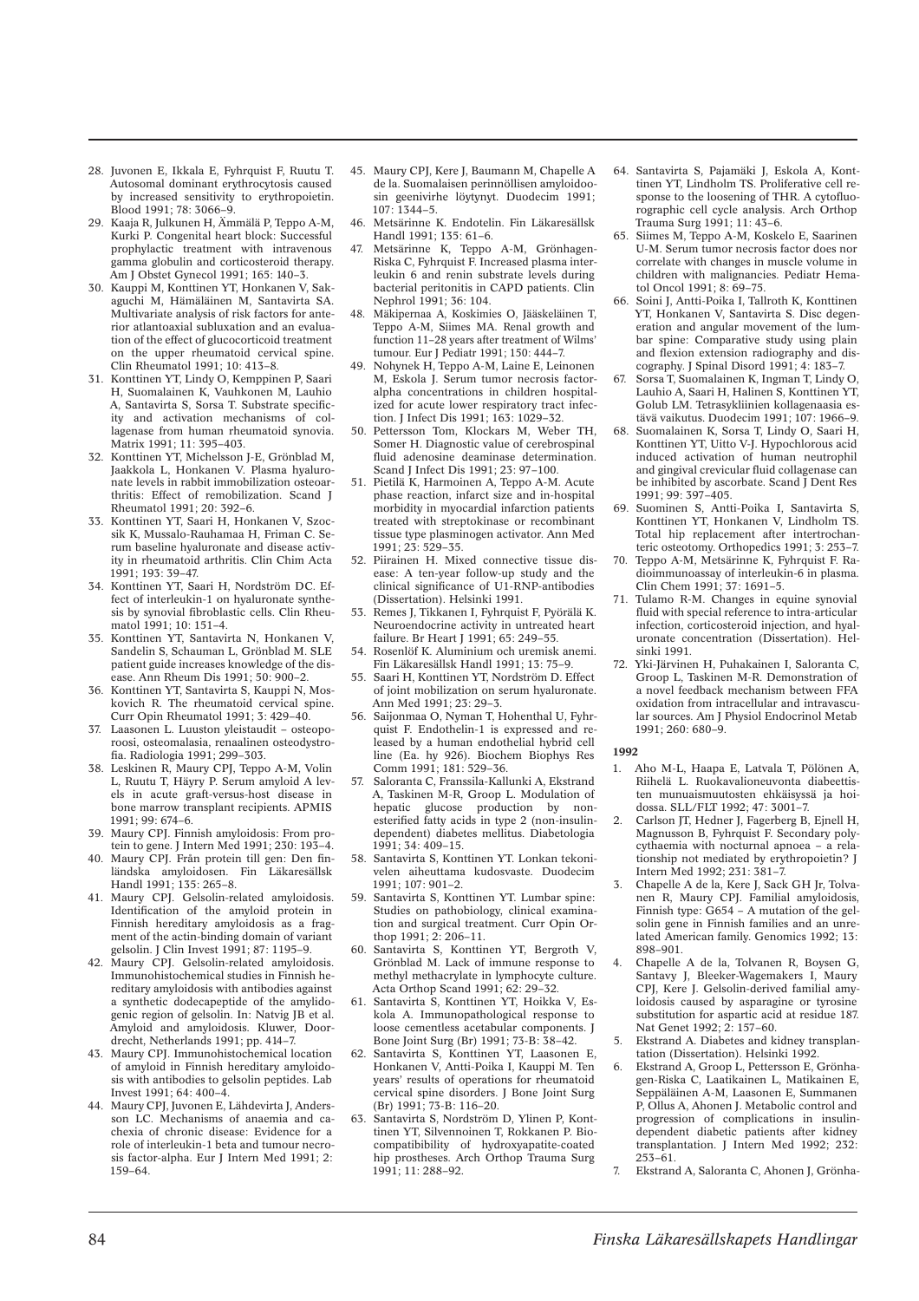- 28. Juvonen E, Ikkala E, Fyhrquist F, Ruutu T. Autosomal dominant erythrocytosis caused by increased sensitivity to erythropoietin. Blood 1991; 78: 3066–9.
- 29. Kaaja R, Julkunen H, Ämmälä P, Teppo A-M, Kurki P. Congenital heart block: Successful prophylactic treatment with intravenous gamma globulin and corticosteroid therapy. Am J Obstet Gynecol 1991; 165: 140–3.
- 30. Kauppi M, Konttinen YT, Honkanen V, Sakaguchi M, Hämäläinen M, Santavirta SA. Multivariate analysis of risk factors for anterior atlantoaxial subluxation and an evaluation of the effect of glucocorticoid treatment on the upper rheumatoid cervical spine. Clin Rheumatol 1991; 10: 413–8.
- 31. Konttinen YT, Lindy O, Kemppinen P, Saari H, Suomalainen K, Vauhkonen M, Lauhio A, Santavirta S, Sorsa T. Substrate specificity and activation mechanisms of collagenase from human rheumatoid synovia. Matrix 1991; 11: 395–403.
- 32. Konttinen YT, Michelsson J-E, Grönblad M, Jaakkola L, Honkanen V. Plasma hyaluronate levels in rabbit immobilization osteoarthritis: Effect of remobilization. Scand J Rheumatol 1991; 20: 392–6.
- 33. Konttinen YT, Saari H, Honkanen V, Szocsik K, Mussalo-Rauhamaa H, Friman C. Serum baseline hyaluronate and disease activity in rheumatoid arthritis. Clin Chim Acta 1991; 193: 39–47.
- 34. Konttinen YT, Saari H, Nordström DC. Effect of interleukin-1 on hyaluronate synthesis by synovial fibroblastic cells. Clin Rheumatol 1991; 10: 151–4.
- 35. Konttinen YT, Santavirta N, Honkanen V, Sandelin S, Schauman L, Grönblad M. SLE patient guide increases knowledge of the disease. Ann Rheum Dis 1991; 50: 900–2.
- 36. Konttinen YT, Santavirta S, Kauppi N, Moskovich R. The rheumatoid cervical spine. Curr Opin Rheumatol 1991; 3: 429–40.
- 37. Laasonen L. Luuston yleistaudit osteoporoosi, osteomalasia, renaalinen osteodystrofia. Radiologia 1991; 299–303.
- 38. Leskinen R, Maury CPJ, Teppo A-M, Volin L, Ruutu T, Häyry P. Serum amyloid A levels in acute graft-versus-host disease in bone marrow transplant recipients. APMIS 1991; 99: 674–6.
- 39. Maury CPJ. Finnish amyloidosis: From protein to gene. J Intern Med 1991; 230: 193–4.
- 40. Maury CPJ. Från protein till gen: Den finländska amyloidosen. Fin Läkaresällsk Handl 1991; 135: 265–8.
- 41. Maury CPJ. Gelsolin-related amyloidosis. Identification of the amyloid protein in Finnish hereditary amyloidosis as a fragment of the actin-binding domain of variant gelsolin. J Clin Invest 1991; 87: 1195–9.
- 42. Maury CPJ. Gelsolin-related amyloidosis. Immunohistochemical studies in Finnish hereditary amyloidosis with antibodies against a synthetic dodecapeptide of the amylidogenic region of gelsolin. In: Natvig JB et al. Amyloid and amyloidosis. Kluwer, Doordrecht, Netherlands 1991; pp. 414–7.
- 43. Maury CPJ. Immunohistochemical location of amyloid in Finnish hereditary amyloidosis with antibodies to gelsolin peptides. Lab Invest 1991; 64: 400–4.
- 44. Maury CPJ, Juvonen E, Lähdevirta J, Andersson LC. Mechanisms of anaemia and cachexia of chronic disease: Evidence for a role of interleukin-1 beta and tumour necrosis factor-alpha. Eur J Intern Med 1991; 2: 159–64.
- 45. Maury CPJ, Kere J, Baumann M, Chapelle A de la. Suomalaisen perinnöllisen amyloidoosin geenivirhe löytynyt. Duodecim 1991; 107: 1344–5.
- 46. Metsärinne K. Endotelin. Fin Läkaresällsk Handl 1991; 135: 61–6.
- 47. Metsärinne K, Teppo A-M, Grönhagen-Riska C, Fyhrquist F. Increased plasma interleukin 6 and renin substrate levels during bacterial peritonitis in CAPD patients. Clin Nephrol 1991; 36: 104.
- 48. Mäkipernaa A, Koskimies O, Jääskeläinen T, Teppo A-M, Siimes MA. Renal growth and function 11–28 years after treatment of Wilms' tumour. Eur J Pediatr 1991; 150: 444–7.
- 49. Nohynek H, Teppo A-M, Laine E, Leinonen M. Eskola J. Serum tumor necrosis factoralpha concentrations in children hospitalized for acute lower respiratory tract infection. J Infect Dis 1991; 163: 1029–32.
- 50. Pettersson Tom, Klockars M, Weber TH, Somer H. Diagnostic value of cerebrospinal fluid adenosine deaminase determination. Scand J Infect Dis 1991; 23: 97–100.
- 51. Pietilä K, Harmoinen A, Teppo A-M. Acute phase reaction, infarct size and in-hospital morbidity in myocardial infarction patients treated with streptokinase or recombinant tissue type plasminogen activator. Ann Med 1991; 23: 529–35.
- 52. Piirainen H. Mixed connective tissue disease: A ten-year follow-up study and the clinical significance of U1-RNP-antibodies (Dissertation). Helsinki 1991.
- 53. Remes J, Tikkanen I, Fyhrquist F, Pyörälä K. Neuroendocrine activity in untreated heart failure. Br Heart J 1991; 65: 249-55.
- 54. Rosenlöf K. Aluminium och uremisk anemi. Fin Läkaresällsk Handl 1991; 13: 75–9.
- 55. Saari H, Konttinen YT, Nordström D. Effect of joint mobilization on serum hyaluronate. Ann Med 1991; 23: 29–3.
- 56. Saijonmaa O, Nyman T, Hohenthal U, Fyhrquist F. Endothelin-1 is expressed and released by a human endothelial hybrid cell line (Ea. hy 926). Biochem Biophys Res Comm 1991; 181: 529-36.
- 57. Saloranta C, Franssila-Kallunki A, Ekstrand A, Taskinen M-R, Groop L. Modulation of<br>hepatic glucose production by nonproduction by nonesterified fatty acids in type 2 (non-insulindependent) diabetes mellitus. Diabetologia 1991; 34: 409–15.
- 58. Santavirta S, Konttinen YT. Lonkan tekonivelen aiheuttama kudosvaste. Duodecim 1991; 107: 901–2.
- 59. Santavirta S, Konttinen YT. Lumbar spine: Studies on pathobiology, clinical examination and surgical treatment. Curr Opin Orthop 1991; 2: 206–11.
- 60. Santavirta S, Konttinen YT, Bergroth V, Grönblad M. Lack of immune response to methyl methacrylate in lymphocyte culture. Acta Orthop Scand 1991; 62: 29–32.
- 61. Santavirta S, Konttinen YT, Hoikka V, Eskola A. Immunopathological response to loose cementless acetabular components. J Bone Joint Surg (Br) 1991; 73-B: 38–42.
- 62. Santavirta S, Konttinen YT, Laasonen E, Honkanen V, Antti-Poika I, Kauppi M. Ten years' results of operations for rheumatoid cervical spine disorders. J Bone Joint Surg (Br) 1991; 73-B: 116–20.
- 63. Santavirta S, Nordström D, Ylinen P, Konttinen YT, Silvennoinen T, Rokkanen P. Biocompatibibility of hydroxyapatite-coated hip prostheses. Arch Orthop Trauma Surg 1991; 11: 288–92.
- 64. Santavirta S, Pajamäki J, Eskola A, Konttinen YT, Lindholm TS. Proliferative cell response to the loosening of THR. A cytofluorographic cell cycle analysis. Arch Orthop Trauma Surg 1991; 11: 43–6.
- 65. Siimes M, Teppo A-M, Koskelo E, Saarinen U-M. Serum tumor necrosis factor does nor correlate with changes in muscle volume in children with malignancies. Pediatr Hematol Oncol 1991; 8: 69–75.
- 66. Soini J, Antti-Poika I, Tallroth K, Konttinen YT, Honkanen V, Santavirta S. Disc degeneration and angular movement of the lumbar spine: Comparative study using plain and flexion extension radiography and discography. J Spinal Disord 1991; 4: 183–7.
- 67. Sorsa T, Suomalainen K, Ingman T, Lindy O, Lauhio A, Saari H, Halinen S, Konttinen YT, Golub LM. Tetrasykliinien kollagenaasia estävä vaikutus. Duodecim 1991; 107: 1966–9.
- 68. Suomalainen K, Sorsa T, Lindy O, Saari H, Konttinen YT, Uitto V-J. Hypochlorous acid induced activation of human neutrophil and gingival crevicular fluid collagenase can be inhibited by ascorbate. Scand J Dent Res 1991; 99: 397–405.
- 69. Suominen S, Antti-Poika I, Santavirta S, Konttinen YT, Honkanen V, Lindholm TS. Total hip replacement after intertrochanteric osteotomy. Orthopedics 1991; 3: 253–7.
- 70. Teppo A-M, Metsärinne K, Fyhrquist F. Radioimmunoassay of interleukin-6 in plasma. Clin Chem 1991; 37: 1691–5.
- 71. Tulamo R-M. Changes in equine synovial fluid with special reference to intra-articular infection, corticosteroid injection, and hyaluronate concentration (Dissertation). Helsinki 1991.
- 72. Yki-Järvinen H, Puhakainen I, Saloranta C, Groop L, Taskinen M-R. Demonstration of a novel feedback mechanism between FFA oxidation from intracellular and intravascular sources. Am J Physiol Endocrinol Metab 1991; 260: 680–9.

- 1. Aho M-L, Haapa E, Latvala T, Pölönen A, Riihelä L. Ruokavalioneuvonta diabeettisten munuaismuutosten ehkäisyssä ja hoidossa. SLL/FLT 1992; 47: 3001–7.
- 2. Carlson JT, Hedner J, Fagerberg B, Ejnell H, Magnusson B, Fyhrquist F. Secondary polycythaemia with nocturnal apnoea – a relationship not mediated by erythropoietin? J Intern Med 1992; 231: 381–7.
- 3. Chapelle A de la, Kere J, Sack GH Jr, Tolvanen R, Maury CPJ. Familial amyloidosis, Finnish type: G654 – A mutation of the gelsolin gene in Finnish families and an unrelated American family. Genomics 1992; 13: 898–901.
- 4. Chapelle A de la, Tolvanen R, Boysen G, Santavy J, Bleeker-Wagemakers I, Maury CPJ, Kere J. Gelsolin-derived familial amyloidosis caused by asparagine or tyrosine substitution for aspartic acid at residue 187. Nat Genet 1992; 2: 157-60.
- 5. Ekstrand A. Diabetes and kidney transplantation (Dissertation). Helsinki 1992.
- 6. Ekstrand A, Groop L, Pettersson E, Grönhagen-Riska C, Laatikainen L, Matikainen E, Seppäläinen A-M, Laasonen E, Summanen P, Ollus A, Ahonen J. Metabolic control and progression of complications in insulindependent diabetic patients after kidney transplantation. J Intern Med 1992; 232:  $253 - 61$ .
- 7. Ekstrand A, Saloranta C, Ahonen J, Grönha-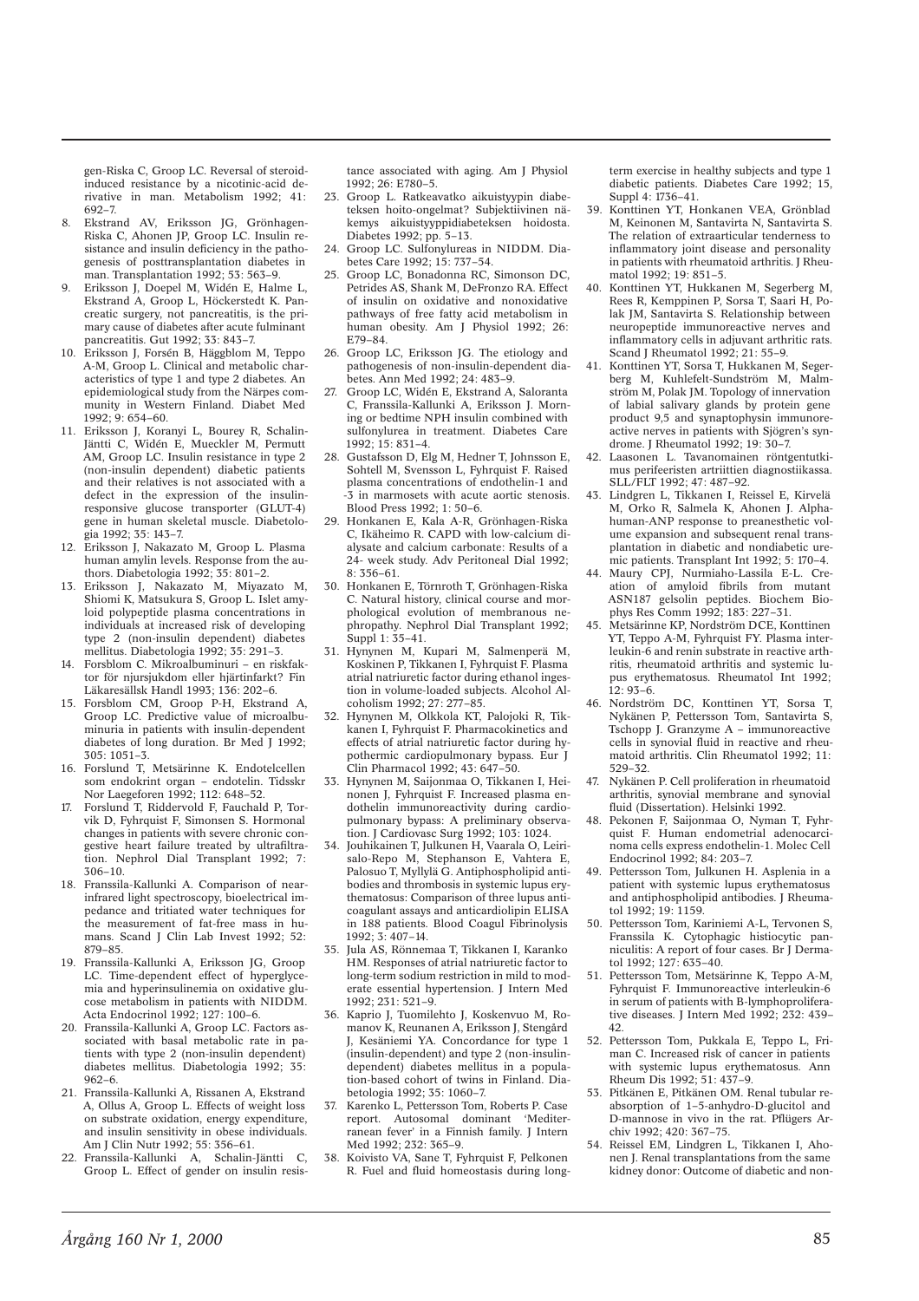gen-Riska C, Groop LC. Reversal of steroidinduced resistance by a nicotinic-acid derivative in man. Metabolism 1992; 41: 692–7.

- 8. Ekstrand AV, Eriksson JG, Grönhagen-Riska C, Ahonen JP, Groop LC. Insulin resistance and insulin deficiency in the pathogenesis of posttransplantation diabetes in man. Transplantation 1992; 53: 563–9.
- 9. Eriksson J, Doepel M, Widén E, Halme L, Ekstrand A, Groop L, Höckerstedt K. Pancreatic surgery, not pancreatitis, is the primary cause of diabetes after acute fulminant pancreatitis. Gut 1992; 33: 843–7.
- 10. Eriksson J, Forsén B, Häggblom M, Teppo A-M, Groop L. Clinical and metabolic characteristics of type 1 and type 2 diabetes. An epidemiological study from the Närpes community in Western Finland. Diabet Med 1992; 9: 654–60.
- 11. Eriksson J, Koranyi L, Bourey R, Schalin-Jäntti C, Widén E, Mueckler M, Permutt AM, Groop LC. Insulin resistance in type 2 (non-insulin dependent) diabetic patients and their relatives is not associated with a defect in the expression of the insulinresponsive glucose transporter (GLUT-4) gene in human skeletal muscle. Diabetologia 1992; 35: 143–7.
- 12. Eriksson I, Nakazato M, Groop L, Plasma human amylin levels. Response from the authors. Diabetologia 1992; 35: 801–2.
- 13. Eriksson J, Nakazato M, Miyazato M, Shiomi K, Matsukura S, Groop L. Islet amyloid polypeptide plasma concentrations in individuals at increased risk of developing type 2 (non-insulin dependent) diabetes mellitus. Diabetologia 1992; 35: 291–3.
- 14. Forsblom C. Mikroalbuminuri en riskfaktor för njursjukdom eller hjärtinfarkt? Fin Läkaresällsk Handl 1993; 136: 202–6.
- 15. Forsblom CM, Groop P-H, Ekstrand A, Groop LC. Predictive value of microalbuminuria in patients with insulin-dependent diabetes of long duration. Br Med J 1992; 305: 1051–3.
- 16. Forslund T, Metsärinne K. Endotelcellen som endokrint organ – endotelin. Tidsskr Nor Laegeforen 1992; 112: 648–52.
- 17. Forslund T, Riddervold F, Fauchald P, Torvik D, Fyhrquist F, Simonsen S. Hormonal changes in patients with severe chronic congestive heart failure treated by ultrafiltration. Nephrol Dial Transplant 1992; 7: 306–10.
- 18. Franssila-Kallunki A. Comparison of nearinfrared light spectroscopy, bioelectrical impedance and tritiated water techniques for the measurement of fat-free mass in humans. Scand J Clin Lab Invest 1992; 52: 879–85.
- 19. Franssila-Kallunki A, Eriksson JG, Groop LC. Time-dependent effect of hyperglycemia and hyperinsulinemia on oxidative glucose metabolism in patients with NIDDM. Acta Endocrinol 1992; 127: 100–6.
- 20. Franssila-Kallunki A, Groop LC. Factors associated with basal metabolic rate in patients with type 2 (non-insulin dependent) diabetes mellitus. Diabetologia 1992; 35: 962–6.
- 21. Franssila-Kallunki A, Rissanen A, Ekstrand A, Ollus A, Groop L. Effects of weight loss on substrate oxidation, energy expenditure, and insulin sensitivity in obese individuals. Am J Clin Nutr 1992; 55: 356–61.
- 22. Franssila-Kallunki A, Schalin-Jäntti C, Groop L. Effect of gender on insulin resis-

tance associated with aging. Am J Physiol 1992; 26: E780–5.

- 23. Groop L. Ratkeavatko aikuistyypin diabeteksen hoito-ongelmat? Subjektiivinen näkemys aikuistyyppidiabeteksen hoidosta. Diabetes 1992; pp. 5–13.
- 24. Groop LC. Sulfonylureas in NIDDM. Diabetes Care 1992; 15: 737–54.
- 25. Groop LC, Bonadonna RC, Simonson DC, Petrides AS, Shank M, DeFronzo RA. Effect of insulin on oxidative and nonoxidative pathways of free fatty acid metabolism in human obesity. Am J Physiol 1992; 26: E79–84.
- 26. Groop LC, Eriksson JG. The etiology and pathogenesis of non-insulin-dependent diabetes. Ann Med 1992; 24: 483–9.
- 27. Groop LC, Widén E, Ekstrand A, Saloranta C, Franssila-Kallunki A, Eriksson J. Morning or bedtime NPH insulin combined with sulfonylurea in treatment. Diabetes Care 1992; 15: 831–4.
- 28. Gustafsson D, Elg M, Hedner T, Johnsson E, Sohtell M, Svensson L, Fyhrquist F. Raised plasma concentrations of endothelin-1 and -3 in marmosets with acute aortic stenosis. Blood Press 1992; 1: 50–6.
- 29. Honkanen E, Kala A-R, Grönhagen-Riska C, Ikäheimo R. CAPD with low-calcium dialysate and calcium carbonate: Results of a 24- week study. Adv Peritoneal Dial 1992;  $8:356-61.$
- 30. Honkanen E, Törnroth T, Grönhagen-Riska C. Natural history, clinical course and morphological evolution of membranous nephropathy. Nephrol Dial Transplant 1992; Suppl 1: 35–41.
- 31. Hynynen M, Kupari M, Salmenperä M, Koskinen P, Tikkanen I, Fyhrquist F. Plasma atrial natriuretic factor during ethanol ingestion in volume-loaded subjects. Alcohol Alcoholism 1992; 27: 277–85.
- 32. Hynynen M, Olkkola KT, Palojoki R, Tikkanen I, Fyhrquist F. Pharmacokinetics and effects of atrial natriuretic factor during hypothermic cardiopulmonary bypass. Eur J Clin Pharmacol 1992; 43: 647–50.
- 33. Hynynen M, Saijonmaa O, Tikkanen I, Heinonen J, Fyhrquist F. Increased plasma endothelin immunoreactivity during cardiopulmonary bypass: A preliminary observation. J Cardiovasc Surg 1992; 103: 1024.
- 34. Jouhikainen T, Julkunen H, Vaarala O, Leirisalo-Repo M, Stephanson E, Vahtera E, Palosuo T, Myllylä G. Antiphospholipid antibodies and thrombosis in systemic lupus erythematosus: Comparison of three lupus anticoagulant assays and anticardiolipin ELISA in 188 patients. Blood Coagul Fibrinolysis 1992; 3: 407–14.
- 35. Jula AS, Rönnemaa T, Tikkanen I, Karanko HM. Responses of atrial natriuretic factor to long-term sodium restriction in mild to moderate essential hypertension. J Intern Med 1992; 231: 521–9.
- 36. Kaprio J, Tuomilehto J, Koskenvuo M, Romanov K, Reunanen A, Eriksson J, Stengård J, Kesäniemi YA. Concordance for type 1 (insulin-dependent) and type 2 (non-insulindependent) diabetes mellitus in a population-based cohort of twins in Finland. Diabetologia 1992; 35: 1060–7.
- 37. Karenko L, Pettersson Tom, Roberts P. Case report. Autosomal dominant 'Mediterranean fever' in a Finnish family. J Intern Med 1992; 232: 365–9.
- 38. Koivisto VA, Sane T, Fyhrquist F, Pelkonen R. Fuel and fluid homeostasis during long-

term exercise in healthy subjects and type 1 diabetic patients. Diabetes Care 1992; 15, Suppl 4: 1736–41.

- 39. Konttinen YT, Honkanen VEA, Grönblad M, Keinonen M, Santavirta N, Santavirta S. The relation of extraarticular tenderness to inflammatory joint disease and personality in patients with rheumatoid arthritis. J Rheumatol 1992; 19: 851–5.
- 40. Konttinen YT, Hukkanen M, Segerberg M, Rees R, Kemppinen P, Sorsa T, Saari H, Polak IM, Santavirta S. Relationship between neuropeptide immunoreactive nerves and inflammatory cells in adjuvant arthritic rats. Scand J Rheumatol  $1992 \cdot 21 \cdot 55 - 9$
- 41. Konttinen YT, Sorsa T, Hukkanen M, Segerberg M, Kuhlefelt-Sundström M, Malmström M, Polak JM. Topology of innervation of labial salivary glands by protein gene product 9,5 and synaptophysin immunoreactive nerves in patients with Sjögren's syndrome. J Rheumatol 1992; 19: 30–7.
- 42. Laasonen L. Tavanomainen röntgentutkimus perifeeristen artriittien diagnostiikassa. SLL/FLT 1992; 47: 487–92.
- 43. Lindgren L, Tikkanen I, Reissel E, Kirvelä M, Orko R, Salmela K, Ahonen J. Alphahuman-ANP response to preanesthetic volume expansion and subsequent renal transplantation in diabetic and nondiabetic uremic patients. Transplant Int 1992; 5: 170–4.
- 44. Maury CPJ, Nurmiaho-Lassila E-L. Creation of amyloid fibrils from mutant ASN187 gelsolin peptides. Biochem Biophys Res Comm 1992; 183: 227–31.
- 45. Metsärinne KP, Nordström DCE, Konttinen YT, Teppo A-M, Fyhrquist FY. Plasma interleukin-6 and renin substrate in reactive arthritis, rheumatoid arthritis and systemic lupus erythematosus. Rheumatol Int 1992;  $12:93-6.$
- 46. Nordström DC, Konttinen YT, Sorsa T, Nykänen P, Pettersson Tom, Santavirta S, Tschopp J. Granzyme A – immunoreactive cells in synovial fluid in reactive and rheumatoid arthritis. Clin Rheumatol 1992; 11: 529–32.
- 47. Nykänen P. Cell proliferation in rheumatoid arthritis, synovial membrane and synovial fluid (Dissertation). Helsinki 1992.
- 48. Pekonen F, Saijonmaa O, Nyman T, Fyhrquist F. Human endometrial adenocarcinoma cells express endothelin-1. Molec Cell Endocrinol 1992; 84: 203–7.
- 49. Pettersson Tom, Julkunen H. Asplenia in a patient with systemic lupus erythematosus and antiphospholipid antibodies. J Rheumatol 1992; 19: 1159.
- 50. Pettersson Tom, Kariniemi A-L, Tervonen S, Franssila K. Cytophagic histiocytic panniculitis: A report of four cases. Br J Dermatol 1992; 127: 635–40.
- 51. Pettersson Tom, Metsärinne K, Teppo A-M, Fyhrquist F. Immunoreactive interleukin-6 in serum of patients with B-lymphoproliferative diseases. J Intern Med 1992; 232: 439– 42.
- 52. Pettersson Tom, Pukkala E, Teppo L, Friman C. Increased risk of cancer in patients with systemic lupus erythematosus. Ann Rheum Dis 1992; 51: 437–9.
- 53. Pitkänen E, Pitkänen OM. Renal tubular reabsorption of 1–5-anhydro-D-glucitol and D-mannose in vivo in the rat. Pflügers Archiv 1992; 420: 367–75.
- 54. Reissel EM, Lindgren L, Tikkanen I, Ahonen J. Renal transplantations from the same kidney donor: Outcome of diabetic and non-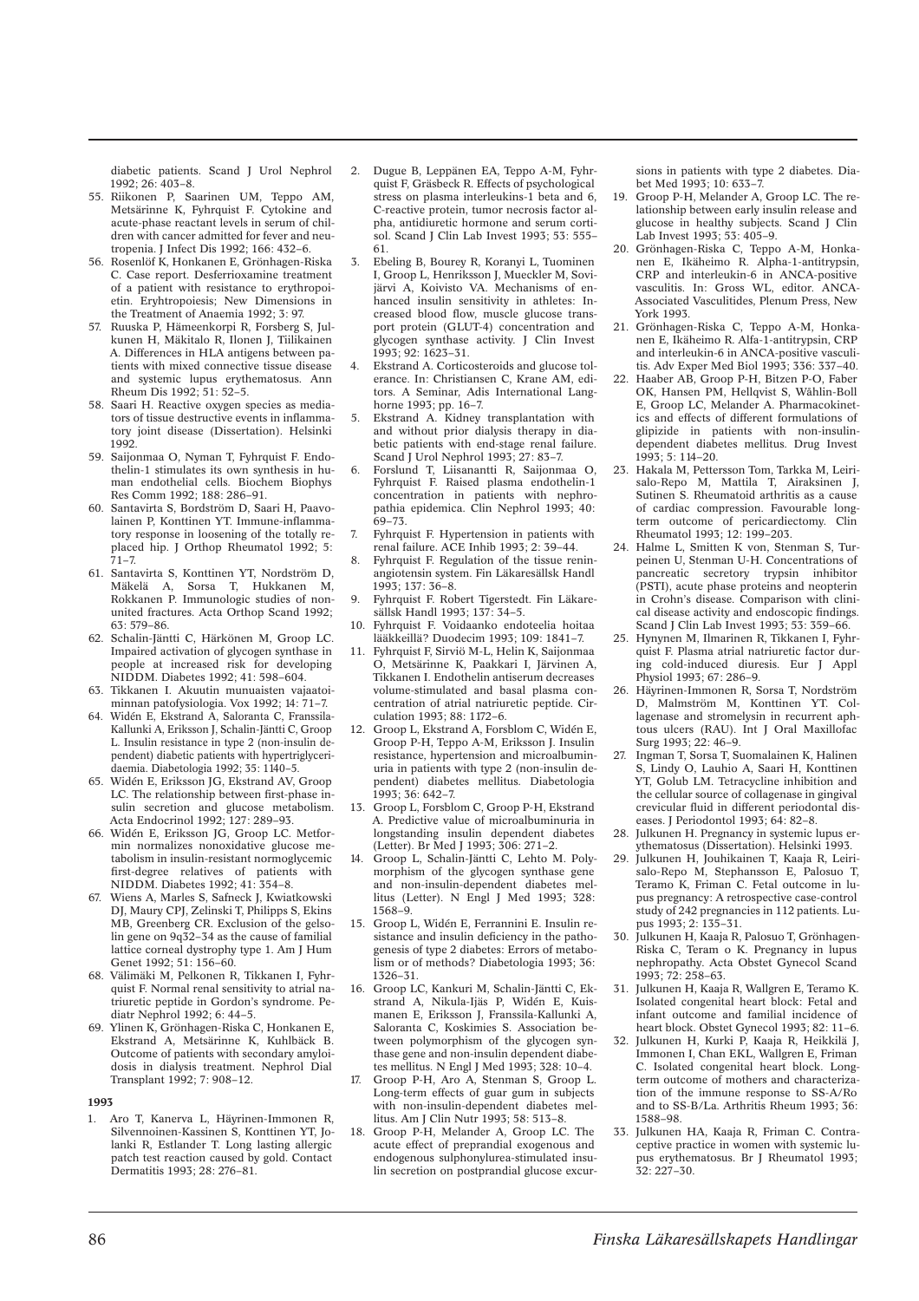diabetic patients. Scand J Urol Nephrol  $1992 \cdot 26 \cdot 403 - 8$ 

- 55. Riikonen P, Saarinen UM, Teppo AM, Metsärinne K, Fyhrquist F. Cytokine and acute-phase reactant levels in serum of children with cancer admitted for fever and neutropenia. J Infect Dis 1992; 166: 432–6.
- 56. Rosenlöf K, Honkanen E, Grönhagen-Riska C. Case report. Desferrioxamine treatment of a patient with resistance to erythropoietin. Eryhtropoiesis; New Dimensions in the Treatment of Anaemia 1992; 3: 97.
- 57. Ruuska P, Hämeenkorpi R, Forsberg S, Julkunen H, Mäkitalo R, Ilonen J, Tiilikainen A. Differences in HLA antigens between patients with mixed connective tissue disease and systemic lupus erythematosus. Ann Rheum Dis 1992; 51: 52–5.
- 58. Saari H. Reactive oxygen species as mediators of tissue destructive events in inflammatory joint disease (Dissertation). Helsinki 1992
- 59. Saijonmaa O, Nyman T, Fyhrquist F. Endothelin-1 stimulates its own synthesis in human endothelial cells. Biochem Biophys Res Comm 1992; 188: 286–91.
- 60. Santavirta S, Bordström D, Saari H, Paavolainen P, Konttinen YT. Immune-inflammatory response in loosening of the totally replaced hip. J Orthop Rheumatol 1992; 5:  $71 - 7$
- 61. Santavirta S, Konttinen YT, Nordström D, Mäkelä A, Sorsa T, Hukkanen M, Rokkanen P. Immunologic studies of nonunited fractures. Acta Orthop Scand 1992; 63: 579–86.
- 62. Schalin-Jäntti C, Härkönen M, Groop LC. Impaired activation of glycogen synthase in people at increased risk for developing NIDDM. Diabetes 1992; 41: 598–604.
- 63. Tikkanen I. Akuutin munuaisten vajaatoiminnan patofysiologia. Vox 1992; 14: 71–7.
- 64. Widén E, Ekstrand A, Saloranta C, Franssila-Kallunki A, Eriksson J, Schalin-Jäntti C, Groop L. Insulin resistance in type 2 (non-insulin dependent) diabetic patients with hypertriglyceridaemia. Diabetologia 1992; 35: 1140–5.
- 65. Widén E, Eriksson JG, Ekstrand AV, Groop LC. The relationship between first-phase insulin secretion and glucose metabolism. Acta Endocrinol 1992; 127: 289–93.
- 66. Widén E, Eriksson JG, Groop LC. Metformin normalizes nonoxidative glucose metabolism in insulin-resistant normoglycemic  $first-degree$  relatives of patients NIDDM. Diabetes 1992; 41: 354–8.
- 67. Wiens A, Marles S, Safneck J, Kwiatkowski DJ, Maury CPJ, Zelinski T, Philipps S, Ekins MB, Greenberg CR. Exclusion of the gelsolin gene on  $9q\overline{3}2-34$  as the cause of familial lattice corneal dystrophy type 1. Am J Hum Genet 1992; 51: 156–60.
- 68. Välimäki M, Pelkonen R, Tikkanen I, Fyhrquist F. Normal renal sensitivity to atrial natriuretic peptide in Gordon's syndrome. Pediatr Nephrol 1992; 6: 44–5.
- 69. Ylinen K, Grönhagen-Riska C, Honkanen E, Ekstrand A, Metsärinne K, Kuhlbäck B. Outcome of patients with secondary amyloidosis in dialysis treatment. Nephrol Dial Transplant 1992; 7: 908–12.

## **1993**

1. Aro T, Kanerva L, Häyrinen-Immonen R, Silvennoinen-Kassinen S, Konttinen YT, Jolanki R, Estlander T. Long lasting allergic patch test reaction caused by gold. Contact Dermatitis 1993; 28: 276–81.

- 2. Dugue B, Leppänen EA, Teppo A-M, Fyhrquist F, Gräsbeck R. Effects of psychological stress on plasma interleukins-1 beta and 6, C-reactive protein, tumor necrosis factor alpha, antidiuretic hormone and serum cortisol. Scand J Clin Lab Invest 1993; 53: 555– 61.
- 3. Ebeling B, Bourey R, Koranyi L, Tuominen I, Groop L, Henriksson J, Mueckler M, Sovijärvi A, Koivisto VA. Mechanisms of enhanced insulin sensitivity in athletes: Increased blood flow, muscle glucose transport protein (GLUT-4) concentration and glycogen synthase activity. J Clin Invest 1993; 92: 1623–31.
- 4. Ekstrand A. Corticosteroids and glucose tolerance. In: Christiansen C, Krane AM, editors. A Seminar, Adis International Langhorne 1993; pp. 16–7.
- 5. Ekstrand A. Kidney transplantation with and without prior dialysis therapy in diabetic patients with end-stage renal failure. Scand I Urol Nephrol 1993; 27: 83-7.
- 6. Forslund T, Liisanantti R, Saijonmaa O, Fyhrquist F. Raised plasma endothelin-1 concentration in patients with nephropathia epidemica. Clin Nephrol 1993; 40:  $69 - 73$
- 7. Fyhrquist F. Hypertension in patients with renal failure. ACE Inhib 1993; 2: 39–44.
- 8. Fyhrquist F. Regulation of the tissue reninangiotensin system. Fin Läkaresällsk Handl 1993; 137: 36–8.
- 9. Fyhrquist F. Robert Tigerstedt. Fin Läkaresällsk Handl 1993; 137: 34–5.
- 10. Fyhrquist F. Voidaanko endoteelia hoitaa lääkkeillä? Duodecim 1993; 109: 1841–7.
- 11. Fyhrquist F, Sirviö M-L, Helin K, Saijonmaa O, Metsärinne K, Paakkari I, Järvinen A, Tikkanen I. Endothelin antiserum decreases volume-stimulated and basal plasma concentration of atrial natriuretic peptide. Circulation 1993; 88: 1172–6.
- 12. Groop L, Ekstrand A, Forsblom C, Widén E, Groop P-H, Teppo A-M, Eriksson J. Insulin resistance, hypertension and microalbuminuria in patients with type 2 (non-insulin dependent) diabetes mellitus. Diabetologia 1993; 36: 642–7.
- 13. Groop L, Forsblom C, Groop P-H, Ekstrand A. Predictive value of microalbuminuria in longstanding insulin dependent diabetes (Letter). Br Med J 1993; 306: 271–2.
- 14. Groop L, Schalin-Jäntti C, Lehto M. Polymorphism of the glycogen synthase gene and non-insulin-dependent diabetes mellitus (Letter). N Engl J Med 1993; 328: 1568–9.
- 15. Groop L, Widén E, Ferrannini E. Insulin resistance and insulin deficiency in the pathogenesis of type 2 diabetes: Errors of metabolism or of methods? Diabetologia 1993; 36: 1326–31.
- 16. Groop LC, Kankuri M, Schalin-Jäntti C, Ekstrand A, Nikula-Ijäs P, Widén E, Kuismanen E, Eriksson J, Franssila-Kallunki A, Saloranta C, Koskimies S. Association between polymorphism of the glycogen synthase gene and non-insulin dependent diabetes mellitus. N Engl J Med 1993; 328: 10–4.
- 17. Groop P-H, Aro A, Stenman S, Groop L. Long-term effects of guar gum in subjects with non-insulin-dependent diabetes mellitus. Am J Clin Nutr 1993; 58: 513–8.
- 18. Groop P-H, Melander A, Groop LC. The acute effect of preprandial exogenous and endogenous sulphonylurea-stimulated insulin secretion on postprandial glucose excur-

sions in patients with type 2 diabetes. Diabet Med 1993; 10: 633–7.

- 19. Groop P-H, Melander A, Groop LC. The relationship between early insulin release and glucose in healthy subjects. Scand J Clin Lab Invest 1993; 53: 405–9.
- 20. Grönhagen-Riska C, Teppo A-M, Honkanen E, Ikäheimo R. Alpha-1-antitrypsin, CRP and interleukin-6 in ANCA-positive vasculitis. In: Gross WL, editor. ANCA-Associated Vasculitides, Plenum Press, New York 1993.
- 21. Grönhagen-Riska C, Teppo A-M, Honkanen E, Ikäheimo R. Alfa-1-antitrypsin, CRP and interleukin-6 in ANCA-positive vasculitis. Adv Exper Med Biol 1993; 336: 337–40.
- 22. Haaber AB, Groop P-H, Bitzen P-O, Faber OK, Hansen PM, Hellqvist S, Wåhlin-Boll E, Groop LC, Melander A. Pharmacokinetics and effects of different formulations of glipizide in patients with non-insulindependent diabetes mellitus. Drug Invest  $1993 \cdot 5 \cdot 114 - 20$
- 23. Hakala M, Pettersson Tom, Tarkka M, Leirisalo-Repo M, Mattila T, Airaksinen J, Sutinen S. Rheumatoid arthritis as a cause of cardiac compression. Favourable longterm outcome of pericardiectomy. Clin Rheumatol 1993; 12: 199–203.
- 24. Halme L, Smitten K von, Stenman S, Turpeinen U, Stenman U-H. Concentrations of pancreatic secretory trypsin inhibitor (PSTI), acute phase proteins and neopterin in Crohn's disease. Comparison with clinical disease activity and endoscopic findings. Scand J Clin Lab Invest 1993; 53: 359-66.
- 25. Hynynen M, Ilmarinen R, Tikkanen I, Fyhrquist F. Plasma atrial natriuretic factor during cold-induced diuresis. Eur J Appl Physiol 1993; 67: 286–9.
- 26. Häyrinen-Immonen R, Sorsa T, Nordström D, Malmström M, Konttinen YT. Collagenase and stromelysin in recurrent aphtous ulcers (RAU). Int J Oral Maxillofac Surg 1993; 22: 46–9.
- 27. Ingman T, Sorsa T, Suomalainen K, Halinen S, Lindy O, Lauhio A, Saari H, Konttinen YT, Golub LM. Tetracycline inhibition and the cellular source of collagenase in gingival crevicular fluid in different periodontal diseases. J Periodontol 1993; 64: 82–8.
- 28. Julkunen H. Pregnancy in systemic lupus erythematosus (Dissertation). Helsinki 1993.
- 29. Julkunen H, Jouhikainen T, Kaaja R, Leirisalo-Repo M, Stephansson E, Palosuo T, Teramo K, Friman C. Fetal outcome in lupus pregnancy: A retrospective case-control study of 242 pregnancies in 112 patients. Lupus 1993; 2: 135–31.
- 30. Julkunen H, Kaaja R, Palosuo T, Grönhagen-Riska C, Teram o K. Pregnancy in lupus nephropathy. Acta Obstet Gynecol Scand 1993; 72: 258–63.
- 31. Julkunen H, Kaaja R, Wallgren E, Teramo K. Isolated congenital heart block: Fetal and infant outcome and familial incidence of heart block. Obstet Gynecol 1993; 82: 11–6.
- 32. Julkunen H, Kurki P, Kaaja R, Heikkilä J, Immonen I, Chan EKL, Wallgren E, Friman C. Isolated congenital heart block. Longterm outcome of mothers and characterization of the immune response to SS-A/Ro and to SS-B/La. Arthritis Rheum 1993; 36: 1588–98.
- 33. Julkunen HA, Kaaja R, Friman C. Contraceptive practice in women with systemic lupus erythematosus. Br J Rheumatol 1993; 32: 227–30.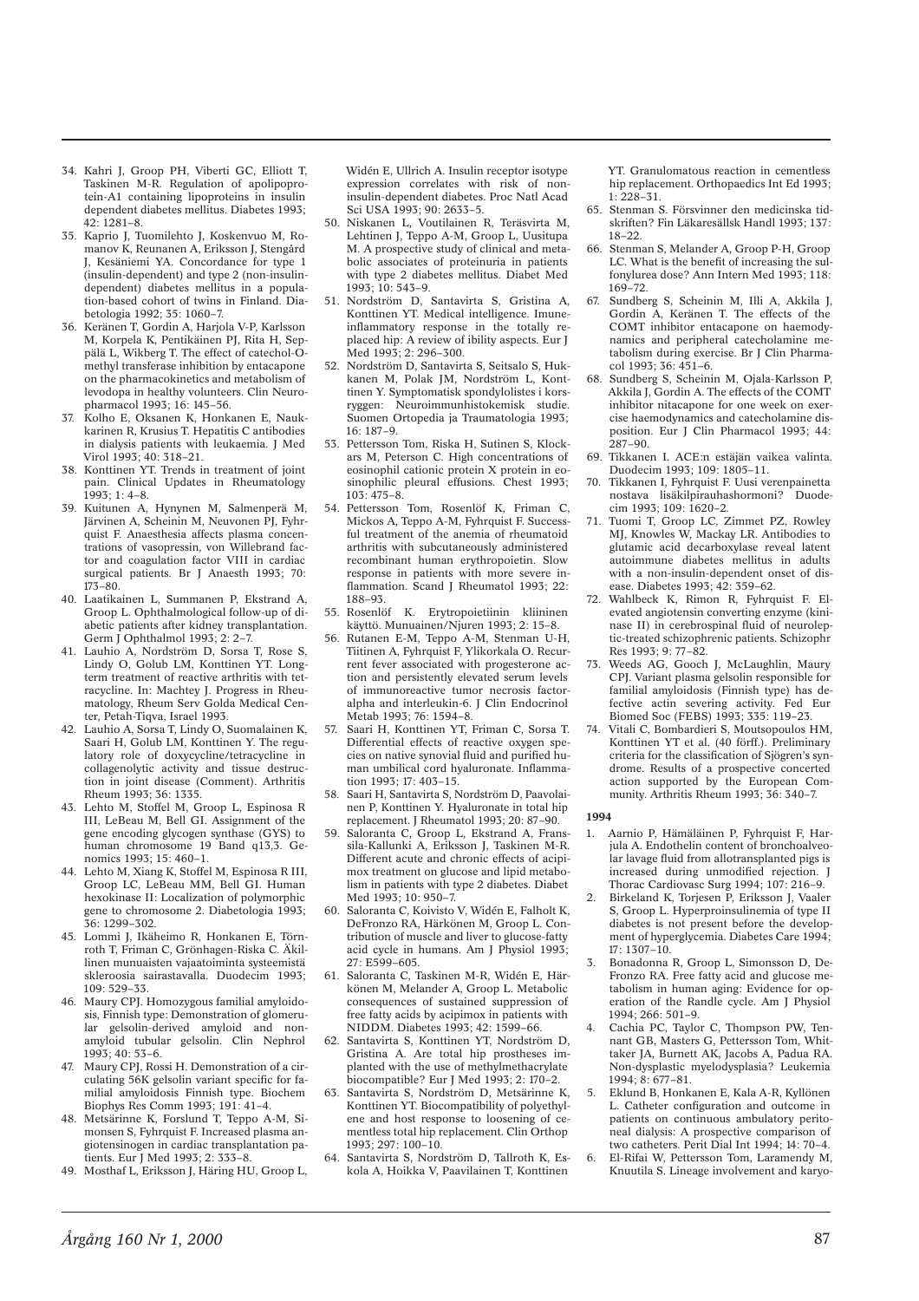- 34. Kahri J, Groop PH, Viberti GC, Elliott T, Taskinen M-R. Regulation of apolipoprotein-A1 containing lipoproteins in insulin dependent diabetes mellitus. Diabetes 1993;  $42 \cdot 1281 - 8$
- 35. Kaprio J, Tuomilehto J, Koskenvuo M, Romanov K, Reunanen A, Eriksson J, Stengård J, Kesäniemi YA. Concordance for type 1 (insulin-dependent) and type 2 (non-insulindependent) diabetes mellitus in a population-based cohort of twins in Finland. Diabetologia 1992; 35: 1060–7.
- 36. Keränen T, Gordin A, Harjola V-P, Karlsson M, Korpela K, Pentikäinen PJ, Rita H, Seppälä L, Wikberg T. The effect of catechol-Omethyl transferase inhibition by entacapone on the pharmacokinetics and metabolism of levodopa in healthy volunteers. Clin Neuropharmacol 1993; 16: 145–56.
- 37. Kolho E, Oksanen K, Honkanen E, Naukkarinen R, Krusius T. Hepatitis C antibodies in dialysis patients with leukaemia. J Med Virol 1993; 40: 318–21.
- 38. Konttinen YT. Trends in treatment of joint pain. Clinical Updates in Rheumatology 1993; 1: 4–8.
- 39. Kuitunen A, Hynynen M, Salmenperä M, Järvinen A, Scheinin M, Neuvonen PJ, Fyhrquist F. Anaesthesia affects plasma concentrations of vasopressin, von Willebrand factor and coagulation factor VIII in cardiac surgical patients. Br J Anaesth 1993: 70: 173–80.
- 40. Laatikainen L, Summanen P, Ekstrand A, Groop L. Ophthalmological follow-up of diabetic patients after kidney transplantation. Germ J Ophthalmol 1993; 2: 2-7.
- 41. Lauhio A, Nordström D, Sorsa T, Rose S, Lindy O, Golub LM, Konttinen YT. Longterm treatment of reactive arthritis with tetracycline. In: Machtey J. Progress in Rheumatology, Rheum Serv Golda Medical Center, Petah-Tiqva, Israel 1993.
- 42. Lauhio A, Sorsa T, Lindy O, Suomalainen K, Saari H, Golub LM, Konttinen Y. The regulatory role of doxycycline/tetracycline in collagenolytic activity and tissue destruction in joint disease (Comment). Arthritis Rheum 1993; 36: 1335.
- 43. Lehto M, Stoffel M, Groop L, Espinosa R III, LeBeau M, Bell GI. Assignment of the gene encoding glycogen synthase (GYS) to human chromosome 19 Band q13,3. Genomics 1993; 15: 460–1.
- 44. Lehto M, Xiang K, Stoffel M, Espinosa R III, Groop LC, LeBeau MM, Bell GI. Human hexokinase II: Localization of polymorphic gene to chromosome 2. Diabetologia 1993; 36: 1299–302.
- 45. Lommi J, Ikäheimo R, Honkanen E, Törnroth T, Friman C, Grönhagen-Riska C. Äkillinen munuaisten vajaatoiminta systeemistä skleroosia sairastavalla. Duodecim 1993; 109: 529–33.
- 46. Maury CPJ. Homozygous familial amyloidosis, Finnish type: Demonstration of glomerular gelsolin-derived amyloid and nonamyloid tubular gelsolin. Clin Nephrol 1993; 40: 53–6.
- Maury CPJ, Rossi H. Demonstration of a circulating 56K gelsolin variant specific for familial amyloidosis Finnish type. Biochem Biophys Res Comm 1993; 191: 41–4.
- 48. Metsärinne K, Forslund T, Teppo A-M, Simonsen S, Fyhrquist F. Increased plasma angiotensinogen in cardiac transplantation patients. Eur J Med 1993; 2: 333–8.
- 49. Mosthaf L, Eriksson J, Häring HU, Groop L,

Widén E, Ullrich A. Insulin receptor isotype expression correlates with risk of noninsulin-dependent diabetes. Proc Natl Acad Sci USA 1993; 90: 2633–5.

- 50. Niskanen L, Voutilainen R, Teräsvirta M, Lehtinen J, Teppo A-M, Groop L, Uusitupa M. A prospective study of clinical and metabolic associates of proteinuria in patients with type 2 diabetes mellitus. Diabet Med 1993; 10: 543–9.
- 51. Nordström D, Santavirta S, Gristina A, Konttinen YT. Medical intelligence. Imuneinflammatory response in the totally replaced hip: A review of ibility aspects. Eur J Med 1993; 2: 296–300.
- 52. Nordström D, Santavirta S, Seitsalo S, Hukkanen M, Polak JM, Nordström L, Konttinen Y. Symptomatisk spondylolistes i korsryggen: Neuroimmunhistokemisk studie. Suomen Ortopedia ja Traumatologia 1993; 16: 187–9.
- 53. Pettersson Tom, Riska H, Sutinen S, Klockars M, Peterson C. High concentrations of eosinophil cationic protein X protein in eosinophilic pleural effusions. Chest 1993; 103: 475–8.
- 54. Pettersson Tom, Rosenlöf K, Friman C, Mickos A, Teppo A-M, Fyhrquist F. Successful treatment of the anemia of rheumatoid arthritis with subcutaneously administered recombinant human erythropoietin. Slow response in patients with more severe inflammation. Scand J Rheumatol 1993; 22: 188–93.
- 55. Rosenlöf K. Erytropoietiinin kliininen käyttö. Munuainen/Njuren 1993; 2: 15–8.
- 56. Rutanen E-M, Teppo A-M, Stenman U-H, Tiitinen A, Fyhrquist F, Ylikorkala O. Recurrent fever associated with progesterone action and persistently elevated serum levels of immunoreactive tumor necrosis factoralpha and interleukin-6. J Clin Endocrinol Metab 1993; 76: 1594–8.
- 57. Saari H, Konttinen YT, Friman C, Sorsa T. Differential effects of reactive oxygen species on native synovial fluid and purified human umbilical cord hyaluronate. Inflammation 1993; 17: 403–15.
- 58. Saari H, Santavirta S, Nordström D, Paavolainen P, Konttinen Y. Hyaluronate in total hip replacement. J Rheumatol 1993; 20: 87–90.
- 59. Saloranta C, Groop L, Ekstrand A, Franssila-Kallunki A, Eriksson J, Taskinen M-R. Different acute and chronic effects of acipimox treatment on glucose and lipid metabolism in patients with type 2 diabetes. Diabet Med 1993; 10: 950–7.
- 60. Saloranta C, Koivisto V, Widén E, Falholt K, DeFronzo RA, Härkönen M, Groop L. Contribution of muscle and liver to glucose-fatty acid cycle in humans. Am J Physiol 1993; 27: E599–605.
- 61. Saloranta C, Taskinen M-R, Widén E, Härkönen M, Melander A, Groop L. Metabolic consequences of sustained suppression of free fatty acids by acipimox in patients with NIDDM. Diabetes 1993; 42: 1599–66.
- 62. Santavirta S, Konttinen YT, Nordström D, Gristina A. Are total hip prostheses implanted with the use of methylmethacrylate biocompatible? Eur J Med 1993; 2: 170–2.
- 63. Santavirta S, Nordström D, Metsärinne K, Konttinen YT. Biocompatibility of polyethylene and host response to loosening of cementless total hip replacement. Clin Orthop  $1993 \cdot 297 \cdot 100 - 10$
- 64. Santavirta S, Nordström D, Tallroth K, Eskola A, Hoikka V, Paavilainen T, Konttinen

YT. Granulomatous reaction in cementless hip replacement. Orthopaedics Int Ed 1993; 1: 228–31.

- 65. Stenman S. Försvinner den medicinska tidskriften? Fin Läkaresällsk Handl 1993; 137: 18–22.
- 66. Stenman S, Melander A, Groop P-H, Groop LC. What is the benefit of increasing the sulfonylurea dose? Ann Intern Med 1993; 118: 169–72.
- 67. Sundberg S, Scheinin M, Illi A, Akkila J, Gordin A, Keränen T. The effects of the COMT inhibitor entacapone on haemodynamics and peripheral catecholamine metabolism during exercise. Br J Clin Pharmacol 1993; 36: 451–6.
- 68. Sundberg S, Scheinin M, Ojala-Karlsson P, Akkila J, Gordin A. The effects of the COMT inhibitor nitacapone for one week on exercise haemodynamics and catecholamine disposition. Eur J Clin Pharmacol 1993; 44: 287–90.
- 69. Tikkanen I. ACE:n estäjän vaikea valinta. Duodecim 1993; 109: 1805–11.
- 70. Tikkanen I, Fyhrquist F. Uusi verenpainetta nostava lisäkilpirauhashormoni? Duodecim 1993; 109: 1620–2.
- 71. Tuomi T, Groop LC, Zimmet PZ, Rowley MJ, Knowles W, Mackay LR. Antibodies to glutamic acid decarboxylase reveal latent autoimmune diabetes mellitus in adults with a non-insulin-dependent onset of disease. Diabetes 1993; 42: 359–62.
- 72. Wahlbeck K, Rimon R, Fyhrquist F. Elevated angiotensin converting enzyme (kininase II) in cerebrospinal fluid of neuroleptic-treated schizophrenic patients. Schizophr Res 1993; 9: 77–82.
- 73. Weeds AG, Gooch J, McLaughlin, Maury CPJ. Variant plasma gelsolin responsible for familial amyloidosis (Finnish type) has defective actin severing activity. Fed Eur Biomed Soc (FEBS) 1993; 335: 119–23.
- 74. Vitali C, Bombardieri S, Moutsopoulos HM, Konttinen YT et al. (40 förff.). Preliminary criteria for the classification of Sjögren's syndrome. Results of a prospective concerted action supported by the European Community. Arthritis Rheum 1993; 36: 340–7.

- 1. Aarnio P, Hämäläinen P, Fyhrquist F, Harjula A. Endothelin content of bronchoalveolar lavage fluid from allotransplanted pigs is increased during unmodified rejection. J Thorac Cardiovasc Surg 1994; 107: 216–9.
- 2. Birkeland K, Torjesen P, Eriksson J, Vaaler S, Groop L. Hyperproinsulinemia of type II diabetes is not present before the development of hyperglycemia. Diabetes Care 1994;  $17 \cdot 1307 - 10$
- 3. Bonadonna R, Groop L, Simonsson D, De-Fronzo RA. Free fatty acid and glucose metabolism in human aging: Evidence for operation of the Randle cycle. Am J Physiol  $1994.266.501-9$
- 4. Cachia PC, Taylor C, Thompson PW, Tennant GB, Masters G, Pettersson Tom, Whittaker JA, Burnett AK, Jacobs A, Padua RA. Non-dysplastic myelodysplasia? Leukemia  $1994 \cdot 8 \cdot 677 - 81$
- 5. Eklund B, Honkanen E, Kala A-R, Kyllönen L. Catheter configuration and outcome in patients on continuous ambulatory peritoneal dialysis: A prospective comparison of two catheters. Perit Dial Int 1994; 14: 70–4.
- 6. El-Rifai W, Pettersson Tom, Laramendy M, Knuutila S. Lineage involvement and karyo-